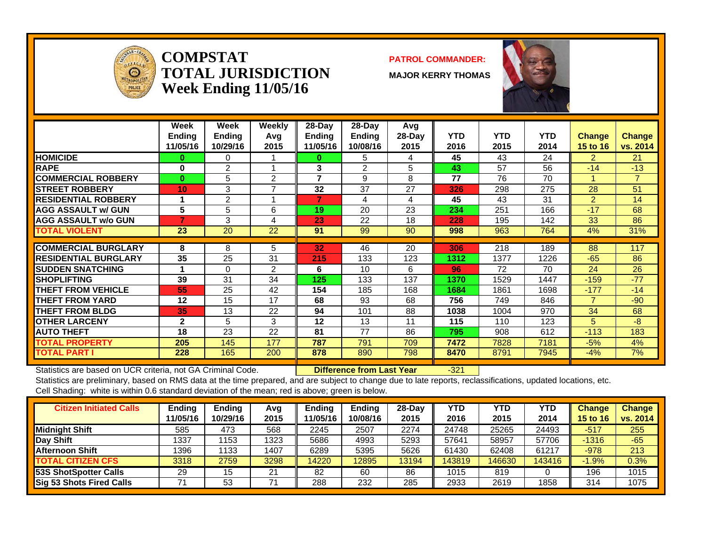

#### **COMPSTATTOTAL JURISDICTIONWeek Ending 11/05/16**

#### **PATROL COMMANDER:**

**MAJOR KERRY THOMAS**



|                             | Week<br><b>Ending</b><br>11/05/16 | Week<br><b>Ending</b><br>10/29/16 | Weekly<br>Avq<br>2015 | $28-Day$<br><b>Ending</b><br>11/05/16 | $28$ -Day<br>Ending<br>10/08/16 | Avg<br>$28-Day$<br>2015 | <b>YTD</b><br>2016 | <b>YTD</b><br>2015 | <b>YTD</b><br>2014 | <b>Change</b><br><b>15 to 16</b> | <b>Change</b><br>vs. 2014 |
|-----------------------------|-----------------------------------|-----------------------------------|-----------------------|---------------------------------------|---------------------------------|-------------------------|--------------------|--------------------|--------------------|----------------------------------|---------------------------|
| <b>HOMICIDE</b>             | 0                                 | 0                                 |                       | $\bf{0}$                              | 5                               | 4                       | 45                 | 43                 | 24                 | $\mathbf{2}$                     | 21                        |
| <b>RAPE</b>                 | 0                                 | 2                                 |                       | 3                                     | 2                               | 5                       | 43                 | 57                 | 56                 | $-14$                            | $-13$                     |
| <b>COMMERCIAL ROBBERY</b>   | $\bf{0}$                          | 5                                 | 2                     | $\overline{7}$                        | 9                               | 8                       | 77                 | 76                 | 70                 | -4                               | $\overline{7}$            |
| <b>STREET ROBBERY</b>       | 10                                | 3                                 | ⇁                     | 32                                    | 37                              | 27                      | 326                | 298                | 275                | 28                               | 51                        |
| <b>RESIDENTIAL ROBBERY</b>  |                                   | 2                                 |                       | 7                                     | 4                               | 4                       | 45                 | 43                 | 31                 | 2                                | 14                        |
| <b>AGG ASSAULT w/ GUN</b>   | 5                                 | 5                                 | 6                     | 19                                    | 20                              | 23                      | 234                | 251                | 166                | $-17$                            | 68                        |
| <b>AGG ASSAULT w/o GUN</b>  |                                   | 3                                 | 4                     | 23                                    | 22                              | 18                      | 228                | 195                | 142                | 33                               | 86                        |
| <b>TOTAL VIOLENT</b>        | 23                                | 20                                | 22                    | 91                                    | 99                              | 90                      | 998                | 963                | 764                | 4%                               | 31%                       |
|                             |                                   |                                   |                       |                                       |                                 |                         |                    |                    |                    |                                  |                           |
| <b>COMMERCIAL BURGLARY</b>  | 8                                 | 8                                 | 5                     | 32                                    | 46                              | 20                      | 306                | 218                | 189                | 88                               | 117                       |
| <b>RESIDENTIAL BURGLARY</b> | 35                                | 25                                | 31                    | 215                                   | 133                             | 123                     | 1312               | 1377               | 1226               | $-65$                            | 86                        |
| <b>SUDDEN SNATCHING</b>     |                                   | $\Omega$                          | 2                     | 6                                     | 10                              | 6                       | 96                 | 72                 | 70                 | 24                               | 26                        |
| <b>SHOPLIFTING</b>          | 39                                | 31                                | 34                    | 125                                   | 133                             | 137                     | 1370               | 1529               | 1447               | $-159$                           | $-77$                     |
| <b>THEFT FROM VEHICLE</b>   | 55                                | 25                                | 42                    | 154                                   | 185                             | 168                     | 1684               | 1861               | 1698               | $-177$                           | $-14$                     |
| <b>THEFT FROM YARD</b>      | 12                                | 15                                | 17                    | 68                                    | 93                              | 68                      | 756                | 749                | 846                | $\overline{7}$                   | $-90$                     |
| <b>THEFT FROM BLDG</b>      | 35                                | 13                                | 22                    | 94                                    | 101                             | 88                      | 1038               | 1004               | 970                | 34                               | 68                        |
| <b>OTHER LARCENY</b>        | $\mathbf{2}$                      | 5                                 | 3                     | 12                                    | 13                              | 11                      | 115                | 110                | 123                | 5                                | $-8$                      |
| <b>AUTO THEFT</b>           | 18                                | 23                                | 22                    | 81                                    | 77                              | 86                      | 795                | 908                | 612                | $-113$                           | 183                       |
| <b>TOTAL PROPERTY</b>       | 205                               | 145                               | 177                   | 787                                   | 791                             | 709                     | 7472               | 7828               | 7181               | $-5%$                            | 4%                        |
| <b>TOTAL PART I</b>         | 228                               | 165                               | 200                   | 878                                   | 890                             | 798                     | 8470               | 8791               | 7945               | $-4%$                            | 7%                        |

Statistics are based on UCR criteria, not GA Criminal Code. **Difference from Last Year** -321

| <b>Citizen Initiated Calls</b>  | <b>Ending</b><br>11/05/16 | <b>Ending</b><br>10/29/16 | Avg<br>2015 | Endina<br>1/05/16 | Ending<br>10/08/16 | $28-Dav$<br>2015 | YTD<br>2016 | YTD<br>2015 | YTD<br>2014 | <b>Change</b><br>15 to 16 | <b>Change</b><br>vs. 2014 |
|---------------------------------|---------------------------|---------------------------|-------------|-------------------|--------------------|------------------|-------------|-------------|-------------|---------------------------|---------------------------|
| <b>Midnight Shift</b>           | 585                       | 473                       | 568         | 2245              | 2507               | 2274             | 24748       | 25265       | 24493       | $-517$                    | 255                       |
| Day Shift                       | 1337                      | 1153                      | 1323        | 5686              | 4993               | 5293             | 57641       | 58957       | 57706       | $-1316$                   | $-65$                     |
| <b>Afternoon Shift</b>          | 1396                      | 1133                      | 1407        | 6289              | 5395               | 5626             | 61430       | 62408       | 61217       | $-978$                    | 213                       |
| <b>TOTAL CITIZEN CFS</b>        | 3318                      | 2759                      | 3298        | 14220             | 12895              | 13194            | 143819      | 146630      | 143416      | $-1.9%$                   | 0.3%                      |
| 53S ShotSpotter Calls           | 29                        | 15                        | 21          | 82                | 60                 | 86               | 1015        | 819         |             | 196                       | 1015                      |
| <b>Sig 53 Shots Fired Calls</b> |                           | 53                        |             | 288               | 232                | 285              | 2933        | 2619        | 1858        | 314                       | 1075                      |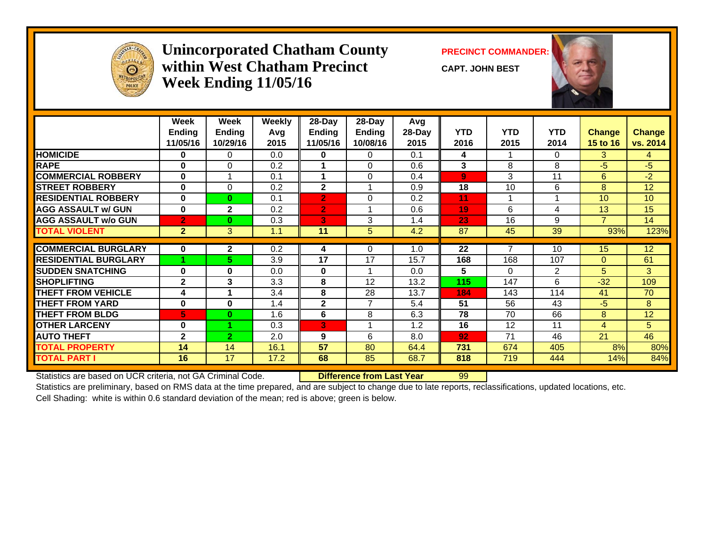

#### **Unincorporated Chatham County PRECINCT COMMANDER: within West Chatham PrecinctWeek Ending 11/05/16**

**CAPT. JOHN BEST**



|                             | Week           | Week           | <b>Weekly</b> | 28-Day         | 28-Day         | Avg    |            |            |              |                 |                 |
|-----------------------------|----------------|----------------|---------------|----------------|----------------|--------|------------|------------|--------------|-----------------|-----------------|
|                             | <b>Ending</b>  | <b>Ending</b>  | Avg           | <b>Ending</b>  | Ending         | 28-Day | <b>YTD</b> | <b>YTD</b> | <b>YTD</b>   | <b>Change</b>   | <b>Change</b>   |
|                             | 11/05/16       | 10/29/16       | 2015          | 11/05/16       | 10/08/16       | 2015   | 2016       | 2015       | 2014         | 15 to 16        | vs. 2014        |
| <b>HOMICIDE</b>             | $\bf{0}$       | 0              | 0.0           | 0              | 0              | 0.1    | 4          |            | $\mathbf{0}$ | 3               | 4               |
| <b>RAPE</b>                 | $\bf{0}$       | $\Omega$       | 0.2           |                | $\Omega$       | 0.6    | 3          | 8          | 8            | $-5$            | $-5$            |
| <b>COMMERCIAL ROBBERY</b>   | 0              |                | 0.1           |                | $\Omega$       | 0.4    | 9          | 3          | 11           | 6               | $-2$            |
| <b>STREET ROBBERY</b>       | $\bf{0}$       | $\Omega$       | 0.2           | $\mathbf{2}$   |                | 0.9    | 18         | 10         | 6            | 8               | 12 <sup>2</sup> |
| <b>RESIDENTIAL ROBBERY</b>  | $\bf{0}$       | $\bf{0}$       | 0.1           | $\overline{2}$ | $\Omega$       | 0.2    | 11         |            | 1            | 10 <sup>1</sup> | 10              |
| <b>AGG ASSAULT w/ GUN</b>   | $\bf{0}$       | $\mathbf{2}$   | 0.2           | $\overline{2}$ |                | 0.6    | 19         | 6          | 4            | 13              | 15              |
| <b>AGG ASSAULT w/o GUN</b>  | $\overline{2}$ | $\bf{0}$       | 0.3           | 3              | 3              | 1.4    | 23         | 16         | 9            | $\overline{7}$  | 14              |
| <b>TOTAL VIOLENT</b>        | $\overline{2}$ | 3              | 1.1           | 11             | 5              | 4.2    | 87         | 45         | 39           | 93%             | 123%            |
|                             |                |                |               |                |                |        |            |            |              |                 |                 |
| <b>COMMERCIAL BURGLARY</b>  | $\bf{0}$       | $\mathbf{2}$   | 0.2           | 4              | $\Omega$       | 1.0    | 22         |            | 10           | 15 <sub>1</sub> | 12 <sup>2</sup> |
| <b>RESIDENTIAL BURGLARY</b> |                | 5              | 3.9           | 17             | 17             | 15.7   | 168        | 168        | 107          | $\Omega$        | 61              |
| <b>SUDDEN SNATCHING</b>     | $\bf{0}$       | 0              | 0.0           | 0              |                | 0.0    | 5          | 0          | 2            | 5               | 3               |
| <b>ISHOPLIFTING</b>         | $\mathbf{2}$   | 3              | 3.3           | 8              | 12             | 13.2   | 115        | 147        | 6            | $-32$           | 109             |
| <b>THEFT FROM VEHICLE</b>   | 4              |                | 3.4           | 8              | 28             | 13.7   | 184        | 143        | 114          | 41              | 70              |
| <b>THEFT FROM YARD</b>      | $\bf{0}$       | 0              | 1.4           | $\mathbf{2}$   | $\overline{7}$ | 5.4    | 51         | 56         | 43           | $-5$            | 8               |
| <b>THEFT FROM BLDG</b>      | 5              | $\bf{0}$       | 1.6           | 6              | 8              | 6.3    | 78         | 70         | 66           | 8               | 12              |
| <b>OTHER LARCENY</b>        | $\bf{0}$       |                | 0.3           | 3              |                | 1.2    | 16         | 12         | 11           | 4               | 5               |
| <b>AUTO THEFT</b>           | $\overline{2}$ | $\overline{2}$ | 2.0           | 9              | 6              | 8.0    | 92         | 71         | 46           | 21              | 46              |
| <b>TOTAL PROPERTY</b>       | 14             | 14             | 16.1          | 57             | 80             | 64.4   | 731        | 674        | 405          | 8%              | 80%             |
| <b>TOTAL PART I</b>         | 16             | 17             | 17.2          | 68             | 85             | 68.7   | 818        | 719        | 444          | 14%             | 84%             |

Statistics are based on UCR criteria, not GA Criminal Code. **Difference from Last Year** 99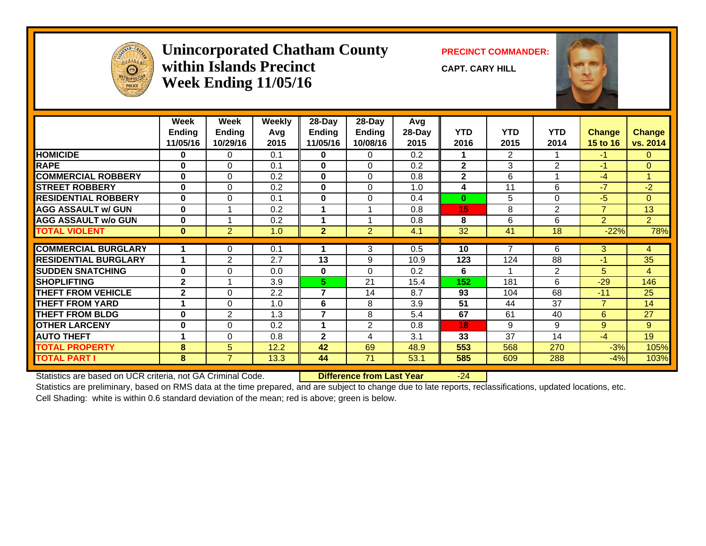

#### **Unincorporated Chatham County PRECINCT COMMANDER: within Islands PrecinctWeek Ending 11/05/16**

**CAPT. CARY HILL**



|                             | Week           | Week           | <b>Weekly</b> | 28-Day                  | 28-Day         | Avg    |                |                |                 |                |                |
|-----------------------------|----------------|----------------|---------------|-------------------------|----------------|--------|----------------|----------------|-----------------|----------------|----------------|
|                             | <b>Ending</b>  | <b>Ending</b>  | Avg           | <b>Ending</b>           | <b>Ending</b>  | 28-Day | <b>YTD</b>     | <b>YTD</b>     | <b>YTD</b>      | <b>Change</b>  | <b>Change</b>  |
|                             | 11/05/16       | 10/29/16       | 2015          | 11/05/16                | 10/08/16       | 2015   | 2016           | 2015           | 2014            | 15 to 16       | vs. 2014       |
| <b>HOMICIDE</b>             | $\bf{0}$       | 0              | 0.1           | $\mathbf 0$             | 0              | 0.2    |                | $\overline{2}$ |                 | $-1$           | $\mathbf{0}$   |
| <b>RAPE</b>                 | $\bf{0}$       | $\Omega$       | 0.1           | $\bf{0}$                | $\Omega$       | 0.2    | $\overline{2}$ | 3              | $\overline{2}$  | $-1$           | $\Omega$       |
| <b>COMMERCIAL ROBBERY</b>   | $\bf{0}$       | $\Omega$       | 0.2           | $\bf{0}$                | $\Omega$       | 0.8    | $\mathbf{2}$   | 6              |                 | $-4$           | 1              |
| <b>STREET ROBBERY</b>       | $\mathbf{0}$   | $\mathbf 0$    | 0.2           | $\mathbf 0$             | 0              | 1.0    | 4              | 11             | 6               | $-7$           | $-2$           |
| <b>RESIDENTIAL ROBBERY</b>  | $\mathbf{0}$   | $\Omega$       | 0.1           | $\bf{0}$                | $\Omega$       | 0.4    | $\bf{0}$       | 5              | $\Omega$        | $-5$           | $\Omega$       |
| <b>AGG ASSAULT w/ GUN</b>   | $\mathbf{0}$   |                | 0.2           |                         |                | 0.8    | 15             | 8              | 2               | $\overline{7}$ | 13             |
| <b>AGG ASSAULT w/o GUN</b>  | $\mathbf{0}$   |                | 0.2           | 1                       |                | 0.8    | 8              | 6              | 6               | $\overline{2}$ | $\overline{2}$ |
| <b>TOTAL VIOLENT</b>        | $\mathbf{0}$   | $\overline{2}$ | 1.0           | $\overline{2}$          | $\overline{2}$ | 4.1    | 32             | 41             | 18              | $-22%$         | 78%            |
|                             |                |                |               |                         |                |        |                | 7              |                 |                |                |
| <b>COMMERCIAL BURGLARY</b>  |                | 0              | 0.1           |                         | 3              | 0.5    | 10             |                | 6               | 3              | 4              |
| <b>RESIDENTIAL BURGLARY</b> |                | $\overline{2}$ | 2.7           | 13                      | 9              | 10.9   | 123            | 124            | 88              | $-1$           | 35             |
| <b>SUDDEN SNATCHING</b>     | $\bf{0}$       | $\Omega$       | 0.0           | $\bf{0}$                | $\Omega$       | 0.2    | 6              |                | 2               | 5              | $\overline{4}$ |
| <b>SHOPLIFTING</b>          | $\overline{2}$ |                | 3.9           | 5.                      | 21             | 15.4   | 152            | 181            | 6               | $-29$          | 146            |
| <b>THEFT FROM VEHICLE</b>   | $\mathbf{2}$   | 0              | 2.2           | $\overline{\mathbf{r}}$ | 14             | 8.7    | 93             | 104            | 68              | $-11$          | 25             |
| <b>THEFT FROM YARD</b>      |                | $\Omega$       | 1.0           | 6                       | 8              | 3.9    | 51             | 44             | $\overline{37}$ | $\overline{7}$ | 14             |
| <b>THEFT FROM BLDG</b>      | $\bf{0}$       | $\overline{2}$ | 1.3           | $\overline{7}$          | 8              | 5.4    | 67             | 61             | 40              | 6              | 27             |
| <b>OTHER LARCENY</b>        | 0              | $\mathbf 0$    | 0.2           |                         | $\overline{2}$ | 0.8    | 18             | 9              | 9               | 9              | 9              |
| <b>AUTO THEFT</b>           | 1              | $\Omega$       | 0.8           | $\mathbf{2}$            | 4              | 3.1    | 33             | 37             | 14              | $-4$           | 19             |
| <b>TOTAL PROPERTY</b>       | 8              | 5              | 12.2          | 42                      | 69             | 48.9   | 553            | 568            | 270             | $-3%$          | 105%           |
| <b>TOTAL PART I</b>         | 8              | $\overline{7}$ | 13.3          | 44                      | 71             | 53.1   | 585            | 609            | 288             | $-4%$          | 103%           |

Statistics are based on UCR criteria, not GA Criminal Code. **Difference from Last Year** -24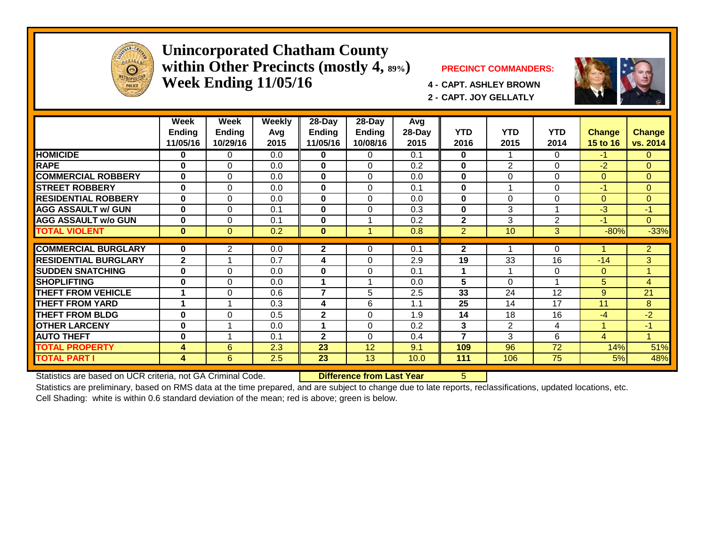

#### **Unincorporated Chatham County within Other Precincts (mostly 4, 89%) PRECINCT COMMANDERS: Week Ending 11/05/16 4 - CAPT. ASHLEY BROWN**



**2 - CAPT. JOY GELLATLY**



|                             | Week<br><b>Ending</b><br>11/05/16 | Week<br><b>Ending</b><br>10/29/16 | Weekly<br>Avg<br>2015 | 28-Day<br><b>Ending</b><br>11/05/16 | 28-Day<br><b>Ending</b><br>10/08/16 | Avg<br>28-Day<br>2015 | <b>YTD</b><br>2016 | <b>YTD</b><br>2015 | <b>YTD</b><br>2014 | Change<br>15 to 16 | <b>Change</b><br>vs. 2014 |
|-----------------------------|-----------------------------------|-----------------------------------|-----------------------|-------------------------------------|-------------------------------------|-----------------------|--------------------|--------------------|--------------------|--------------------|---------------------------|
| <b>HOMICIDE</b>             | 0                                 | 0                                 | 0.0                   | 0                                   | 0                                   | 0.1                   | $\mathbf{0}$       |                    | $\Omega$           | $-1$               | $\overline{0}$            |
| <b>RAPE</b>                 | $\bf{0}$                          | $\Omega$                          | 0.0                   | $\mathbf{0}$                        | $\Omega$                            | 0.2                   | 0                  | $\overline{2}$     | 0                  | $-2$               | $\Omega$                  |
| <b>COMMERCIAL ROBBERY</b>   | $\bf{0}$                          | $\Omega$                          | 0.0                   | $\mathbf{0}$                        | $\Omega$                            | 0.0                   | $\bf{0}$           | $\Omega$           | 0                  | $\Omega$           | $\Omega$                  |
| <b>STREET ROBBERY</b>       | $\bf{0}$                          | $\Omega$                          | 0.0                   | 0                                   | $\Omega$                            | 0.1                   | 0                  | 4                  | 0                  | $-1$               | $\overline{0}$            |
| <b>RESIDENTIAL ROBBERY</b>  | $\bf{0}$                          | $\Omega$                          | 0.0                   | $\mathbf{0}$                        | $\Omega$                            | 0.0                   | $\bf{0}$           | $\Omega$           | $\Omega$           | $\Omega$           | $\overline{0}$            |
| <b>AGG ASSAULT w/ GUN</b>   | $\bf{0}$                          | $\Omega$                          | 0.1                   | $\mathbf{0}$                        | $\Omega$                            | 0.3                   | $\bf{0}$           | 3                  | 1                  | $-3$               | $-1$                      |
| <b>AGG ASSAULT w/o GUN</b>  | $\bf{0}$                          | $\Omega$                          | 0.1                   | $\mathbf{0}$                        |                                     | 0.2                   | $\mathbf{2}$       | 3                  | 2                  | $-1$               | $\Omega$                  |
| <b>TOTAL VIOLENT</b>        | $\bf{0}$                          | $\Omega$                          | 0.2                   | $\bf{0}$                            |                                     | 0.8                   | 2                  | 10                 | 3                  | $-80%$             | $-33%$                    |
| <b>COMMERCIAL BURGLARY</b>  |                                   |                                   |                       |                                     |                                     |                       |                    |                    |                    |                    |                           |
|                             | $\bf{0}$                          | 2                                 | 0.0                   | $\mathbf{2}$                        | 0                                   | 0.1                   | 2                  |                    | 0                  |                    | $\overline{2}$            |
| <b>RESIDENTIAL BURGLARY</b> | $\mathbf{2}$                      |                                   | 0.7                   | 4                                   | 0                                   | 2.9                   | 19                 | 33                 | 16                 | $-14$              | 3                         |
| <b>ISUDDEN SNATCHING</b>    | $\bf{0}$                          | $\Omega$                          | 0.0                   | 0                                   | $\Omega$                            | 0.1                   | 1                  |                    | 0                  | $\Omega$           | 1                         |
| <b>SHOPLIFTING</b>          | $\bf{0}$                          | $\Omega$                          | 0.0                   | 1                                   | 4                                   | 0.0                   | 5                  | $\Omega$           | 1                  | 5                  | 4                         |
| <b>THEFT FROM VEHICLE</b>   | 1                                 | $\Omega$                          | 0.6                   | $\overline{\mathbf{z}}$             | 5                                   | 2.5                   | 33                 | 24                 | 12                 | 9                  | 21                        |
| <b>THEFT FROM YARD</b>      | 4                                 |                                   | 0.3                   | 4                                   | 6                                   | 1.1                   | 25                 | 14                 | 17                 | 11                 | 8                         |
| <b>THEFT FROM BLDG</b>      | $\bf{0}$                          | $\Omega$                          | 0.5                   | $\mathbf{2}$                        | $\Omega$                            | 1.9                   | 14                 | 18                 | 16                 | $-4$               | $-2$                      |
| <b>OTHER LARCENY</b>        | $\bf{0}$                          |                                   | 0.0                   |                                     | $\Omega$                            | 0.2                   | 3                  | $\overline{2}$     | 4                  |                    | $-1$                      |
| <b>AUTO THEFT</b>           | $\bf{0}$                          |                                   | 0.1                   | $\mathbf{2}$                        | $\Omega$                            | 0.4                   | $\overline{7}$     | 3                  | 6                  | 4                  | 4                         |
| <b>TOTAL PROPERTY</b>       | 4                                 | 6                                 | 2.3                   | 23                                  | 12                                  | 9.1                   | 109                | 96                 | 72                 | 14%                | 51%                       |
| <b>TOTAL PART I</b>         | 4                                 | 6                                 | 2.5                   | 23                                  | 13                                  | 10.0                  | 111                | 106                | 75                 | 5%                 | 48%                       |

Statistics are based on UCR criteria, not GA Criminal Code. **Difference from Last Year** 5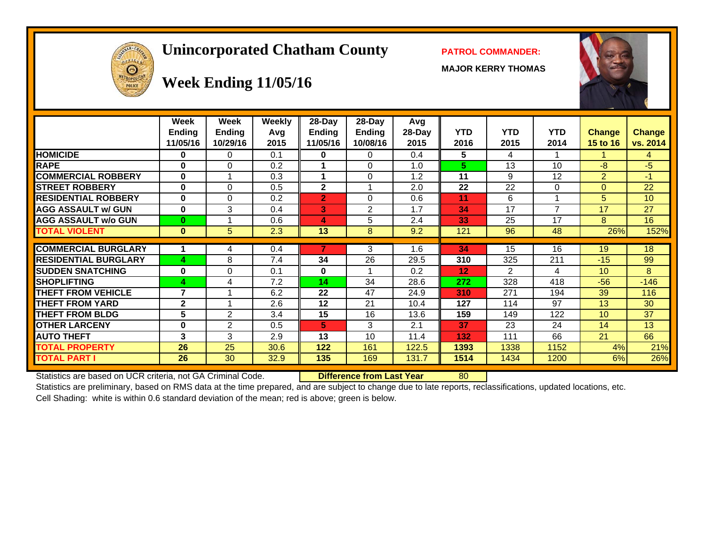# **Unincorporated Chatham County PATROL COMMANDER:**

**MAJOR KERRY THOMAS**





# **Week Ending 11/05/16**

|                             | Week<br>Ending<br>11/05/16 | Week<br><b>Ending</b><br>10/29/16 | <b>Weekly</b><br>Avg<br>2015 | 28-Day<br>Ending<br>11/05/16 | 28-Day<br><b>Ending</b><br>10/08/16 | Avg<br>28-Day<br>2015 | <b>YTD</b><br>2016 | <b>YTD</b><br>2015 | <b>YTD</b><br>2014 | <b>Change</b><br>15 to 16 | <b>Change</b><br>vs. 2014 |
|-----------------------------|----------------------------|-----------------------------------|------------------------------|------------------------------|-------------------------------------|-----------------------|--------------------|--------------------|--------------------|---------------------------|---------------------------|
| <b>HOMICIDE</b>             | 0                          | 0                                 | 0.1                          | 0                            | 0                                   | 0.4                   | 5                  | 4                  |                    |                           | 4                         |
| <b>RAPE</b>                 | $\bf{0}$                   | $\Omega$                          | 0.2                          |                              | $\Omega$                            | 1.0                   | 5                  | 13                 | 10                 | $-8$                      | $-5$                      |
| <b>COMMERCIAL ROBBERY</b>   | $\bf{0}$                   | 1                                 | 0.3                          |                              | $\Omega$                            | 1.2                   | 11                 | 9                  | 12                 | $\overline{2}$            | $-1$                      |
| <b>STREET ROBBERY</b>       | $\bf{0}$                   | $\Omega$                          | 0.5                          | $\overline{\mathbf{2}}$      |                                     | 2.0                   | 22                 | 22                 | $\Omega$           | $\Omega$                  | 22                        |
| <b>RESIDENTIAL ROBBERY</b>  | 0                          | $\Omega$                          | 0.2                          | 2                            | 0                                   | 0.6                   | 11                 | 6                  |                    | 5.                        | 10                        |
| <b>AGG ASSAULT w/ GUN</b>   | 0                          | 3                                 | 0.4                          | 3                            | $\overline{2}$                      | 1.7                   | 34                 | 17                 | 7                  | 17                        | 27                        |
| <b>AGG ASSAULT w/o GUN</b>  | $\bf{0}$                   |                                   | 0.6                          | 4                            | 5                                   | 2.4                   | 33                 | 25                 | 17                 | 8                         | 16                        |
| <b>TOTAL VIOLENT</b>        | $\bf{0}$                   | 5                                 | 2.3                          | 13                           | 8                                   | 9.2                   | 121                | 96                 | 48                 | 26%                       | 152%                      |
|                             |                            |                                   |                              |                              |                                     |                       |                    |                    |                    |                           |                           |
| <b>COMMERCIAL BURGLARY</b>  |                            | 4                                 | 0.4                          | 7                            | 3                                   | 1.6                   | 34                 | 15                 | 16                 | 19                        | 18                        |
| <b>RESIDENTIAL BURGLARY</b> | 4                          | 8                                 | 7.4                          | 34                           | 26                                  | 29.5                  | 310                | 325                | 211                | $-15$                     | 99                        |
| <b>SUDDEN SNATCHING</b>     | $\bf{0}$                   | $\Omega$                          | 0.1                          | 0                            |                                     | 0.2                   | 12                 | $\overline{2}$     | 4                  | 10                        | 8                         |
| <b>SHOPLIFTING</b>          | 4                          | 4                                 | 7.2                          | 14                           | 34                                  | 28.6                  | 272                | 328                | 418                | $-56$                     | $-146$                    |
| <b>THEFT FROM VEHICLE</b>   | 7                          |                                   | 6.2                          | 22                           | 47                                  | 24.9                  | 310                | 271                | 194                | 39                        | 116                       |
| <b>THEFT FROM YARD</b>      | $\mathbf{2}$               |                                   | 2.6                          | 12                           | 21                                  | 10.4                  | 127                | 114                | 97                 | 13                        | 30                        |
| <b>THEFT FROM BLDG</b>      | 5                          | $\overline{2}$                    | 3.4                          | 15                           | 16                                  | 13.6                  | 159                | 149                | 122                | 10                        | 37                        |
| <b>OTHER LARCENY</b>        | 0                          | $\overline{2}$                    | 0.5                          | 5                            | 3                                   | 2.1                   | 37                 | 23                 | 24                 | 14                        | 13                        |
| <b>AUTO THEFT</b>           | 3                          | 3                                 | 2.9                          | 13                           | 10                                  | 11.4                  | 132                | 111                | 66                 | 21                        | 66                        |
| <b>TOTAL PROPERTY</b>       | 26                         | 25                                | 30.6                         | 122                          | 161                                 | 122.5                 | 1393               | 1338               | 1152               | 4%                        | 21%                       |
| <b>TOTAL PART I</b>         | 26                         | 30                                | 32.9                         | 135                          | 169                                 | 131.7                 | 1514               | 1434               | 1200               | 6%                        | 26%                       |

Statistics are based on UCR criteria, not GA Criminal Code. **Difference from Last Year** 80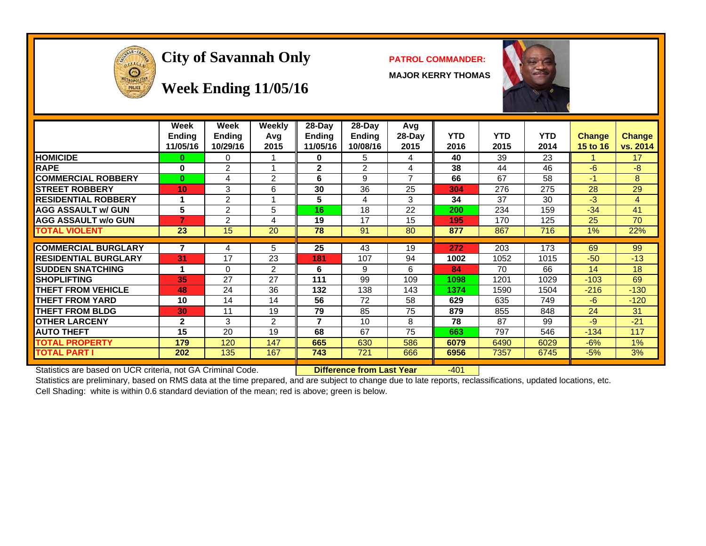

# **City of Savannah Only PATROL COMMANDER:**

**MAJOR KERRY THOMAS**



#### **Week Ending 11/05/16**

|                             | Week<br>Ending<br>11/05/16 | Week<br>Ending<br>10/29/16 | <b>Weekly</b><br>Avg<br>2015 | $28$ -Day<br><b>Ending</b><br>11/05/16 | $28-Day$<br><b>Ending</b><br>10/08/16 | Avg<br>$28-Day$<br>2015  | <b>YTD</b><br>2016 | <b>YTD</b><br>2015 | <b>YTD</b><br>2014 | <b>Change</b><br>15 to 16 | <b>Change</b><br>vs. 2014 |
|-----------------------------|----------------------------|----------------------------|------------------------------|----------------------------------------|---------------------------------------|--------------------------|--------------------|--------------------|--------------------|---------------------------|---------------------------|
| <b>HOMICIDE</b>             | 0                          | 0                          |                              | 0                                      | 5                                     | 4                        | 40                 | 39                 | 23                 |                           | 17                        |
| <b>RAPE</b>                 | 0                          | 2                          |                              | $\mathbf{2}$                           | 2                                     | 4                        | 38                 | 44                 | 46                 | -6                        | -8                        |
| <b>COMMERCIAL ROBBERY</b>   | $\mathbf{0}$               | 4                          | 2                            | 6                                      | 9                                     | $\overline{\phantom{a}}$ | 66                 | 67                 | 58                 | $-1$                      | 8                         |
| <b>STREET ROBBERY</b>       | 10                         | 3                          | 6                            | 30                                     | 36                                    | 25                       | 304                | 276                | 275                | 28                        | 29                        |
| <b>RESIDENTIAL ROBBERY</b>  |                            | $\overline{2}$             |                              | 5                                      | 4                                     | 3                        | 34                 | 37                 | 30                 | $-3$                      | 4                         |
| <b>AGG ASSAULT w/ GUN</b>   | 5                          | $\overline{2}$             | 5                            | 16                                     | 18                                    | 22                       | 200                | 234                | 159                | $-34$                     | 41                        |
| <b>AGG ASSAULT w/o GUN</b>  |                            | 2                          | 4                            | 19                                     | 17                                    | 15                       | 195                | 170                | 125                | 25                        | 70                        |
| <b>TOTAL VIOLENT</b>        | 23                         | 15                         | 20                           | 78                                     | 91                                    | 80                       | 877                | 867                | 716                | 1%                        | 22%                       |
|                             |                            |                            |                              |                                        |                                       |                          |                    |                    |                    |                           |                           |
| <b>COMMERCIAL BURGLARY</b>  |                            | 4                          | 5                            | 25                                     | 43                                    | 19                       | 272                | 203                | 173                | 69                        | 99                        |
| <b>RESIDENTIAL BURGLARY</b> | 31                         | 17                         | 23                           | 181                                    | 107                                   | 94                       | 1002               | 1052               | 1015               | $-50$                     | $-13$                     |
| <b>ISUDDEN SNATCHING</b>    |                            | $\Omega$                   | 2                            | 6                                      | 9                                     | 6                        | 84                 | 70                 | 66                 | 14                        | 18                        |
| <b>SHOPLIFTING</b>          | 35                         | 27                         | 27                           | 111                                    | 99                                    | 109                      | 1098               | 1201               | 1029               | $-103$                    | 69                        |
| <b>THEFT FROM VEHICLE</b>   | 48                         | 24                         | 36                           | 132                                    | 138                                   | 143                      | 1374               | 1590               | 1504               | $-216$                    | $-130$                    |
| <b>THEFT FROM YARD</b>      | 10                         | 14                         | 14                           | 56                                     | 72                                    | 58                       | 629                | 635                | 749                | $-6$                      | $-120$                    |
| <b>THEFT FROM BLDG</b>      | 30                         | 11                         | 19                           | 79                                     | 85                                    | 75                       | 879                | 855                | 848                | 24                        | 31                        |
| <b>OTHER LARCENY</b>        | $\mathbf{2}$               | 3                          | $\overline{2}$               | 7                                      | 10                                    | 8                        | 78                 | 87                 | 99                 | $-9$                      | $-21$                     |
| <b>AUTO THEFT</b>           | 15                         | 20                         | 19                           | 68                                     | 67                                    | 75                       | 663                | 797                | 546                | $-134$                    | 117                       |
| <b>TOTAL PROPERTY</b>       | 179                        | 120                        | 147                          | 665                                    | 630                                   | 586                      | 6079               | 6490               | 6029               | $-6%$                     | 1%                        |
| <b>TOTAL PART I</b>         | 202                        | 135                        | 167                          | 743                                    | 721                                   | 666                      | 6956               | 7357               | 6745               | $-5%$                     | 3%                        |

Statistics are based on UCR criteria, not GA Criminal Code. **Difference from Last Year** -401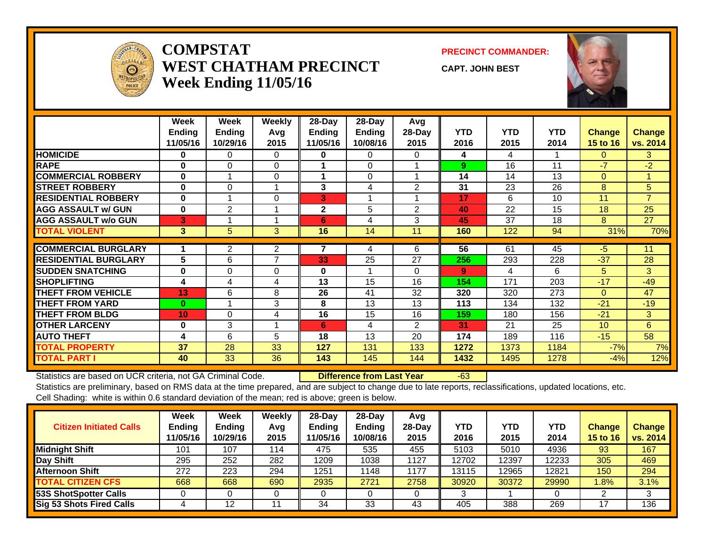

#### **COMPSTATWEST CHATHAM PRECINCTWeek Ending 11/05/16**

#### **PRECINCT COMMANDER:**

**CAPT. JOHN BEST**



|                             | Week<br><b>Ending</b> | Week<br>Ending | <b>Weekly</b><br>Avg | 28-Day<br>Ending | 28-Day<br>Ending | Avg<br>28-Day  | <b>YTD</b> | <b>YTD</b> | <b>YTD</b> | <b>Change</b>   | <b>Change</b>  |
|-----------------------------|-----------------------|----------------|----------------------|------------------|------------------|----------------|------------|------------|------------|-----------------|----------------|
|                             | 11/05/16              | 10/29/16       | 2015                 | 11/05/16         | 10/08/16         | 2015           | 2016       | 2015       | 2014       | <b>15 to 16</b> | vs. 2014       |
| <b>HOMICIDE</b>             | 0                     | 0              | 0                    | 0                | 0                | 0              | 4          | 4          |            | $\Omega$        | 3              |
| <b>RAPE</b>                 | $\bf{0}$              | 0              | $\Omega$             |                  | $\Omega$         |                | 9          | 16         | 11         | -7              | $-2$           |
| <b>COMMERCIAL ROBBERY</b>   | $\bf{0}$              |                | $\Omega$             | 1                | $\Omega$         |                | 14         | 14         | 13         | $\Omega$        | 1              |
| <b>STREET ROBBERY</b>       | $\bf{0}$              | 0              |                      | 3                | 4                | 2              | 31         | 23         | 26         | 8               | 5              |
| <b>RESIDENTIAL ROBBERY</b>  | $\bf{0}$              |                | $\Omega$             | 3                |                  |                | 17         | 6          | 10         | 11              | $\overline{7}$ |
| <b>AGG ASSAULT w/ GUN</b>   | $\bf{0}$              | $\overline{2}$ |                      | $\mathbf{2}$     | 5                | 2              | 40         | 22         | 15         | 18              | 25             |
| <b>AGG ASSAULT w/o GUN</b>  | 3                     |                |                      | 6                | 4                | 3              | 45         | 37         | 18         | 8               | 27             |
| <b>TOTAL VIOLENT</b>        | 3                     | 5              | 3                    | 16               | 14               | 11             | 160        | 122        | 94         | 31%             | 70%            |
|                             |                       |                |                      |                  |                  |                |            |            |            |                 |                |
| <b>COMMERCIAL BURGLARY</b>  |                       | $\overline{2}$ | $\overline{2}$       | 7                | 4                | 6              | 56         | 61         | 45         | -5              | 11             |
| <b>RESIDENTIAL BURGLARY</b> | 5                     | 6              | 7                    | 33               | 25               | 27             | 256        | 293        | 228        | $-37$           | 28             |
| <b>SUDDEN SNATCHING</b>     | $\bf{0}$              | $\Omega$       | $\Omega$             | $\bf{0}$         |                  | 0              | 9          | 4          | 6          | 5               | 3              |
| <b>SHOPLIFTING</b>          | 4                     | 4              | 4                    | 13               | 15               | 16             | 154        | 171        | 203        | $-17$           | $-49$          |
| <b>THEFT FROM VEHICLE</b>   | 13                    | 6              | 8                    | 26               | 41               | 32             | 320        | 320        | 273        | $\Omega$        | 47             |
| <b>THEFT FROM YARD</b>      | $\bf{0}$              |                | 3                    | 8                | 13               | 13             | 113        | 134        | 132        | $-21$           | $-19$          |
| <b>THEFT FROM BLDG</b>      | 10                    | $\Omega$       | 4                    | 16               | 15               | 16             | 159        | 180        | 156        | $-21$           | 3              |
| <b>OTHER LARCENY</b>        | $\bf{0}$              | 3              |                      | 6                | 4                | $\overline{2}$ | 31         | 21         | 25         | 10 <sup>1</sup> | 6              |
| <b>AUTO THEFT</b>           | 4                     | 6              | 5                    | 18               | 13               | 20             | 174        | 189        | 116        | $-15$           | 58             |
| <b>TOTAL PROPERTY</b>       | 37                    | 28             | 33                   | 127              | 131              | 133            | 1272       | 1373       | 1184       | $-7%$           | 7%             |
| <b>TOTAL PART I</b>         | 40                    | 33             | 36                   | 143              | 145              | 144            | 1432       | 1495       | 1278       | $-4%$           | 12%            |

Statistics are based on UCR criteria, not GA Criminal Code. **Difference from Last Year** -63

| <b>Citizen Initiated Calls</b>  | Week<br><b>Ending</b><br>11/05/16 | <b>Week</b><br><b>Ending</b><br>10/29/16 | Weekly<br>Avg<br>2015 | $28$ -Day<br><b>Ending</b><br>11/05/16 | 28-Day<br><b>Ending</b><br>10/08/16 | Avg<br>$28-Day$<br>2015 | <b>YTD</b><br>2016 | <b>YTD</b><br>2015 | YTD<br>2014 | <b>Change</b><br>15 to 16 | Change<br>vs. 2014 |
|---------------------------------|-----------------------------------|------------------------------------------|-----------------------|----------------------------------------|-------------------------------------|-------------------------|--------------------|--------------------|-------------|---------------------------|--------------------|
| <b>Midnight Shift</b>           | 101                               | 107                                      | 114                   | 475                                    | 535                                 | 455                     | 5103               | 5010               | 4936        | 93                        | 167                |
| Day Shift                       | 295                               | 252                                      | 282                   | 1209                                   | 1038                                | 1127                    | 12702              | 12397              | 12233       | 305                       | 469                |
| <b>Afternoon Shift</b>          | 272                               | 223                                      | 294                   | 1251                                   | 1148                                | 1177                    | 13115              | 12965              | 12821       | 150                       | 294                |
| <b>TOTAL CITIZEN CFS</b>        | 668                               | 668                                      | 690                   | 2935                                   | 2721                                | 2758                    | 30920              | 30372              | 29990       | $1.8\%$                   | 3.1%               |
| 53S ShotSpotter Calls           |                                   |                                          |                       |                                        |                                     |                         |                    |                    |             |                           |                    |
| <b>Sig 53 Shots Fired Calls</b> |                                   | 12                                       | 11                    | 34                                     | 33                                  | 43                      | 405                | 388                | 269         |                           | 136                |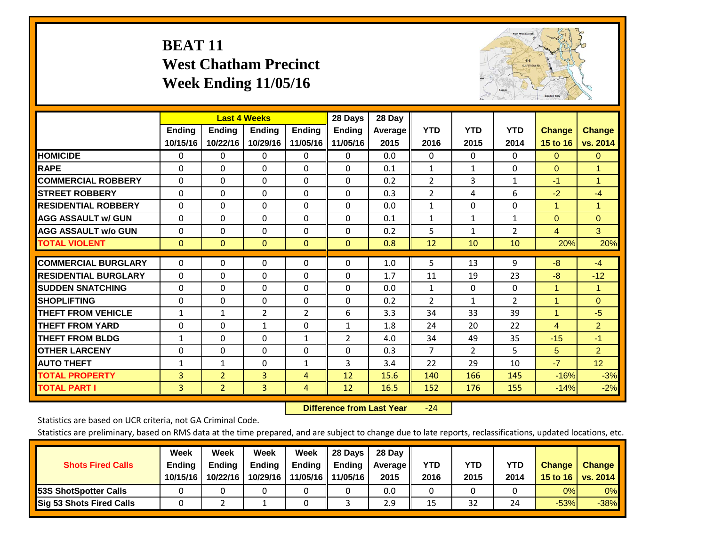# **BEAT 11 West Chatham Precinct Week Ending 11/05/16**



|                             |               | <b>Last 4 Weeks</b> |                |                | 28 Days        | 28 Day  |                |                |                |                      |                      |
|-----------------------------|---------------|---------------------|----------------|----------------|----------------|---------|----------------|----------------|----------------|----------------------|----------------------|
|                             | <b>Ending</b> | <b>Ending</b>       | <b>Ending</b>  | <b>Ending</b>  | <b>Ending</b>  | Average | <b>YTD</b>     | <b>YTD</b>     | <b>YTD</b>     | <b>Change</b>        | <b>Change</b>        |
|                             | 10/15/16      | 10/22/16            | 10/29/16       | 11/05/16       | 11/05/16       | 2015    | 2016           | 2015           | 2014           | 15 to 16             | vs. 2014             |
| <b>HOMICIDE</b>             | 0             | 0                   | $\Omega$       | $\Omega$       | $\mathbf{0}$   | 0.0     | $\mathbf{0}$   | $\mathbf{0}$   | 0              | $\mathbf{0}$         | $\overline{0}$       |
| <b>RAPE</b>                 | 0             | $\Omega$            | $\Omega$       | $\Omega$       | $\Omega$       | 0.1     | 1              | 1              | 0              | $\Omega$             | 1                    |
| <b>COMMERCIAL ROBBERY</b>   | $\Omega$      | 0                   | $\Omega$       | 0              | $\Omega$       | 0.2     | $\overline{2}$ | 3              | 1              | $-1$                 | $\blacktriangleleft$ |
| <b>ISTREET ROBBERY</b>      | $\Omega$      | $\Omega$            | $\Omega$       | $\Omega$       | $\Omega$       | 0.3     | $\overline{2}$ | 4              | 6              | $-2$                 | $-4$                 |
| <b>RESIDENTIAL ROBBERY</b>  | $\Omega$      | $\Omega$            | $\Omega$       | $\Omega$       | $\Omega$       | 0.0     | 1              | $\Omega$       | $\Omega$       | $\overline{1}$       | $\blacktriangleleft$ |
| <b>AGG ASSAULT w/ GUN</b>   | $\Omega$      | 0                   | $\mathbf{0}$   | $\mathbf{0}$   | $\Omega$       | 0.1     | 1              | $\mathbf{1}$   | 1              | $\Omega$             | $\mathbf{0}$         |
| <b>AGG ASSAULT w/o GUN</b>  | $\Omega$      | 0                   | $\Omega$       | $\Omega$       | $\Omega$       | 0.2     | 5              | $\mathbf{1}$   | $\overline{2}$ | $\overline{4}$       | 3 <sup>°</sup>       |
| <b>TOTAL VIOLENT</b>        | $\mathbf{0}$  | $\mathbf{0}$        | $\mathbf{0}$   | $\mathbf{0}$   | $\mathbf{0}$   | 0.8     | 12             | 10             | 10             | 20%                  | 20%                  |
| <b>COMMERCIAL BURGLARY</b>  | $\Omega$      |                     |                |                | $\Omega$       |         |                | 13             |                | $-8$                 | $-4$                 |
|                             |               | 0                   | 0              | 0              |                | 1.0     | 5              |                | 9              |                      |                      |
| <b>RESIDENTIAL BURGLARY</b> | $\Omega$      | $\Omega$            | $\Omega$       | $\Omega$       | $\Omega$       | 1.7     | 11             | 19             | 23             | -8                   | $-12$                |
| <b>ISUDDEN SNATCHING</b>    | $\Omega$      | 0                   | $\Omega$       | $\mathbf{0}$   | $\Omega$       | 0.0     | 1              | $\Omega$       | 0              | 1                    | 1                    |
| <b>SHOPLIFTING</b>          | 0             | 0                   | $\Omega$       | 0              | 0              | 0.2     | $\overline{2}$ | $\mathbf{1}$   | $\overline{2}$ | $\blacktriangleleft$ | $\overline{0}$       |
| <b>THEFT FROM VEHICLE</b>   | $\mathbf{1}$  | $\mathbf{1}$        | $\overline{2}$ | $\overline{2}$ | 6              | 3.3     | 34             | 33             | 39             | 1                    | $-5$                 |
| <b>THEFT FROM YARD</b>      | 0             | $\Omega$            | 1              | 0              | 1              | 1.8     | 24             | 20             | 22             | $\overline{4}$       | $\overline{2}$       |
| <b>THEFT FROM BLDG</b>      | 1             | 0                   | $\mathbf{0}$   | $\mathbf{1}$   | $\overline{2}$ | 4.0     | 34             | 49             | 35             | $-15$                | $-1$                 |
| <b>OTHER LARCENY</b>        | 0             | 0                   | $\Omega$       | $\mathbf{0}$   | $\Omega$       | 0.3     | $\overline{7}$ | $\overline{2}$ | 5.             | 5                    | $\overline{2}$       |
| <b>AUTO THEFT</b>           | $\mathbf{1}$  | $\mathbf{1}$        | 0              | 1              | 3              | 3.4     | 22             | 29             | 10             | $-7$                 | 12 <sub>2</sub>      |
| <b>TOTAL PROPERTY</b>       | 3             | $\overline{2}$      | 3              | 4              | 12             | 15.6    | 140            | 166            | 145            | $-16%$               | $-3%$                |
| <b>TOTAL PART I</b>         | 3             | $\overline{2}$      | $\overline{3}$ | 4              | 12             | 16.5    | 152            | 176            | 155            | $-14%$               | $-2%$                |

 **Difference from Last Year**‐24

Statistics are based on UCR criteria, not GA Criminal Code.

| <b>Shots Fired Calls</b>        | Week<br><b>Ending</b><br>10/15/16 | Week<br><b>Endina</b><br>10/22/16 | Week<br>Ending<br>10/29/16 | Week<br>Ending<br>11/05/16 | 28 Days<br><b>Ending</b><br>11/05/16 | 28 Day<br>Average II<br>2015 | YTD<br>2016 | YTD<br>2015 | <b>YTD</b><br>2014 | <b>Change</b><br>15 to $16$ | <b>Change</b><br>vs. 2014 |
|---------------------------------|-----------------------------------|-----------------------------------|----------------------------|----------------------------|--------------------------------------|------------------------------|-------------|-------------|--------------------|-----------------------------|---------------------------|
| <b>153S ShotSpotter Calls</b>   |                                   |                                   |                            |                            |                                      | 0.0                          |             |             |                    | 0%                          | 0%                        |
| <b>Sig 53 Shots Fired Calls</b> |                                   |                                   |                            |                            |                                      | 2.9                          | 15          | 32          | 24                 | $-53%$                      | $-38%$                    |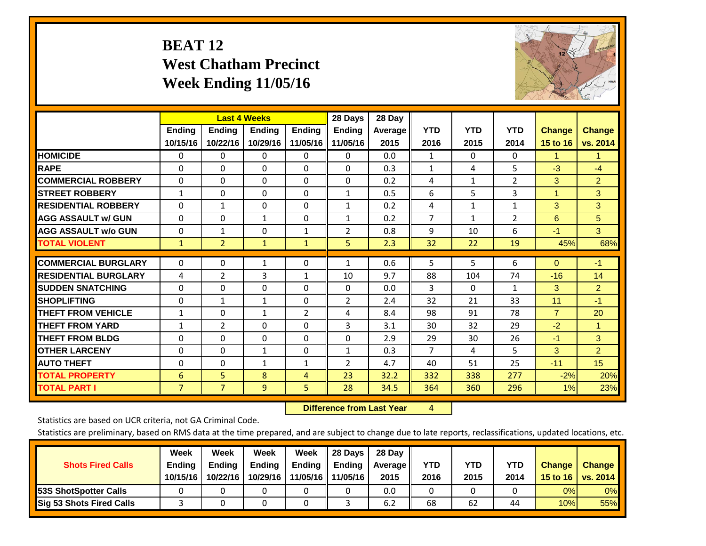# **BEAT 12 West Chatham Precinct Week Ending 11/05/16**



|                             |                | <b>Last 4 Weeks</b> |                |                | 28 Days        | 28 Day  |                |              |                |                |                      |
|-----------------------------|----------------|---------------------|----------------|----------------|----------------|---------|----------------|--------------|----------------|----------------|----------------------|
|                             | <b>Ending</b>  | <b>Ending</b>       | <b>Endina</b>  | <b>Ending</b>  | <b>Endina</b>  | Average | <b>YTD</b>     | <b>YTD</b>   | <b>YTD</b>     | <b>Change</b>  | <b>Change</b>        |
|                             | 10/15/16       | 10/22/16            | 10/29/16       | 11/05/16       | 11/05/16       | 2015    | 2016           | 2015         | 2014           | 15 to 16       | vs. 2014             |
| <b>HOMICIDE</b>             | 0              | $\Omega$            | $\Omega$       | 0              | 0              | 0.0     | 1              | $\Omega$     | 0              | 1              | 1.                   |
| <b>RAPE</b>                 | $\Omega$       | $\Omega$            | $\mathbf{0}$   | 0              | 0              | 0.3     | $\mathbf{1}$   | 4            | 5              | $-3$           | $-4$                 |
| <b>COMMERCIAL ROBBERY</b>   | $\Omega$       | $\Omega$            | $\Omega$       | $\Omega$       | $\Omega$       | 0.2     | 4              | $\mathbf{1}$ | $\overline{2}$ | 3              | $\overline{2}$       |
| <b>ISTREET ROBBERY</b>      | $\mathbf{1}$   | $\Omega$            | $\Omega$       | $\Omega$       | $\mathbf{1}$   | 0.5     | 6              | 5            | 3              | $\overline{1}$ | 3                    |
| <b>RESIDENTIAL ROBBERY</b>  | $\Omega$       | $\mathbf{1}$        | $\mathbf{0}$   | $\Omega$       | $\mathbf{1}$   | 0.2     | 4              | 1            | 1              | 3              | 3                    |
| <b>AGG ASSAULT w/ GUN</b>   | $\Omega$       | $\Omega$            | $\mathbf{1}$   | $\Omega$       | $\mathbf{1}$   | 0.2     | $\overline{7}$ | 1            | $\overline{2}$ | 6              | 5                    |
| <b>AGG ASSAULT w/o GUN</b>  | $\mathbf 0$    | 1                   | $\Omega$       | 1              | $\overline{2}$ | 0.8     | 9              | 10           | 6              | $-1$           | 3 <sup>°</sup>       |
| <b>TOTAL VIOLENT</b>        | $\mathbf{1}$   | $\overline{2}$      | $\mathbf{1}$   | $\mathbf{1}$   | 5              | 2.3     | 32             | 22           | 19             | 45%            | 68%                  |
|                             |                |                     |                |                |                |         |                |              |                |                |                      |
| <b>COMMERCIAL BURGLARY</b>  | $\Omega$       | $\Omega$            | $\mathbf{1}$   | $\Omega$       | $\mathbf{1}$   | 0.6     | 5              | 5            | 6              | $\Omega$       | $-1$                 |
| <b>RESIDENTIAL BURGLARY</b> | 4              | 2                   | 3              | 1              | 10             | 9.7     | 88             | 104          | 74             | $-16$          | 14                   |
| <b>SUDDEN SNATCHING</b>     | $\Omega$       | 0                   | $\Omega$       | $\Omega$       | 0              | 0.0     | 3              | 0            | 1              | 3              | $\overline{2}$       |
| <b>SHOPLIFTING</b>          | 0              | $\mathbf{1}$        | $\mathbf{1}$   | $\Omega$       | $\overline{2}$ | 2.4     | 32             | 21           | 33             | 11             | $-1$                 |
| <b>THEFT FROM VEHICLE</b>   | $\mathbf{1}$   | $\Omega$            | $\mathbf{1}$   | $\overline{2}$ | 4              | 8.4     | 98             | 91           | 78             | $\overline{7}$ | 20                   |
| <b>THEFT FROM YARD</b>      | $\mathbf{1}$   | 2                   | $\mathbf{0}$   | $\Omega$       | 3              | 3.1     | 30             | 32           | 29             | $-2$           | $\blacktriangleleft$ |
| <b>THEFT FROM BLDG</b>      | 0              | 0                   | $\Omega$       | $\Omega$       | $\Omega$       | 2.9     | 29             | 30           | 26             | $-1$           | 3                    |
| <b>OTHER LARCENY</b>        | 0              | $\Omega$            | $\mathbf{1}$   | 0              | $\mathbf{1}$   | 0.3     | $\overline{7}$ | 4            | 5              | 3              | $\overline{2}$       |
| <b>AUTO THEFT</b>           | 0              | 0                   | $\mathbf{1}$   | 1              | 2              | 4.7     | 40             | 51           | 25             | $-11$          | 15                   |
| <b>TOTAL PROPERTY</b>       | 6              | 5                   | 8              | $\overline{4}$ | 23             | 32.2    | 332            | 338          | 277            | $-2%$          | 20%                  |
| <b>TOTAL PART I</b>         | $\overline{7}$ | $\overline{7}$      | $\overline{9}$ | 5.             | 28             | 34.5    | 364            | 360          | 296            | 1%             | 23%                  |

 **Difference from Last Year**r 4

Statistics are based on UCR criteria, not GA Criminal Code.

| <b>Shots Fired Calls</b>        | Week<br><b>Ending</b><br>10/15/16 | Week<br><b>Endina</b><br>10/22/16 | Week<br>Ending<br>10/29/16 | Week<br>Ending<br>11/05/16 | 28 Days<br><b>Ending</b><br>11/05/16 | 28 Day<br>Average II<br>2015 | YTD<br>2016 | YTD<br>2015 | <b>YTD</b><br>2014 | <b>Change</b><br>15 to 16 | <b>Change</b><br>vs. 2014 |
|---------------------------------|-----------------------------------|-----------------------------------|----------------------------|----------------------------|--------------------------------------|------------------------------|-------------|-------------|--------------------|---------------------------|---------------------------|
| <b>153S ShotSpotter Calls</b>   |                                   |                                   |                            |                            |                                      | 0.0                          |             |             |                    | 0%                        | 0%                        |
| <b>Sig 53 Shots Fired Calls</b> |                                   |                                   |                            |                            |                                      | 6.2                          | 68          | 62          | 44                 | 10%                       | 55%                       |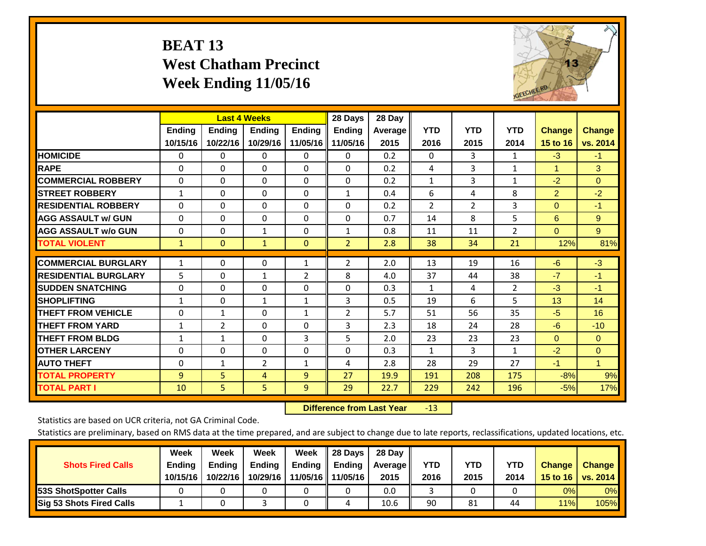# **BEAT 13 West Chatham Precinct Week Ending 11/05/16**



|                             |                           | <b>Last 4 Weeks</b>       |                           |                           | 28 Days                   | 28 Day            |                    |                    |                    |                           |                           |
|-----------------------------|---------------------------|---------------------------|---------------------------|---------------------------|---------------------------|-------------------|--------------------|--------------------|--------------------|---------------------------|---------------------------|
|                             | <b>Ending</b><br>10/15/16 | <b>Ending</b><br>10/22/16 | <b>Endina</b><br>10/29/16 | <b>Endina</b><br>11/05/16 | <b>Endina</b><br>11/05/16 | Average  <br>2015 | <b>YTD</b><br>2016 | <b>YTD</b><br>2015 | <b>YTD</b><br>2014 | <b>Change</b><br>15 to 16 | <b>Change</b><br>vs. 2014 |
| <b>HOMICIDE</b>             | 0                         | 0                         | $\Omega$                  | 0                         | 0                         | 0.2               | $\Omega$           | 3                  | 1                  | $-3$                      | $-1$                      |
| <b>RAPE</b>                 | $\Omega$                  | $\Omega$                  | $\Omega$                  | $\Omega$                  | 0                         | 0.2               | 4                  | 3                  | 1                  | 1                         | 3                         |
| <b>COMMERCIAL ROBBERY</b>   | $\Omega$                  | $\Omega$                  | $\Omega$                  | $\Omega$                  | $\Omega$                  | 0.2               | 1                  | 3                  | $\mathbf{1}$       | $-2$                      | $\Omega$                  |
| <b>STREET ROBBERY</b>       | $\mathbf{1}$              | $\Omega$                  | $\mathbf{0}$              | 0                         | $\mathbf{1}$              | 0.4               | 6                  | 4                  | 8                  | $\overline{2}$            | $-2$                      |
| <b>RESIDENTIAL ROBBERY</b>  | $\Omega$                  | $\Omega$                  | $\mathbf{0}$              | $\Omega$                  | 0                         | 0.2               | $\overline{2}$     | $\overline{2}$     | 3                  | $\Omega$                  | $-1$                      |
| <b>AGG ASSAULT w/ GUN</b>   | $\Omega$                  | $\Omega$                  | $\mathbf{0}$              | $\Omega$                  | $\Omega$                  | 0.7               | 14                 | 8                  | 5                  | 6                         | 9                         |
| <b>AGG ASSAULT w/o GUN</b>  | 0                         | 0                         | $\mathbf{1}$              | $\Omega$                  | 1                         | 0.8               | 11                 | 11                 | $\overline{2}$     | $\Omega$                  | 9                         |
| <b>TOTAL VIOLENT</b>        | $\mathbf{1}$              | $\mathbf{0}$              | $\mathbf{1}$              | $\mathbf{0}$              | $\overline{2}$            | 2.8               | 38                 | 34                 | 21                 | 12%                       | 81%                       |
| <b>COMMERCIAL BURGLARY</b>  | $\mathbf{1}$              | 0                         | $\mathbf{0}$              | 1                         | $\overline{2}$            | 2.0               | 13                 | 19                 | 16                 | $-6$                      | $-3$                      |
| <b>RESIDENTIAL BURGLARY</b> | 5                         | $\Omega$                  | $\mathbf{1}$              | $\overline{2}$            | 8                         | 4.0               | 37                 | 44                 | 38                 | $-7$                      | $-1$                      |
| <b>ISUDDEN SNATCHING</b>    | $\Omega$                  | $\Omega$                  | $\Omega$                  | $\Omega$                  | $\Omega$                  | 0.3               | 1                  | 4                  | $\overline{2}$     | $-3$                      | $-1$                      |
| <b>SHOPLIFTING</b>          | $\mathbf{1}$              | $\Omega$                  | $\mathbf{1}$              | $\mathbf{1}$              | 3                         | 0.5               | 19                 | 6                  | 5                  | 13                        | 14                        |
| <b>THEFT FROM VEHICLE</b>   | $\Omega$                  | $\mathbf{1}$              | $\Omega$                  | 1                         | $\overline{2}$            | 5.7               | 51                 | 56                 | 35                 | $-5$                      | 16                        |
| <b>THEFT FROM YARD</b>      | 1                         | 2                         | $\Omega$                  | $\Omega$                  | 3                         | 2.3               | 18                 | 24                 | 28                 | $-6$                      | $-10$                     |
| <b>THEFT FROM BLDG</b>      | 1                         |                           | $\mathbf{0}$              | 3                         | 5                         | 2.0               | 23                 | 23                 | 23                 | $\Omega$                  | $\Omega$                  |
| <b>OTHER LARCENY</b>        | $\Omega$                  | $\Omega$                  | $\Omega$                  | $\Omega$                  | 0                         | 0.3               | 1                  | 3                  | 1                  | $-2$                      | $\Omega$                  |
| <b>AUTO THEFT</b>           | 0                         | 1                         | $\overline{2}$            | $\mathbf{1}$              | 4                         | 2.8               | 28                 | 29                 | 27                 | $-1$                      | $\mathbf{1}$              |
| <b>TOTAL PROPERTY</b>       | 9                         | 5                         | $\overline{4}$            | 9                         | 27                        | 19.9              | 191                | 208                | 175                | $-8%$                     | 9%                        |
| <b>TOTAL PART I</b>         | 10                        | 5                         | 5                         | 9                         | 29                        | 22.7              | 229                | 242                | 196                | $-5%$                     | 17%                       |

 **Difference from Last Year**r -13

Statistics are based on UCR criteria, not GA Criminal Code.

| <b>Shots Fired Calls</b>        | Week<br><b>Ending</b><br>10/15/16 | Week<br><b>Endina</b><br>10/22/16 | Week<br>Ending<br>10/29/16 | Week<br>Ending<br>11/05/16 | 28 Days<br><b>Ending</b><br>11/05/16 | 28 Day<br>Average II<br>2015 | YTD<br>2016 | YTD<br>2015 | <b>YTD</b><br>2014 | <b>Change</b><br>15 to 16 | <b>Change</b><br>vs. 2014 |
|---------------------------------|-----------------------------------|-----------------------------------|----------------------------|----------------------------|--------------------------------------|------------------------------|-------------|-------------|--------------------|---------------------------|---------------------------|
| <b>153S ShotSpotter Calls</b>   |                                   |                                   |                            |                            |                                      | 0.0                          |             |             |                    | 0%                        | 0%                        |
| <b>Sig 53 Shots Fired Calls</b> |                                   |                                   |                            |                            | 4                                    | 10.6                         | 90          | 81          | 44                 | 11%                       | 105%                      |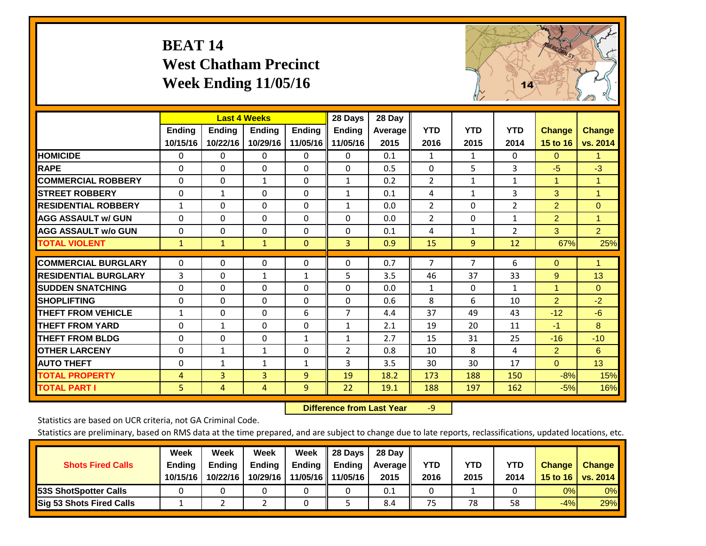# **BEAT 14 West Chatham Precinct Week Ending 11/05/16**



|                             |                | <b>Last 4 Weeks</b> |               |                | 28 Days             | 28 Day         |                |                |                |                      |                |
|-----------------------------|----------------|---------------------|---------------|----------------|---------------------|----------------|----------------|----------------|----------------|----------------------|----------------|
|                             | <b>Ending</b>  | Ending              | <b>Endina</b> | <b>Ending</b>  | <b>Endina</b>       | <b>Average</b> | <b>YTD</b>     | <b>YTD</b>     | <b>YTD</b>     | <b>Change</b>        | <b>Change</b>  |
|                             | 10/15/16       | 10/22/16            | 10/29/16      |                | 11/05/16   11/05/16 | 2015           | 2016           | 2015           | 2014           | 15 to 16             | vs. 2014       |
| <b>HOMICIDE</b>             | 0              | 0                   | 0             | 0              | 0                   | 0.1            | 1              | 1              | 0              | $\Omega$             | 1.             |
| <b>RAPE</b>                 | $\Omega$       | 0                   | $\mathbf{0}$  | $\Omega$       | $\Omega$            | 0.5            | $\Omega$       | 5              | $\overline{3}$ | $-5$                 | $-3$           |
| <b>COMMERCIAL ROBBERY</b>   | $\Omega$       | $\Omega$            | 1             | $\Omega$       | $\mathbf{1}$        | 0.2            | $\overline{2}$ | 1              | $\mathbf{1}$   | $\blacktriangleleft$ | 1              |
| <b>ISTREET ROBBERY</b>      | $\Omega$       | $\mathbf{1}$        | $\Omega$      | $\Omega$       | $\mathbf{1}$        | 0.1            | 4              | $\mathbf{1}$   | 3              | 3                    | $\mathbf{1}$   |
| <b>RESIDENTIAL ROBBERY</b>  | $\mathbf{1}$   | 0                   | $\mathbf{0}$  | $\Omega$       | $\mathbf{1}$        | 0.0            | $\overline{2}$ | 0              | $\overline{2}$ | $\overline{2}$       | $\Omega$       |
| <b>AGG ASSAULT w/ GUN</b>   | $\Omega$       | $\Omega$            | $\Omega$      | $\Omega$       | $\Omega$            | 0.0            | $\overline{2}$ | 0              | $\mathbf{1}$   | $\overline{2}$       | 1              |
| <b>AGG ASSAULT w/o GUN</b>  | 0              | 0                   | 0             | $\Omega$       | $\Omega$            | 0.1            | 4              | 1              | $\overline{2}$ | 3                    | $\overline{2}$ |
| <b>TOTAL VIOLENT</b>        | $\mathbf{1}$   | $\mathbf{1}$        | $\mathbf{1}$  | $\Omega$       | 3                   | 0.9            | 15             | 9              | 12             | 67%                  | 25%            |
|                             |                |                     |               |                |                     |                |                | $\overline{7}$ |                |                      |                |
| <b>COMMERCIAL BURGLARY</b>  | $\Omega$       | $\Omega$            | 0             | $\Omega$       | $\Omega$            | 0.7            | 7              |                | 6              | $\Omega$             | 1              |
| <b>RESIDENTIAL BURGLARY</b> | 3              | 0                   | $\mathbf{1}$  | 1              | 5                   | 3.5            | 46             | 37             | 33             | 9                    | 13             |
| <b>SUDDEN SNATCHING</b>     | $\Omega$       | 0                   | $\mathbf{0}$  | $\Omega$       | $\Omega$            | 0.0            | 1              | 0              | $\mathbf{1}$   | 1                    | $\Omega$       |
| <b>SHOPLIFTING</b>          | $\Omega$       | $\Omega$            | $\mathbf{0}$  | $\Omega$       | $\Omega$            | 0.6            | 8              | 6              | 10             | $\overline{2}$       | $-2$           |
| <b>THEFT FROM VEHICLE</b>   | $\mathbf{1}$   | $\Omega$            | $\mathbf{0}$  | 6              | $\overline{7}$      | 4.4            | 37             | 49             | 43             | $-12$                | $-6$           |
| <b>THEFT FROM YARD</b>      | $\Omega$       | $\mathbf{1}$        | $\mathbf{0}$  | $\Omega$       | $\mathbf{1}$        | 2.1            | 19             | 20             | 11             | $-1$                 | 8              |
| <b>THEFT FROM BLDG</b>      | $\Omega$       | 0                   | $\mathbf{0}$  | $\mathbf{1}$   | 1                   | 2.7            | 15             | 31             | 25             | $-16$                | $-10$          |
| <b>OTHER LARCENY</b>        | $\Omega$       | 1                   | 1             | 0              | $\overline{2}$      | 0.8            | 10             | 8              | 4              | $\overline{2}$       | 6              |
| <b>AUTO THEFT</b>           | 0              | 1                   | 1             | 1              | 3                   | 3.5            | 30             | 30             | 17             | $\Omega$             | 13             |
| <b>TOTAL PROPERTY</b>       | $\overline{4}$ | $\overline{3}$      | 3             | 9              | 19                  | 18.2           | 173            | 188            | 150            | $-8%$                | 15%            |
| <b>TOTAL PART I</b>         | 5              | 4                   | 4             | $\overline{9}$ | 22                  | 19.1           | 188            | 197            | 162            | $-5%$                | 16%            |

 **Difference from Last Year**r -9

Statistics are based on UCR criteria, not GA Criminal Code.

| <b>Shots Fired Calls</b>        | Week<br><b>Ending</b><br>10/15/16 | Week<br><b>Endina</b><br>10/22/16 | Week<br>Ending<br>10/29/16 | Week<br>Ending<br>11/05/16 | 28 Days<br><b>Ending</b><br>11/05/16 | 28 Day<br>Average II<br>2015 | YTD<br>2016 | YTD<br>2015 | <b>YTD</b><br>2014 | <b>Change</b><br>15 to $16$ | <b>Change</b><br>vs. 2014 |
|---------------------------------|-----------------------------------|-----------------------------------|----------------------------|----------------------------|--------------------------------------|------------------------------|-------------|-------------|--------------------|-----------------------------|---------------------------|
| <b>153S ShotSpotter Calls</b>   |                                   |                                   |                            |                            |                                      | 0.1                          |             |             |                    | 0%                          | 0%                        |
| <b>Sig 53 Shots Fired Calls</b> |                                   |                                   |                            |                            |                                      | 8.4                          | 75          | 78          | 58                 | $-4%$                       | 29%                       |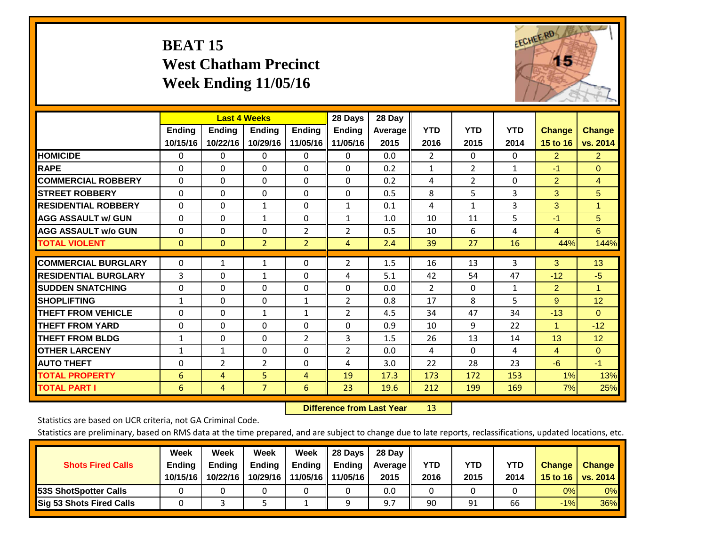# **BEAT 15 West Chatham Precinct Week Ending 11/05/16**



|                             |               |                | <b>Last 4 Weeks</b> |                | 28 Days        | 28 Day         |                |                |              |                |                |
|-----------------------------|---------------|----------------|---------------------|----------------|----------------|----------------|----------------|----------------|--------------|----------------|----------------|
|                             | <b>Ending</b> | <b>Ending</b>  | <b>Endina</b>       | <b>Endina</b>  | <b>Endina</b>  | <b>Average</b> | <b>YTD</b>     | <b>YTD</b>     | <b>YTD</b>   | <b>Change</b>  | <b>Change</b>  |
|                             | 10/15/16      | 10/22/16       | 10/29/16            | 11/05/16       | 11/05/16       | 2015           | 2016           | 2015           | 2014         | 15 to 16       | vs. 2014       |
| <b>HOMICIDE</b>             | 0             | 0              | $\Omega$            | 0              | 0              | 0.0            | $\overline{2}$ | 0              | 0            | $\overline{2}$ | $\overline{2}$ |
| <b>RAPE</b>                 | 0             | $\Omega$       | $\Omega$            | 0              | 0              | 0.2            | $\mathbf{1}$   | $\overline{2}$ | $\mathbf{1}$ | -1             | $\Omega$       |
| <b>COMMERCIAL ROBBERY</b>   | $\Omega$      | $\Omega$       | $\mathbf{0}$        | $\Omega$       | $\Omega$       | 0.2            | 4              | $\overline{2}$ | 0            | $\overline{2}$ | $\overline{4}$ |
| <b>STREET ROBBERY</b>       | $\Omega$      | $\Omega$       | $\Omega$            | $\Omega$       | $\Omega$       | 0.5            | 8              | 5              | 3            | 3 <sup>1</sup> | 5              |
| <b>RESIDENTIAL ROBBERY</b>  | $\Omega$      | $\Omega$       | $\mathbf{1}$        | $\Omega$       | $\mathbf{1}$   | 0.1            | 4              | 1              | 3            | 3              | $\mathbf{1}$   |
| <b>AGG ASSAULT w/ GUN</b>   | $\Omega$      | $\Omega$       | $\mathbf{1}$        | 0              | $\mathbf{1}$   | 1.0            | 10             | 11             | 5            | -1             | 5              |
| <b>AGG ASSAULT w/o GUN</b>  | 0             | 0              | $\Omega$            | $\overline{2}$ | 2              | 0.5            | 10             | 6              | 4            | $\overline{4}$ | 6              |
| <b>TOTAL VIOLENT</b>        | $\mathbf{0}$  | $\overline{0}$ | $\overline{2}$      | $\overline{2}$ | 4              | 2.4            | 39             | 27             | 16           | 44%            | 144%           |
|                             |               |                |                     |                |                |                |                |                |              |                |                |
| <b>COMMERCIAL BURGLARY</b>  | $\Omega$      | 1              | 1                   | 0              | 2              | 1.5            | 16             | 13             | 3            | 3              | 13             |
| <b>RESIDENTIAL BURGLARY</b> | 3             | 0              | 1                   | $\Omega$       | 4              | 5.1            | 42             | 54             | 47           | $-12$          | $-5$           |
| <b>SUDDEN SNATCHING</b>     | $\Omega$      | 0              | $\Omega$            | 0              | $\Omega$       | 0.0            | 2              | 0              | 1            | 2              | $\mathbf{1}$   |
| <b>SHOPLIFTING</b>          | 1             | $\Omega$       | $\Omega$            | $\mathbf{1}$   | $\overline{2}$ | 0.8            | 17             | 8              | 5            | 9              | 12             |
| <b>THEFT FROM VEHICLE</b>   | $\Omega$      | $\Omega$       | $\mathbf{1}$        | $\mathbf{1}$   | $\overline{2}$ | 4.5            | 34             | 47             | 34           | $-13$          | $\Omega$       |
| <b>THEFT FROM YARD</b>      | 0             | $\Omega$       | $\Omega$            | $\Omega$       | $\Omega$       | 0.9            | 10             | 9              | 22           | $\mathbf{1}$   | $-12$          |
| <b>THEFT FROM BLDG</b>      | 1             | $\Omega$       | $\Omega$            | $\overline{2}$ | 3              | 1.5            | 26             | 13             | 14           | 13             | 12             |
| <b>OTHER LARCENY</b>        | 1             | 1              | $\Omega$            | 0              | 2              | 0.0            | 4              | 0              | 4            | $\overline{4}$ | $\Omega$       |
| <b>AUTO THEFT</b>           | 0             | 2              | $\overline{2}$      | 0              | 4              | 3.0            | 22             | 28             | 23           | $-6$           | $-1$           |
| <b>TOTAL PROPERTY</b>       | 6             | 4              | 5                   | 4              | 19             | 17.3           | 173            | 172            | 153          | 1%             | 13%            |
| <b>TOTAL PART I</b>         | 6             | 4              | $\overline{7}$      | 6              | 23             | 19.6           | 212            | 199            | 169          | 7%             | 25%            |

 **Difference from Last Year**r 13

Statistics are based on UCR criteria, not GA Criminal Code.

| <b>Shots Fired Calls</b>        | Week<br><b>Ending</b><br>10/15/16 | Week<br><b>Endina</b><br>10/22/16 | Week<br>Ending<br>10/29/16 | Week<br>Ending<br>11/05/16 | 28 Days<br><b>Ending</b><br>11/05/16 | 28 Day<br>Average II<br>2015 | YTD<br>2016 | YTD<br>2015 | <b>YTD</b><br>2014 | <b>Change</b><br>15 to $16$ | <b>Change</b><br>vs. 2014 |
|---------------------------------|-----------------------------------|-----------------------------------|----------------------------|----------------------------|--------------------------------------|------------------------------|-------------|-------------|--------------------|-----------------------------|---------------------------|
| <b>153S ShotSpotter Calls</b>   |                                   |                                   |                            |                            |                                      | 0.0                          |             |             |                    | 0%                          | 0%                        |
| <b>Sig 53 Shots Fired Calls</b> |                                   |                                   |                            |                            | Ω                                    | 97                           | 90          | 91          | 66                 | $-1%$                       | 36%                       |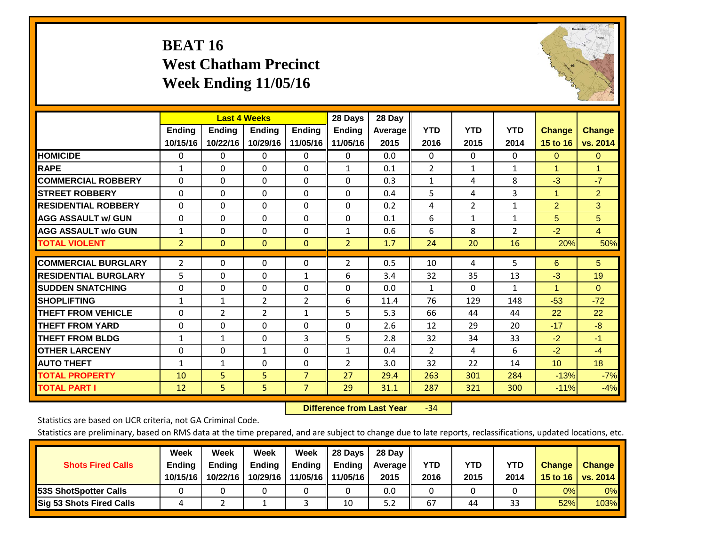# **BEAT 16 West Chatham Precinct Week Ending 11/05/16**



|                             |                |                | <b>Last 4 Weeks</b> |                | 28 Days        | 28 Day  |                |              |                |                 |                |
|-----------------------------|----------------|----------------|---------------------|----------------|----------------|---------|----------------|--------------|----------------|-----------------|----------------|
|                             | Ending         | <b>Endina</b>  | <b>Endina</b>       | <b>Endina</b>  | <b>Endina</b>  | Average | <b>YTD</b>     | <b>YTD</b>   | <b>YTD</b>     | <b>Change</b>   | <b>Change</b>  |
|                             | 10/15/16       | 10/22/16       | 10/29/16            | 11/05/16       | 11/05/16       | 2015    | 2016           | 2015         | 2014           | 15 to 16        | vs. 2014       |
| <b>HOMICIDE</b>             | $\Omega$       | $\Omega$       | 0                   | $\mathbf 0$    | $\Omega$       | 0.0     | $\mathbf{0}$   | $\Omega$     | 0              | $\Omega$        | $\overline{0}$ |
| <b>RAPE</b>                 | $\mathbf{1}$   | 0              | $\Omega$            | $\Omega$       | $\mathbf{1}$   | 0.1     | $\overline{2}$ | $\mathbf{1}$ | $\mathbf{1}$   | 1               | 1              |
| <b>COMMERCIAL ROBBERY</b>   | $\Omega$       | 0              | $\Omega$            | $\Omega$       | $\Omega$       | 0.3     | $\mathbf{1}$   | 4            | 8              | -3              | $-7$           |
| <b>ISTREET ROBBERY</b>      | $\Omega$       | 0              | $\Omega$            | $\Omega$       | $\Omega$       | 0.4     | 5              | 4            | 3              | 1               | $\overline{2}$ |
| <b>RESIDENTIAL ROBBERY</b>  | $\Omega$       | 0              | $\Omega$            | $\Omega$       | 0              | 0.2     | 4              | 2            | $\mathbf{1}$   | $\overline{2}$  | 3              |
| <b>AGG ASSAULT w/ GUN</b>   | 0              | $\Omega$       | $\Omega$            | $\Omega$       | $\Omega$       | 0.1     | 6              | $\mathbf{1}$ | 1              | 5               | 5              |
| <b>AGG ASSAULT w/o GUN</b>  | $\mathbf{1}$   | 0              | $\Omega$            | $\Omega$       | $\mathbf{1}$   | 0.6     | 6              | 8            | $\overline{2}$ | $-2$            | $\overline{4}$ |
| <b>TOTAL VIOLENT</b>        | $\overline{2}$ | $\mathbf{0}$   | $\mathbf{0}$        | $\mathbf{0}$   | $\overline{2}$ | 1.7     | 24             | 20           | 16             | 20%             | 50%            |
|                             |                |                |                     |                |                |         |                |              |                |                 |                |
| <b>COMMERCIAL BURGLARY</b>  | 2              | $\Omega$       | $\Omega$            | $\Omega$       | $\overline{2}$ | 0.5     | 10             | 4            | 5.             | 6               | 5              |
| <b>RESIDENTIAL BURGLARY</b> | 5              | 0              | $\Omega$            | 1              | 6              | 3.4     | 32             | 35           | 13             | $-3$            | 19             |
| <b>ISUDDEN SNATCHING</b>    | 0              | 0              | $\Omega$            | $\Omega$       | 0              | 0.0     | $\mathbf{1}$   | $\Omega$     | 1              | $\mathbf{1}$    | $\Omega$       |
| <b>SHOPLIFTING</b>          | $\mathbf{1}$   | 1              | $\overline{2}$      | $\overline{2}$ | 6              | 11.4    | 76             | 129          | 148            | $-53$           | $-72$          |
| <b>THEFT FROM VEHICLE</b>   | 0              | $\overline{2}$ | $\overline{2}$      | $\mathbf{1}$   | 5              | 5.3     | 66             | 44           | 44             | 22              | 22             |
| <b>THEFT FROM YARD</b>      | $\Omega$       | $\Omega$       | $\Omega$            | $\Omega$       | 0              | 2.6     | 12             | 29           | 20             | $-17$           | $-8$           |
| <b>THEFT FROM BLDG</b>      | $\mathbf{1}$   | $\mathbf{1}$   | $\Omega$            | 3              | 5              | 2.8     | 32             | 34           | 33             | $-2$            | $-1$           |
| <b>OTHER LARCENY</b>        | 0              | $\Omega$       | $\mathbf{1}$        | $\Omega$       | $\mathbf{1}$   | 0.4     | 2              | 4            | 6              | $-2$            | $-4$           |
| <b>AUTO THEFT</b>           | $\mathbf{1}$   | $\mathbf{1}$   | $\Omega$            | $\Omega$       | 2              | 3.0     | 32             | 22           | 14             | 10 <sup>1</sup> | 18             |
| <b>TOTAL PROPERTY</b>       | 10             | 5              | 5                   | $\overline{7}$ | 27             | 29.4    | 263            | 301          | 284            | $-13%$          | $-7%$          |
| <b>TOTAL PART I</b>         | 12             | 5.             | 5                   | $\overline{7}$ | 29             | 31.1    | 287            | 321          | 300            | $-11%$          | $-4%$          |

 **Difference from Last Year**r -34

Statistics are based on UCR criteria, not GA Criminal Code.

| <b>Shots Fired Calls</b>        | Week<br><b>Ending</b><br>10/15/16 | Week<br><b>Endina</b><br>10/22/16 | Week<br>Ending<br>10/29/16 | Week<br>Ending<br>11/05/16 | 28 Days<br><b>Ending</b><br>11/05/16 | 28 Day<br>Average II<br>2015 | YTD<br>2016 | YTD<br>2015 | <b>YTD</b><br>2014 | <b>Change</b><br>15 to $16$ | <b>Change</b><br>vs. 2014 |
|---------------------------------|-----------------------------------|-----------------------------------|----------------------------|----------------------------|--------------------------------------|------------------------------|-------------|-------------|--------------------|-----------------------------|---------------------------|
| <b>153S ShotSpotter Calls</b>   |                                   |                                   |                            |                            |                                      | 0.0                          |             |             |                    | 0%                          | 0%                        |
| <b>Sig 53 Shots Fired Calls</b> |                                   |                                   |                            |                            | 10                                   | 5.2                          | 67          | 44          | 33                 | 52%                         | 103%                      |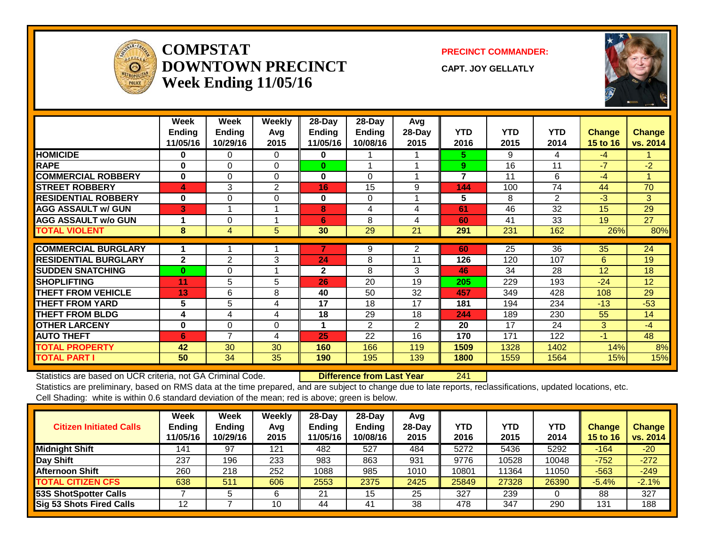

#### **COMPSTATDOWNTOWN PRECINCTWeek Ending 11/05/16**

**PRECINCT COMMANDER:**

**CAPT. JOY GELLATLY**



|                             | Week<br><b>Ending</b><br>11/05/16 | Week<br><b>Ending</b><br>10/29/16 | Weekly<br>Avg<br>2015 | 28-Day<br>Ending<br>11/05/16 | $28$ -Day<br><b>Ending</b><br>10/08/16 | Avg<br>28-Day<br>2015 | <b>YTD</b><br>2016 | <b>YTD</b><br>2015 | <b>YTD</b><br>2014 | <b>Change</b><br>15 to 16 | <b>Change</b><br>vs. 2014 |
|-----------------------------|-----------------------------------|-----------------------------------|-----------------------|------------------------------|----------------------------------------|-----------------------|--------------------|--------------------|--------------------|---------------------------|---------------------------|
| <b>HOMICIDE</b>             | 0                                 | 0                                 | $\Omega$              | 0                            |                                        |                       | 5.                 | 9                  | 4                  | -4                        |                           |
| <b>RAPE</b>                 | $\bf{0}$                          | $\Omega$                          | $\Omega$              | $\bf{0}$                     | 1                                      |                       | 9                  | 16                 | 11                 | -7                        | $-2$                      |
| <b>COMMERCIAL ROBBERY</b>   | $\bf{0}$                          | $\Omega$                          | $\Omega$              | $\bf{0}$                     | $\Omega$                               |                       | $\overline{7}$     | 11                 | 6                  | $-4$                      | $\overline{\mathcal{A}}$  |
| <b>STREET ROBBERY</b>       | 4                                 | 3                                 | 2                     | 16                           | 15                                     | 9                     | 144                | 100                | 74                 | 44                        | 70                        |
| <b>RESIDENTIAL ROBBERY</b>  | $\bf{0}$                          | $\Omega$                          | 0                     | $\bf{0}$                     | $\Omega$                               |                       | 5                  | 8                  | 2                  | -3                        | 3                         |
| <b>AGG ASSAULT w/ GUN</b>   | 3                                 |                                   |                       | 8                            | 4                                      | 4                     | 61                 | 46                 | 32                 | 15                        | 29                        |
| <b>AGG ASSAULT w/o GUN</b>  | 4                                 | $\Omega$                          |                       | 6                            | 8                                      | 4                     | 60                 | 41                 | 33                 | 19                        | 27                        |
| <b>TOTAL VIOLENT</b>        | 8                                 | 4                                 | 5                     | 30                           | 29                                     | 21                    | 291                | 231                | 162                | 26%                       | 80%                       |
|                             |                                   |                                   |                       |                              |                                        |                       |                    |                    |                    |                           |                           |
| <b>COMMERCIAL BURGLARY</b>  |                                   |                                   |                       |                              | 9                                      | 2                     | 60                 | 25                 | 36                 | 35                        | 24                        |
| <b>RESIDENTIAL BURGLARY</b> | $\mathbf{2}$                      | $\overline{2}$                    | 3                     | 24                           | 8                                      | 11                    | 126                | 120                | 107                | 6                         | 19                        |
| <b>SUDDEN SNATCHING</b>     | $\bf{0}$                          | 0                                 |                       | $\mathbf{2}$                 | 8                                      | 3                     | 46                 | 34                 | 28                 | 12                        | 18                        |
| <b>SHOPLIFTING</b>          | 11                                | 5                                 | 5                     | 26                           | 20                                     | 19                    | 205                | 229                | 193                | $-24$                     | 12                        |
| <b>THEFT FROM VEHICLE</b>   | 13                                | 6                                 | 8                     | 40                           | 50                                     | 32                    | 457                | 349                | 428                | 108                       | 29                        |
| <b>THEFT FROM YARD</b>      | 5                                 | 5                                 | 4                     | 17                           | 18                                     | 17                    | 181                | 194                | 234                | $-13$                     | $-53$                     |
| <b>THEFT FROM BLDG</b>      | 4                                 | 4                                 | 4                     | 18                           | 29                                     | 18                    | 244                | 189                | 230                | 55                        | 14                        |
| <b>OTHER LARCENY</b>        | $\bf{0}$                          | $\Omega$                          | $\Omega$              | 1                            | $\overline{2}$                         | $\overline{2}$        | 20                 | 17                 | 24                 | 3                         | $-4$                      |
| <b>AUTO THEFT</b>           | 6                                 | $\overline{ }$                    | 4                     | 25                           | 22                                     | 16                    | 170                | 171                | 122                | $-1$                      | 48                        |
| <b>TOTAL PROPERTY</b>       | 42                                | 30                                | 30                    | 160                          | 166                                    | 119                   | 1509               | 1328               | 1402               | 14%                       | 8%                        |
| <b>TOTAL PART I</b>         | 50                                | 34                                | 35                    | 190                          | 195                                    | 139                   | 1800               | 1559               | 1564               | 15%                       | 15%                       |

Statistics are based on UCR criteria, not GA Criminal Code. **Difference from Last Year** 241

| <b>Citizen Initiated Calls</b>  | Week<br>Ending<br>11/05/16 | <b>Week</b><br><b>Ending</b><br>10/29/16 | Weekly<br>Avg<br>2015 | $28$ -Day<br><b>Ending</b><br>1/05/16 | $28$ -Day<br><b>Ending</b><br>10/08/16 | Avg<br>$28$ -Day<br>2015 | YTD<br>2016 | <b>YTD</b><br>2015 | YTD<br>2014 | <b>Change</b><br><b>15 to 16</b> | <b>Change</b><br>vs. 2014 |
|---------------------------------|----------------------------|------------------------------------------|-----------------------|---------------------------------------|----------------------------------------|--------------------------|-------------|--------------------|-------------|----------------------------------|---------------------------|
| <b>Midnight Shift</b>           | 141                        | 97                                       | 121                   | 482                                   | 527                                    | 484                      | 5272        | 5436               | 5292        | $-164$                           | $-20$                     |
| Day Shift                       | 237                        | 196                                      | 233                   | 983                                   | 863                                    | 931                      | 9776        | 10528              | 10048       | $-752$                           | $-272$                    |
| <b>Afternoon Shift</b>          | 260                        | 218                                      | 252                   | 1088                                  | 985                                    | 1010                     | 10801       | 11364              | 11050       | $-563$                           | $-249$                    |
| <b>TOTAL CITIZEN CFS</b>        | 638                        | 511                                      | 606                   | 2553                                  | 2375                                   | 2425                     | 25849       | 27328              | 26390       | $-5.4%$                          | $-2.1%$                   |
| 53S ShotSpotter Calls           |                            |                                          | 6                     | - 24                                  | 15                                     | 25                       | 327         | 239                |             | 88                               | 327                       |
| <b>Sig 53 Shots Fired Calls</b> | 12                         |                                          | 10                    | 44                                    | 41                                     | 38                       | 478         | 347                | 290         | 131                              | 188                       |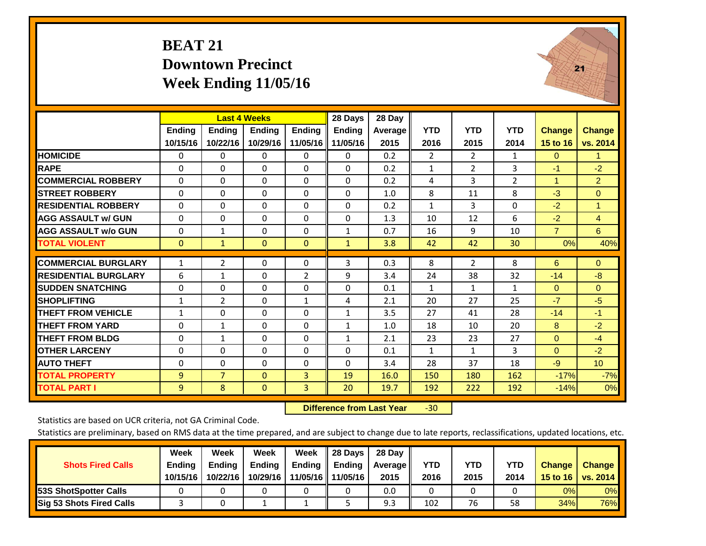## **BEAT 21 Downtown Precinct Week Ending 11/05/16**



|                             |               | <b>Last 4 Weeks</b> |               |                | 28 Days       | 28 Day  |                |                |                |                |                 |
|-----------------------------|---------------|---------------------|---------------|----------------|---------------|---------|----------------|----------------|----------------|----------------|-----------------|
|                             | <b>Ending</b> | <b>Ending</b>       | <b>Ending</b> | <b>Ending</b>  | <b>Ending</b> | Average | <b>YTD</b>     | <b>YTD</b>     | <b>YTD</b>     | <b>Change</b>  | <b>Change</b>   |
|                             | 10/15/16      | 10/22/16            | 10/29/16      | 11/05/16       | 11/05/16      | 2015    | 2016           | 2015           | 2014           | 15 to 16       | vs. 2014        |
| <b>HOMICIDE</b>             | 0             | $\Omega$            | $\mathbf{0}$  | $\Omega$       | $\Omega$      | 0.2     | $\overline{2}$ | $\overline{2}$ | 1              | $\mathbf{0}$   | 1.              |
| <b>RAPE</b>                 | $\Omega$      | $\Omega$            | $\Omega$      | $\Omega$       | $\Omega$      | 0.2     | $\mathbf{1}$   | $\overline{2}$ | 3              | $-1$           | $-2$            |
| <b>COMMERCIAL ROBBERY</b>   | $\Omega$      | $\Omega$            | $\Omega$      | $\Omega$       | $\Omega$      | 0.2     | 4              | 3              | $\overline{2}$ | 1              | $\overline{2}$  |
| <b>ISTREET ROBBERY</b>      | $\Omega$      | $\Omega$            | $\Omega$      | $\mathbf{0}$   | $\Omega$      | 1.0     | 8              | 11             | 8              | $-3$           | $\Omega$        |
| <b>RESIDENTIAL ROBBERY</b>  | $\Omega$      | $\Omega$            | $\Omega$      | $\Omega$       | $\Omega$      | 0.2     | $\mathbf{1}$   | 3              | $\Omega$       | $-2$           | 1               |
| <b>AGG ASSAULT w/ GUN</b>   | $\Omega$      | $\Omega$            | $\Omega$      | $\mathbf 0$    | $\mathbf{0}$  | 1.3     | 10             | 12             | 6              | $-2$           | $\overline{4}$  |
| <b>AGG ASSAULT w/o GUN</b>  | $\Omega$      | 1                   | $\Omega$      | $\mathbf{0}$   | 1             | 0.7     | 16             | 9              | 10             | $\overline{7}$ | 6               |
| <b>TOTAL VIOLENT</b>        | $\mathbf{0}$  | $\mathbf{1}$        | $\mathbf{0}$  | $\mathbf{0}$   | $\mathbf{1}$  | 3.8     | 42             | 42             | 30             | 0%             | 40%             |
| <b>COMMERCIAL BURGLARY</b>  | $\mathbf{1}$  | $\overline{2}$      | 0             | 0              | 3             | 0.3     | 8              | $\overline{2}$ | 8              | 6              | $\overline{0}$  |
| <b>RESIDENTIAL BURGLARY</b> | 6             | $\mathbf{1}$        | $\mathbf{0}$  | 2              | 9             | 3.4     | 24             | 38             | 32             | $-14$          | $-8$            |
| <b>ISUDDEN SNATCHING</b>    | $\Omega$      | $\Omega$            | $\Omega$      | $\Omega$       | $\Omega$      | 0.1     | $\mathbf{1}$   | 1              | 1              | $\mathbf{0}$   | $\Omega$        |
| <b>SHOPLIFTING</b>          | $\mathbf{1}$  | $\overline{2}$      | $\Omega$      | $\mathbf{1}$   | 4             | 2.1     | 20             | 27             | 25             | $-7$           | $-5$            |
| <b>THEFT FROM VEHICLE</b>   | $\mathbf{1}$  | $\Omega$            | $\Omega$      | $\Omega$       | 1             | 3.5     | 27             | 41             | 28             | $-14$          | $-1$            |
| <b>THEFT FROM YARD</b>      | $\Omega$      | $\mathbf{1}$        | $\mathbf 0$   | $\Omega$       | $\mathbf{1}$  | 1.0     | 18             | 10             | 20             | 8              | $-2$            |
| <b>THEFT FROM BLDG</b>      | 0             | 1                   | $\Omega$      | $\Omega$       | 1             | 2.1     | 23             | 23             | 27             | $\mathbf{0}$   | $-4$            |
| <b>OTHER LARCENY</b>        | $\Omega$      | 0                   | $\Omega$      | $\mathbf{0}$   | 0             | 0.1     | $\mathbf{1}$   | $\mathbf{1}$   | 3              | $\Omega$       | $-2$            |
| <b>AUTO THEFT</b>           | $\Omega$      | $\Omega$            | $\Omega$      | $\Omega$       | $\Omega$      | 3.4     | 28             | 37             | 18             | $-9$           | 10 <sup>°</sup> |
| <b>TOTAL PROPERTY</b>       | 9             | $\overline{7}$      | $\mathbf{0}$  | 3              | 19            | 16.0    | 150            | 180            | 162            | $-17%$         | $-7%$           |
| <b>TOTAL PART I</b>         | 9             | 8                   | $\mathbf{0}$  | $\overline{3}$ | 20            | 19.7    | 192            | 222            | 192            | $-14%$         | 0%              |

 **Difference from Last Year**‐30

Statistics are based on UCR criteria, not GA Criminal Code.

| <b>Shots Fired Calls</b>        | Week<br><b>Ending</b><br>10/15/16 | Week<br><b>Endina</b><br>10/22/16 | Week<br>Ending<br>10/29/16 | Week<br>Ending<br>11/05/16 | 28 Days<br><b>Ending</b><br>11/05/16 | 28 Day<br>Average II<br>2015 | YTD<br>2016 | YTD<br>2015 | <b>YTD</b><br>2014 | <b>Change</b><br>15 to $16$ | <b>Change</b><br>vs. 2014 |
|---------------------------------|-----------------------------------|-----------------------------------|----------------------------|----------------------------|--------------------------------------|------------------------------|-------------|-------------|--------------------|-----------------------------|---------------------------|
| <b>153S ShotSpotter Calls</b>   |                                   |                                   |                            |                            |                                      | 0.0                          |             |             |                    | 0%                          | 0%                        |
| <b>Sig 53 Shots Fired Calls</b> |                                   |                                   |                            |                            |                                      | 9.3                          | 102         | 76          | 58                 | 34%                         | 76%                       |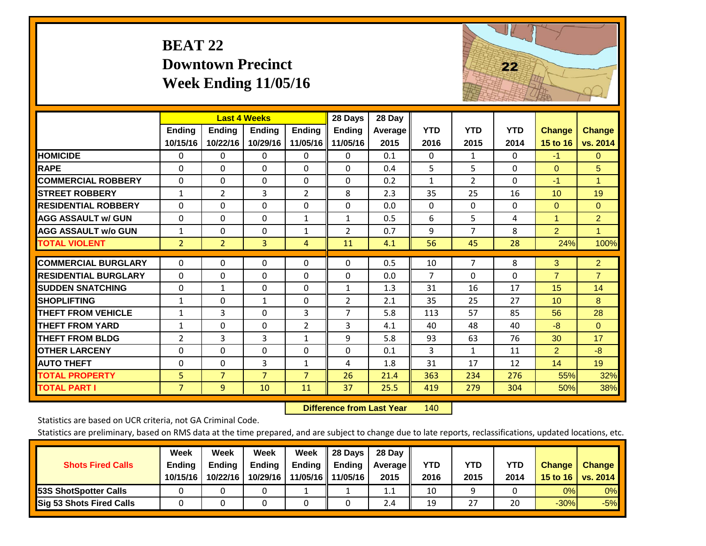# **BEAT 22 Downtown Precinct Week Ending 11/05/16**



|                             |                | <b>Last 4 Weeks</b> |                |                | 28 Days        | 28 Day  |                |                |            |                 |                |
|-----------------------------|----------------|---------------------|----------------|----------------|----------------|---------|----------------|----------------|------------|-----------------|----------------|
|                             | Ending         | <b>Ending</b>       | <b>Ending</b>  | <b>Ending</b>  | Ending         | Average | <b>YTD</b>     | <b>YTD</b>     | <b>YTD</b> | <b>Change</b>   | <b>Change</b>  |
|                             | 10/15/16       | 10/22/16            | 10/29/16       | 11/05/16       | 11/05/16       | 2015    | 2016           | 2015           | 2014       | 15 to 16        | vs. 2014       |
| <b>HOMICIDE</b>             | 0              | 0                   | $\Omega$       | 0              | $\Omega$       | 0.1     | $\Omega$       | $\mathbf{1}$   | 0          | $-1$            | $\Omega$       |
| <b>RAPE</b>                 | $\Omega$       | 0                   | $\Omega$       | $\Omega$       | 0              | 0.4     | 5.             | 5              | 0          | $\Omega$        | 5              |
| <b>COMMERCIAL ROBBERY</b>   | $\Omega$       | $\Omega$            | $\Omega$       | $\Omega$       | $\Omega$       | 0.2     | 1              | $\overline{2}$ | $\Omega$   | -1              | $\mathbf{1}$   |
| <b>STREET ROBBERY</b>       | $\mathbf{1}$   | $\overline{2}$      | 3              | $\overline{2}$ | 8              | 2.3     | 35             | 25             | 16         | 10 <sup>°</sup> | 19             |
| <b>RESIDENTIAL ROBBERY</b>  | $\Omega$       | 0                   | $\Omega$       | $\Omega$       | 0              | 0.0     | $\mathbf{0}$   | $\Omega$       | 0          | $\Omega$        | $\mathbf{0}$   |
| <b>AGG ASSAULT w/ GUN</b>   | $\Omega$       | $\Omega$            | 0              | $\mathbf{1}$   | $\mathbf{1}$   | 0.5     | 6              | 5              | 4          | $\overline{1}$  | $\overline{2}$ |
| <b>AGG ASSAULT w/o GUN</b>  | $\mathbf{1}$   | 0                   | $\mathbf{0}$   | 1              | 2              | 0.7     | 9              | 7              | 8          | $\overline{2}$  | $\mathbf{1}$   |
| <b>TOTAL VIOLENT</b>        | $\overline{2}$ | $\overline{2}$      | 3              | 4              | 11             | 4.1     | 56             | 45             | 28         | 24%             | 100%           |
| <b>COMMERCIAL BURGLARY</b>  | $\Omega$       | $\Omega$            |                | $\Omega$       | $\Omega$       |         |                | 7              | 8          |                 |                |
|                             |                |                     | 0              |                |                | 0.5     | 10             |                |            | 3               | $\overline{2}$ |
| <b>RESIDENTIAL BURGLARY</b> | $\Omega$       | 0                   | 0              | $\Omega$       | $\Omega$       | 0.0     | $\overline{7}$ | $\Omega$       | 0          | $\overline{7}$  | $\overline{7}$ |
| <b>SUDDEN SNATCHING</b>     | $\Omega$       | 1                   | $\mathbf{0}$   | $\Omega$       | $\mathbf{1}$   | 1.3     | 31             | 16             | 17         | 15              | 14             |
| <b>SHOPLIFTING</b>          | $\mathbf{1}$   | $\Omega$            | $\mathbf{1}$   | $\Omega$       | $\overline{2}$ | 2.1     | 35             | 25             | 27         | 10 <sup>1</sup> | 8              |
| <b>THEFT FROM VEHICLE</b>   | $\mathbf{1}$   | 3                   | $\Omega$       | 3              | $\overline{7}$ | 5.8     | 113            | 57             | 85         | 56              | 28             |
| <b>THEFT FROM YARD</b>      | $\mathbf{1}$   | $\Omega$            | $\Omega$       | $\overline{2}$ | 3              | 4.1     | 40             | 48             | 40         | $-8$            | $\Omega$       |
| <b>THEFT FROM BLDG</b>      | $\overline{2}$ | 3                   | 3              | $\mathbf{1}$   | 9              | 5.8     | 93             | 63             | 76         | 30              | 17             |
| <b>OTHER LARCENY</b>        | $\Omega$       | $\Omega$            | $\mathbf{0}$   | $\Omega$       | $\Omega$       | 0.1     | 3              | $\mathbf{1}$   | 11         | 2               | $-8$           |
| <b>AUTO THEFT</b>           | $\Omega$       | $\Omega$            | 3              | $\mathbf{1}$   | 4              | 1.8     | 31             | 17             | 12         | 14              | 19             |
| <b>TOTAL PROPERTY</b>       | 5              | $\overline{7}$      | $\overline{7}$ | 7              | 26             | 21.4    | 363            | 234            | 276        | 55%             | 32%            |
| <b>TOTAL PART I</b>         | $\overline{7}$ | 9                   | 10             | 11             | 37             | 25.5    | 419            | 279            | 304        | 50%             | 38%            |

 **Difference from Last Yearr** 140

Statistics are based on UCR criteria, not GA Criminal Code.

| <b>Shots Fired Calls</b>        | Week<br><b>Ending</b><br>10/15/16 | Week<br><b>Endina</b><br>10/22/16 | Week<br>Ending<br>10/29/16 | Week<br>Ending<br>11/05/16 | 28 Days<br><b>Ending</b><br>11/05/16 | 28 Day<br>Average II<br>2015 | YTD<br>2016 | YTD<br>2015 | <b>YTD</b><br>2014 | <b>Change</b><br>15 to $16$ | <b>Change</b><br>vs. 2014 |
|---------------------------------|-----------------------------------|-----------------------------------|----------------------------|----------------------------|--------------------------------------|------------------------------|-------------|-------------|--------------------|-----------------------------|---------------------------|
| <b>153S ShotSpotter Calls</b>   |                                   |                                   |                            |                            |                                      | 1.1                          | 10          |             |                    | 0%                          | 0%                        |
| <b>Sig 53 Shots Fired Calls</b> |                                   |                                   |                            |                            |                                      | 2.4                          | 19          | 27          | 20                 | $-30%$                      | $-5%$                     |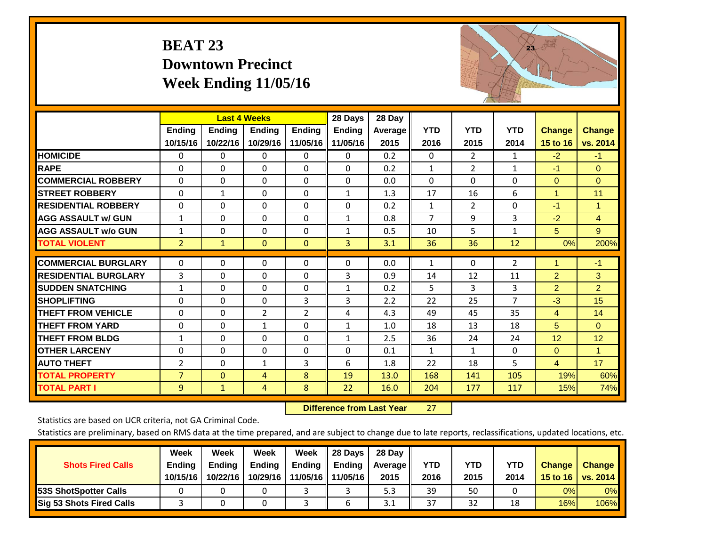# **BEAT 23 Downtown Precinct Week Ending 11/05/16**



|                             |                | <b>Last 4 Weeks</b> |                |                | 28 Days       | 28 Day  |                |                |                |                |                      |
|-----------------------------|----------------|---------------------|----------------|----------------|---------------|---------|----------------|----------------|----------------|----------------|----------------------|
|                             | <b>Ending</b>  | <b>Ending</b>       | <b>Ending</b>  | <b>Ending</b>  | <b>Ending</b> | Average | <b>YTD</b>     | <b>YTD</b>     | <b>YTD</b>     | <b>Change</b>  | <b>Change</b>        |
|                             | 10/15/16       | 10/22/16            | 10/29/16       | 11/05/16       | 11/05/16      | 2015    | 2016           | 2015           | 2014           | 15 to 16       | vs. 2014             |
| <b>HOMICIDE</b>             | $\Omega$       | $\Omega$            | $\Omega$       | $\mathbf{0}$   | $\Omega$      | 0.2     | $\mathbf{0}$   | $\overline{2}$ | $\mathbf{1}$   | $-2$           | $-1$                 |
| <b>RAPE</b>                 | $\Omega$       | $\Omega$            | $\mathbf{0}$   | $\Omega$       | $\Omega$      | 0.2     | $\mathbf{1}$   | $\overline{2}$ | $\mathbf{1}$   | $-1$           | $\Omega$             |
| <b>COMMERCIAL ROBBERY</b>   | $\Omega$       | $\Omega$            | $\mathbf{0}$   | $\Omega$       | $\Omega$      | 0.0     | $\mathbf{0}$   | 0              | 0              | $\mathbf{0}$   | $\Omega$             |
| <b>STREET ROBBERY</b>       | $\Omega$       | $\mathbf{1}$        | $\Omega$       | $\Omega$       | $\mathbf{1}$  | 1.3     | 17             | 16             | 6              | $\overline{1}$ | 11                   |
| <b>RESIDENTIAL ROBBERY</b>  | $\Omega$       | $\Omega$            | $\Omega$       | $\Omega$       | $\Omega$      | 0.2     | $\mathbf{1}$   | $\overline{2}$ | $\Omega$       | $-1$           | $\blacktriangleleft$ |
| <b>AGG ASSAULT w/ GUN</b>   | $\mathbf{1}$   | $\Omega$            | $\mathbf 0$    | $\Omega$       | $\mathbf{1}$  | 0.8     | $\overline{7}$ | 9              | 3              | $-2$           | $\overline{4}$       |
| <b>AGG ASSAULT w/o GUN</b>  | $\mathbf{1}$   | $\Omega$            | $\Omega$       | $\Omega$       | $\mathbf{1}$  | 0.5     | 10             | 5.             | $\mathbf{1}$   | 5 <sup>5</sup> | 9                    |
| <b>TOTAL VIOLENT</b>        | $\overline{2}$ | $\mathbf{1}$        | $\mathbf{0}$   | $\mathbf{0}$   | 3             | 3.1     | 36             | 36             | 12             | 0%             | 200%                 |
| <b>COMMERCIAL BURGLARY</b>  | 0              | $\Omega$            | $\mathbf 0$    | 0              | $\Omega$      | 0.0     |                | $\mathbf{0}$   | $\overline{2}$ | 1              | $-1$                 |
|                             |                |                     |                |                |               |         | 1              |                |                |                |                      |
| <b>RESIDENTIAL BURGLARY</b> | 3              | $\Omega$            | $\Omega$       | $\Omega$       | 3             | 0.9     | 14             | 12             | 11             | $\overline{2}$ | 3                    |
| <b>SUDDEN SNATCHING</b>     | $\mathbf{1}$   | $\Omega$            | $\Omega$       | $\Omega$       | $\mathbf{1}$  | 0.2     | 5              | 3              | 3              | $\overline{2}$ | $\overline{2}$       |
| <b>SHOPLIFTING</b>          | $\Omega$       | $\Omega$            | $\Omega$       | 3              | 3             | 2.2     | 22             | 25             | $\overline{7}$ | $-3$           | 15                   |
| <b>THEFT FROM VEHICLE</b>   | $\Omega$       | $\Omega$            | $\overline{2}$ | $\overline{2}$ | 4             | 4.3     | 49             | 45             | 35             | $\overline{4}$ | 14                   |
| <b>THEFT FROM YARD</b>      | $\mathbf 0$    | $\Omega$            | $\mathbf{1}$   | $\Omega$       | $\mathbf{1}$  | 1.0     | 18             | 13             | 18             | 5              | $\Omega$             |
| <b>THEFT FROM BLDG</b>      | $\mathbf{1}$   | $\Omega$            | $\Omega$       | $\Omega$       | $\mathbf{1}$  | 2.5     | 36             | 24             | 24             | 12             | 12                   |
| <b>OTHER LARCENY</b>        | $\Omega$       | $\Omega$            | $\Omega$       | $\Omega$       | $\Omega$      | 0.1     | 1              | 1              | 0              | $\Omega$       | 1                    |
| <b>AUTO THEFT</b>           | 2              | $\Omega$            | 1              | 3              | 6             | 1.8     | 22             | 18             | 5.             | $\overline{4}$ | 17                   |
| <b>TOTAL PROPERTY</b>       | $\overline{7}$ | $\Omega$            | $\overline{4}$ | 8              | 19            | 13.0    | 168            | 141            | 105            | 19%            | 60%                  |
| <b>TOTAL PART I</b>         | $\overline{9}$ | $\mathbf{1}$        | $\overline{4}$ | 8              | 22            | 16.0    | 204            | 177            | 117            | 15%            | 74%                  |

 **Difference from Last Year**r 27

Statistics are based on UCR criteria, not GA Criminal Code.

| <b>Shots Fired Calls</b>        | Week<br><b>Ending</b><br>10/15/16 | Week<br><b>Endina</b><br>10/22/16 | Week<br>Ending<br>10/29/16 | Week<br>Ending<br>11/05/16 | 28 Days<br><b>Ending</b><br>11/05/16 | 28 Day<br>Average II<br>2015 | YTD<br>2016 | YTD<br>2015 | <b>YTD</b><br>2014 | <b>Change</b><br>15 to 16 | <b>Change</b><br>vs. 2014 |
|---------------------------------|-----------------------------------|-----------------------------------|----------------------------|----------------------------|--------------------------------------|------------------------------|-------------|-------------|--------------------|---------------------------|---------------------------|
| <b>153S ShotSpotter Calls</b>   |                                   |                                   |                            |                            |                                      | 5.3                          | 39          | 50          |                    | 0%                        | 0%                        |
| <b>Sig 53 Shots Fired Calls</b> |                                   |                                   |                            |                            |                                      | 3.1                          | 37          | 32          | 18                 | 16%                       | 106%                      |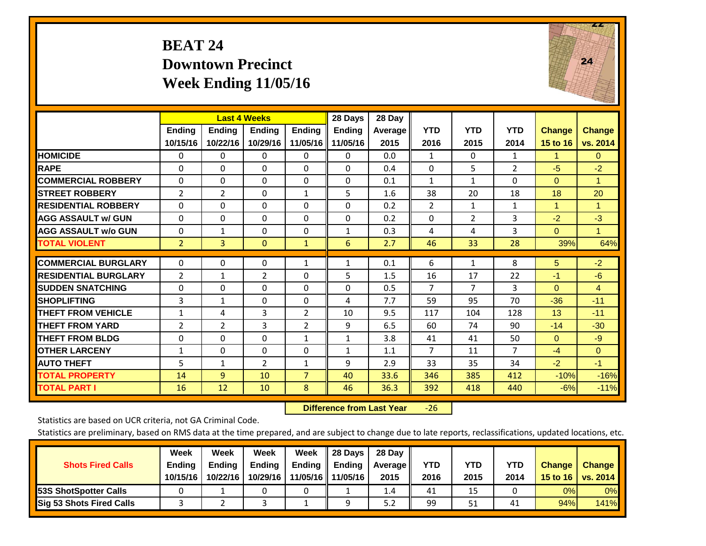## **BEAT 24 Downtown Precinct Week Ending 11/05/16**



|                             |                | <b>Last 4 Weeks</b> |                |                | 28 Days       | 28 Day         |                |                |                |                      |               |
|-----------------------------|----------------|---------------------|----------------|----------------|---------------|----------------|----------------|----------------|----------------|----------------------|---------------|
|                             | <b>Ending</b>  | <b>Endina</b>       | <b>Endina</b>  | <b>Endina</b>  | <b>Endina</b> | <b>Average</b> | <b>YTD</b>     | <b>YTD</b>     | <b>YTD</b>     | <b>Change</b>        | <b>Change</b> |
|                             | 10/15/16       | 10/22/16            | 10/29/16       | 11/05/16       | 11/05/16      | 2015           | 2016           | 2015           | 2014           | <b>15 to 16</b>      | vs. 2014      |
| <b>HOMICIDE</b>             | 0              | $\Omega$            | $\Omega$       | $\Omega$       | 0             | 0.0            | 1              | $\Omega$       | $\mathbf{1}$   | 1                    | $\mathbf{0}$  |
| <b>RAPE</b>                 | $\Omega$       | $\Omega$            | $\Omega$       | $\Omega$       | $\Omega$      | 0.4            | $\mathbf 0$    | 5              | $\overline{2}$ | $-5$                 | $-2$          |
| <b>COMMERCIAL ROBBERY</b>   | $\Omega$       | 0                   | $\mathbf{0}$   | $\Omega$       | $\Omega$      | 0.1            | 1              | $\mathbf{1}$   | $\Omega$       | $\Omega$             | 1             |
| <b>STREET ROBBERY</b>       | 2              | $\overline{2}$      | $\mathbf{0}$   | 1              | 5             | 1.6            | 38             | 20             | 18             | 18                   | 20            |
| <b>RESIDENTIAL ROBBERY</b>  | $\Omega$       | 0                   | $\mathbf{0}$   | 0              | 0             | 0.2            | 2              | $\mathbf{1}$   | $\mathbf{1}$   | $\blacktriangleleft$ | 1             |
| <b>AGG ASSAULT w/ GUN</b>   | $\Omega$       | 0                   | $\mathbf{0}$   | $\Omega$       | $\Omega$      | 0.2            | $\Omega$       | $\overline{2}$ | 3              | $-2$                 | $-3$          |
| <b>AGG ASSAULT w/o GUN</b>  | $\Omega$       | $\mathbf{1}$        | $\Omega$       | $\Omega$       | $\mathbf{1}$  | 0.3            | 4              | 4              | 3              | $\Omega$             | $\mathbf{1}$  |
| <b>TOTAL VIOLENT</b>        | $\overline{2}$ | 3                   | $\mathbf{0}$   | $\mathbf{1}$   | 6             | 2.7            | 46             | 33             | 28             | 39%                  | 64%           |
|                             |                |                     |                |                |               |                |                |                |                |                      |               |
| <b>COMMERCIAL BURGLARY</b>  | $\Omega$       | 0                   | 0              | 1              | 1             | 0.1            | 6              | $\mathbf{1}$   | 8              | 5                    | $-2$          |
| <b>RESIDENTIAL BURGLARY</b> | 2              | 1                   | 2              | 0              | 5             | 1.5            | 16             | 17             | 22             | $-1$                 | $-6$          |
| <b>SUDDEN SNATCHING</b>     | $\Omega$       | 0                   | $\mathbf{0}$   | $\Omega$       | $\Omega$      | 0.5            | $\overline{7}$ | 7              | 3              | $\Omega$             | 4             |
| <b>SHOPLIFTING</b>          | 3              | 1                   | $\Omega$       | 0              | 4             | 7.7            | 59             | 95             | 70             | $-36$                | $-11$         |
| <b>THEFT FROM VEHICLE</b>   | $\mathbf{1}$   | 4                   | 3              | $\overline{2}$ | 10            | 9.5            | 117            | 104            | 128            | 13                   | $-11$         |
| <b>THEFT FROM YARD</b>      | $\overline{2}$ | 2                   | 3              | $\overline{2}$ | 9             | 6.5            | 60             | 74             | 90             | $-14$                | $-30$         |
| <b>THEFT FROM BLDG</b>      | 0              | $\Omega$            | $\Omega$       | 1              | 1             | 3.8            | 41             | 41             | 50             | $\Omega$             | $-9$          |
| <b>OTHER LARCENY</b>        | 1              | $\Omega$            | $\Omega$       | $\Omega$       | $\mathbf{1}$  | 1.1            | $\overline{7}$ | 11             | $\overline{7}$ | $-4$                 | $\Omega$      |
| <b>AUTO THEFT</b>           | 5              | 1                   | $\overline{2}$ | 1              | 9             | 2.9            | 33             | 35             | 34             | $-2$                 | $-1$          |
| <b>TOTAL PROPERTY</b>       | 14             | 9                   | 10             | $\overline{7}$ | 40            | 33.6           | 346            | 385            | 412            | $-10%$               | $-16%$        |
| <b>TOTAL PART I</b>         | 16             | 12                  | 10             | 8              | 46            | 36.3           | 392            | 418            | 440            | $-6%$                | $-11%$        |

 **Difference from Last Year**‐26

Statistics are based on UCR criteria, not GA Criminal Code.

| <b>Shots Fired Calls</b>        | Week<br><b>Ending</b><br>10/15/16 | Week<br><b>Endina</b><br>10/22/16 | Week<br>Ending<br>10/29/16 | Week<br>Ending<br>11/05/16 | 28 Days<br><b>Ending</b><br>11/05/16 | 28 Day<br>Average II<br>2015 | YTD<br>2016 | YTD<br>2015 | <b>YTD</b><br>2014 | <b>Change</b><br>15 to 16 | <b>Change</b><br>vs. 2014 |
|---------------------------------|-----------------------------------|-----------------------------------|----------------------------|----------------------------|--------------------------------------|------------------------------|-------------|-------------|--------------------|---------------------------|---------------------------|
| <b>153S ShotSpotter Calls</b>   |                                   |                                   |                            |                            |                                      | 1.4                          | 41          | 15          |                    | 0%                        | 0%                        |
| <b>Sig 53 Shots Fired Calls</b> |                                   |                                   |                            |                            | Ω                                    | 5.2                          | 99          | 51          | 41                 | 94%                       | <b>141%</b>               |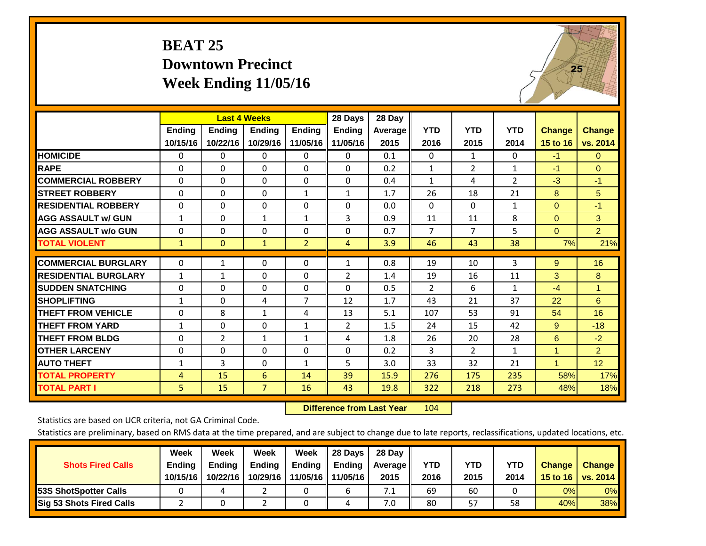# **BEAT 25 Downtown Precinct Week Ending 11/05/16**



|                             |              | <b>Last 4 Weeks</b> |                |                | 28 Days      | 28 Day  |                |                |                |               |                |
|-----------------------------|--------------|---------------------|----------------|----------------|--------------|---------|----------------|----------------|----------------|---------------|----------------|
|                             | Ending       | Ending              | <b>Endina</b>  | <b>Ending</b>  | Ending       | Average | <b>YTD</b>     | <b>YTD</b>     | <b>YTD</b>     | <b>Change</b> | <b>Change</b>  |
|                             | 10/15/16     | 10/22/16            | 10/29/16       | 11/05/16       | 11/05/16     | 2015    | 2016           | 2015           | 2014           | 15 to 16      | vs. 2014       |
| <b>HOMICIDE</b>             | 0            | $\Omega$            | $\Omega$       | $\Omega$       | 0            | 0.1     | $\Omega$       | 1              | 0              | $-1$          | $\Omega$       |
| <b>RAPE</b>                 | $\Omega$     | 0                   | $\Omega$       | 0              | 0            | 0.2     | $\mathbf{1}$   | $\overline{2}$ | $\mathbf{1}$   | $-1$          | $\Omega$       |
| <b>COMMERCIAL ROBBERY</b>   | $\Omega$     | $\Omega$            | $\mathbf{0}$   | $\Omega$       | 0            | 0.4     | $\mathbf{1}$   | 4              | $\overline{2}$ | $-3$          | $-1$           |
| <b>ISTREET ROBBERY</b>      | $\Omega$     | $\Omega$            | $\Omega$       | $\mathbf{1}$   | $\mathbf{1}$ | 1.7     | 26             | 18             | 21             | 8             | 5              |
| <b>RESIDENTIAL ROBBERY</b>  | 0            | $\Omega$            | $\mathbf 0$    | $\Omega$       | 0            | 0.0     | $\mathbf{0}$   | $\Omega$       | 1              | $\mathbf{0}$  | $-1$           |
| <b>AGG ASSAULT w/ GUN</b>   | $\mathbf{1}$ | $\Omega$            | $\mathbf{1}$   | $\mathbf{1}$   | 3            | 0.9     | 11             | 11             | 8              | $\mathbf{0}$  | 3              |
| <b>AGG ASSAULT w/o GUN</b>  | 0            | $\Omega$            | $\Omega$       | $\Omega$       | 0            | 0.7     | $\overline{7}$ | $\overline{7}$ | 5              | $\Omega$      | $\overline{2}$ |
| <b>TOTAL VIOLENT</b>        | $\mathbf{1}$ | $\mathbf{0}$        | $\mathbf{1}$   | $\overline{2}$ | 4            | 3.9     | 46             | 43             | 38             | 7%            | 21%            |
|                             |              |                     |                |                |              |         |                |                |                |               |                |
| <b>COMMERCIAL BURGLARY</b>  | $\Omega$     | 1                   | $\mathbf{0}$   | 0              | $\mathbf{1}$ | 0.8     | 19             | 10             | 3              | 9             | 16             |
| <b>RESIDENTIAL BURGLARY</b> | 1            | 1                   | 0              | 0              | 2            | 1.4     | 19             | 16             | 11             | 3             | 8              |
| <b>ISUDDEN SNATCHING</b>    | $\Omega$     | 0                   | $\Omega$       | 0              | 0            | 0.5     | 2              | 6              | $\mathbf{1}$   | $-4$          | $\mathbf{1}$   |
| <b>SHOPLIFTING</b>          | $\mathbf{1}$ | $\Omega$            | 4              | 7              | 12           | 1.7     | 43             | 21             | 37             | 22            | 6              |
| <b>THEFT FROM VEHICLE</b>   | $\Omega$     | 8                   | 1              | 4              | 13           | 5.1     | 107            | 53             | 91             | 54            | 16             |
| <b>THEFT FROM YARD</b>      | $\mathbf{1}$ | $\Omega$            | $\mathbf 0$    | $\mathbf{1}$   | 2            | 1.5     | 24             | 15             | 42             | 9             | $-18$          |
| <b>THEFT FROM BLDG</b>      | $\Omega$     | $\overline{2}$      | 1              | 1              | 4            | 1.8     | 26             | 20             | 28             | 6             | $-2$           |
| <b>OTHER LARCENY</b>        | 0            | $\Omega$            | $\Omega$       | $\Omega$       | $\Omega$     | 0.2     | 3              | $\overline{2}$ | 1              | 1             | $\overline{2}$ |
| <b>AUTO THEFT</b>           | $\mathbf{1}$ | 3                   | $\Omega$       | $\mathbf{1}$   | 5            | 3.0     | 33             | 32             | 21             | $\mathbf{1}$  | 12             |
| <b>TOTAL PROPERTY</b>       | 4            | 15                  | 6              | 14             | 39           | 15.9    | 276            | 175            | 235            | 58%           | 17%            |
| <b>TOTAL PART I</b>         | 5            | 15                  | $\overline{7}$ | 16             | 43           | 19.8    | 322            | 218            | 273            | 48%           | 18%            |

 **Difference from Last Year**r 104

Statistics are based on UCR criteria, not GA Criminal Code.

| <b>Shots Fired Calls</b>        | Week<br><b>Ending</b><br>10/15/16 | Week<br><b>Endina</b><br>10/22/16 | <b>Week</b><br>Ending<br>10/29/16 | Week<br>Ending<br>11/05/16 | 28 Days<br><b>Ending</b><br>11/05/16 | 28 Day<br>Average II<br>2015 | YTD<br>2016 | YTD<br>2015 | <b>YTD</b><br>2014 | <b>Change</b><br>15 to 16 | <b>Change</b><br>vs. 2014 |
|---------------------------------|-----------------------------------|-----------------------------------|-----------------------------------|----------------------------|--------------------------------------|------------------------------|-------------|-------------|--------------------|---------------------------|---------------------------|
| <b>153S ShotSpotter Calls</b>   |                                   |                                   |                                   |                            | b                                    | 7.1                          | 69          | 60          |                    | 0%                        | 0%                        |
| <b>Sig 53 Shots Fired Calls</b> |                                   |                                   |                                   |                            |                                      | 7.0                          | 80          | 57          | 58                 | 40%                       | 38%                       |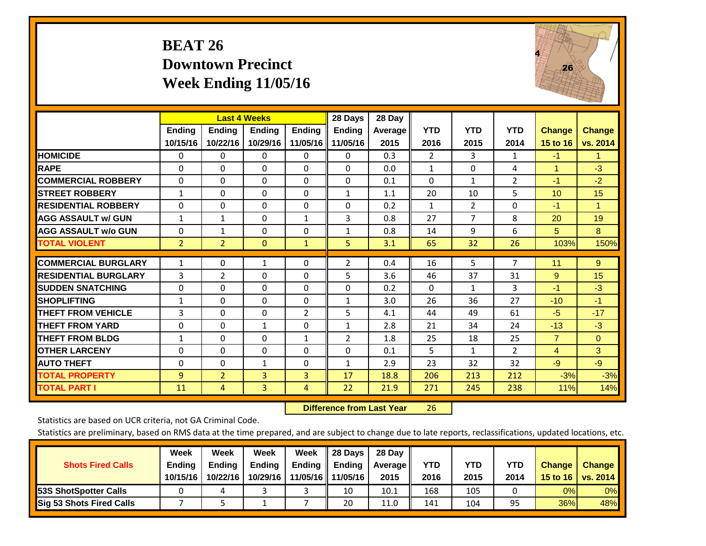## **BEAT 26 Downtown Precinct Week Ending 11/05/16**



|                             |                | <b>Last 4 Weeks</b> |               |               | 28 Days        | 28 Day  |                |              |                |                |                      |
|-----------------------------|----------------|---------------------|---------------|---------------|----------------|---------|----------------|--------------|----------------|----------------|----------------------|
|                             | <b>Ending</b>  | <b>Ending</b>       | <b>Endina</b> | <b>Endina</b> | <b>Endina</b>  | Average | <b>YTD</b>     | <b>YTD</b>   | <b>YTD</b>     | <b>Change</b>  | <b>Change</b>        |
|                             | 10/15/16       | 10/22/16            | 10/29/16      | 11/05/16      | 11/05/16       | 2015    | 2016           | 2015         | 2014           | 15 to 16       | vs. 2014             |
| <b>HOMICIDE</b>             | 0              | 0                   | $\Omega$      | 0             | 0              | 0.3     | $\overline{2}$ | 3            | 1              | $-1$           | $\blacktriangleleft$ |
| <b>RAPE</b>                 | 0              | $\Omega$            | $\Omega$      | $\Omega$      | $\Omega$       | 0.0     | $\mathbf{1}$   | $\Omega$     | 4              | 1              | $-3$                 |
| <b>COMMERCIAL ROBBERY</b>   | $\Omega$       | 0                   | $\Omega$      | $\mathbf{0}$  | $\Omega$       | 0.1     | $\Omega$       | 1            | $\overline{2}$ | $-1$           | $-2$                 |
| <b>ISTREET ROBBERY</b>      | $\mathbf{1}$   | $\Omega$            | $\Omega$      | $\Omega$      | $\mathbf{1}$   | 1.1     | 20             | 10           | 5              | 10             | 15                   |
| <b>RESIDENTIAL ROBBERY</b>  | 0              | 0                   | $\mathbf{0}$  | $\mathbf{0}$  | $\Omega$       | 0.2     | $\mathbf{1}$   | 2            | 0              | $-1$           | 1                    |
| <b>AGG ASSAULT w/ GUN</b>   | $\mathbf{1}$   | $\mathbf{1}$        | $\Omega$      | $\mathbf{1}$  | 3              | 0.8     | 27             | 7            | 8              | 20             | 19                   |
| <b>AGG ASSAULT w/o GUN</b>  | $\Omega$       | $\mathbf{1}$        | $\mathbf{0}$  | $\Omega$      | $\mathbf{1}$   | 0.8     | 14             | 9            | 6              | 5              | 8                    |
| <b>TOTAL VIOLENT</b>        | $\overline{2}$ | $\overline{2}$      | $\mathbf{0}$  | $\mathbf{1}$  | 5.             | 3.1     | 65             | 32           | 26             | 103%           | 150%                 |
| <b>COMMERCIAL BURGLARY</b>  | $\mathbf{1}$   | $\Omega$            |               | $\mathbf{0}$  |                | 0.4     | 16             | 5            | 7              | 11             | 9                    |
|                             |                |                     | 1             |               | 2              |         |                |              |                |                |                      |
| <b>RESIDENTIAL BURGLARY</b> | 3              | 2                   | $\mathbf{0}$  | $\Omega$      | 5              | 3.6     | 46             | 37           | 31             | 9              | 15                   |
| <b>SUDDEN SNATCHING</b>     | 0              | 0                   | $\Omega$      | $\mathbf{0}$  | $\Omega$       | 0.2     | 0              | 1            | 3              | $-1$           | $-3$                 |
| <b>SHOPLIFTING</b>          | 1              | 0                   | $\Omega$      | 0             | 1              | 3.0     | 26             | 36           | 27             | $-10$          | $-1$                 |
| <b>THEFT FROM VEHICLE</b>   | 3              | 0                   | $\mathbf{0}$  | 2             | 5              | 4.1     | 44             | 49           | 61             | $-5$           | $-17$                |
| <b>THEFT FROM YARD</b>      | $\Omega$       | $\Omega$            | $\mathbf{1}$  | $\mathbf{0}$  | $\mathbf{1}$   | 2.8     | 21             | 34           | 24             | $-13$          | $-3$                 |
| <b>THEFT FROM BLDG</b>      | 1              | $\Omega$            | $\Omega$      | 1             | $\overline{2}$ | 1.8     | 25             | 18           | 25             | $\overline{7}$ | $\Omega$             |
| <b>OTHER LARCENY</b>        | $\Omega$       | $\Omega$            | $\Omega$      | $\Omega$      | $\Omega$       | 0.1     | 5              | $\mathbf{1}$ | $\overline{2}$ | $\overline{4}$ | 3                    |
| <b>AUTO THEFT</b>           | 0              | 0                   | 1             | 0             | 1              | 2.9     | 23             | 32           | 32             | $-9$           | $-9$                 |
| <b>TOTAL PROPERTY</b>       | 9              | $\overline{2}$      | 3             | 3             | 17             | 18.8    | 206            | 213          | 212            | $-3%$          | $-3%$                |
| <b>TOTAL PART I</b>         | 11             | 4                   | 3             | 4             | 22             | 21.9    | 271            | 245          | 238            | 11%            | 14%                  |

 **Difference from Last Year**r 26

Statistics are based on UCR criteria, not GA Criminal Code.

|                                 | Week          | Week          | <b>Week</b> | Week     | 28 Days       | 28 Day     |      |      |            |               |                 |
|---------------------------------|---------------|---------------|-------------|----------|---------------|------------|------|------|------------|---------------|-----------------|
| <b>Shots Fired Calls</b>        | <b>Ending</b> | <b>Endina</b> | Ending      | Ending   | <b>Ending</b> | Average II | YTD  | YTD  | <b>YTD</b> | <b>Change</b> | <b>Change</b>   |
|                                 | 10/15/16      | 10/22/16      | 10/29/16    | 11/05/16 | 11/05/16      | 2015       | 2016 | 2015 | 2014       | 15 to 16      | <b>vs. 2014</b> |
| <b>153S ShotSpotter Calls</b>   |               |               |             |          | 10            | 10.1       | 168  | 105  |            | 0%            | 0%              |
| <b>Sig 53 Shots Fired Calls</b> |               |               |             |          | 20            | 11.0       | 141  | 104  | 95         | 36%           | 48%             |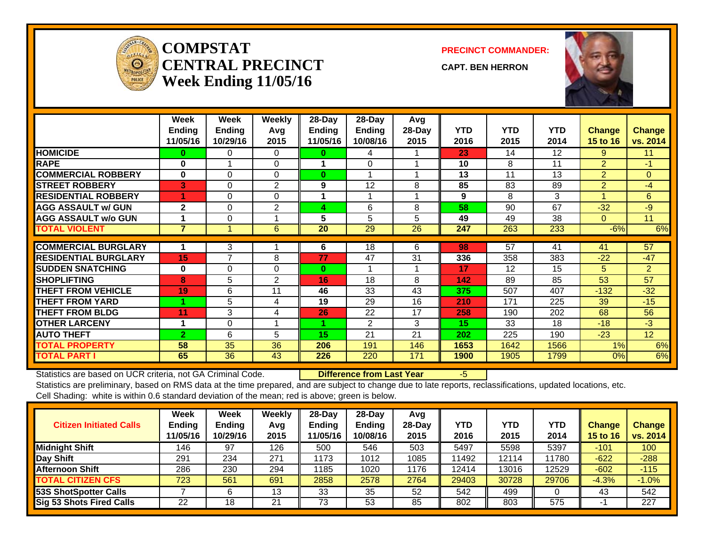

#### **COMPSTATCENTRAL PRECINCTWeek Ending 11/05/16**

**PRECINCT COMMANDER:**

**CAPT. BEN HERRON**



|                             | Week<br><b>Ending</b><br>11/05/16 | Week<br><b>Ending</b><br>10/29/16 | Weekly<br>Avg<br>2015 | 28-Day<br>Ending<br>11/05/16 | 28-Day<br>Ending<br>10/08/16 | Avg<br>28-Day<br>2015 | <b>YTD</b><br>2016 | <b>YTD</b><br>2015 | <b>YTD</b><br>2014 | <b>Change</b><br>15 to 16 | <b>Change</b><br>vs. 2014 |
|-----------------------------|-----------------------------------|-----------------------------------|-----------------------|------------------------------|------------------------------|-----------------------|--------------------|--------------------|--------------------|---------------------------|---------------------------|
| <b>HOMICIDE</b>             | 0                                 | 0                                 | $\Omega$              | $\bf{0}$                     | 4                            |                       | 23                 | 14                 | 12                 | 9                         | 11                        |
| <b>RAPE</b>                 | $\bf{0}$                          |                                   | $\Omega$              |                              | $\Omega$                     |                       | 10                 | 8                  | 11                 | $\overline{2}$            | $-1$                      |
| <b>COMMERCIAL ROBBERY</b>   | $\bf{0}$                          | $\Omega$                          | $\Omega$              | $\bf{0}$                     |                              |                       | 13                 | 11                 | 13                 | $\overline{2}$            | $\mathbf{0}$              |
| <b>STREET ROBBERY</b>       | 3                                 | 0                                 | 2                     | 9                            | 12                           | 8                     | 85                 | 83                 | 89                 | $\overline{2}$            | $-4$                      |
| <b>RESIDENTIAL ROBBERY</b>  |                                   | $\Omega$                          | $\Omega$              |                              |                              |                       | 9                  | 8                  | 3                  | 4                         | 6                         |
| <b>AGG ASSAULT w/ GUN</b>   | $\mathbf{2}$                      | $\Omega$                          | 2                     | 4                            | 6                            | 8                     | 58                 | 90                 | 67                 | $-32$                     | $-9$                      |
| <b>AGG ASSAULT w/o GUN</b>  |                                   | $\Omega$                          |                       | 5                            | 5                            | 5                     | 49                 | 49                 | 38                 | $\Omega$                  | 11                        |
| <b>TOTAL VIOLENT</b>        | $\overline{7}$                    |                                   | 6                     | 20                           | 29                           | 26                    | 247                | 263                | 233                | $-6%$                     | 6%                        |
|                             |                                   |                                   |                       |                              |                              |                       |                    |                    |                    |                           |                           |
| <b>COMMERCIAL BURGLARY</b>  |                                   | 3                                 |                       | 6                            | $\overline{18}$              | 6                     | 98                 | $\overline{57}$    | 41                 | 41                        | 57                        |
| <b>RESIDENTIAL BURGLARY</b> | 15                                | 7                                 | 8                     | 77                           | 47                           | 31                    | 336                | 358                | 383                | $-22$                     | $-47$                     |
| <b>SUDDEN SNATCHING</b>     | $\bf{0}$                          | $\Omega$                          | $\Omega$              | $\bf{0}$                     |                              |                       | 17                 | 12                 | 15                 | 5                         | $\overline{2}$            |
| <b>SHOPLIFTING</b>          | 8                                 | 5                                 | 2                     | 16                           | 18                           | 8                     | 142                | 89                 | 85                 | 53                        | 57                        |
| <b>THEFT FROM VEHICLE</b>   | 19                                | 6                                 | 11                    | 46                           | 33                           | 43                    | 375                | 507                | 407                | $-132$                    | $-32$                     |
| <b>THEFT FROM YARD</b>      |                                   | 5                                 | 4                     | 19                           | 29                           | 16                    | 210                | 171                | 225                | 39                        | $-15$                     |
| <b>THEFT FROM BLDG</b>      | 11                                | 3                                 | 4                     | 26                           | 22                           | 17                    | 258                | 190                | 202                | 68                        | 56                        |
| <b>OTHER LARCENY</b>        |                                   | $\Omega$                          |                       |                              | $\mathfrak{p}$               | 3                     | 15                 | 33                 | 18                 | $-18$                     | $-3$                      |
| <b>AUTO THEFT</b>           | $\mathbf{2}$                      | 6                                 | 5                     | 15                           | 21                           | 21                    | 202                | 225                | 190                | $-23$                     | 12 <sup>2</sup>           |
| <b>TOTAL PROPERTY</b>       | 58                                | 35                                | 36                    | 206                          | 191                          | 146                   | 1653               | 1642               | 1566               | 1%                        | 6%                        |
| <b>TOTAL PART I</b>         | 65                                | 36                                | 43                    | 226                          | 220                          | 171                   | 1900               | 1905               | 1799               | 0%                        | 6%                        |

Statistics are based on UCR criteria, not GA Criminal Code. **Difference from Last Year** -5

| <b>Citizen Initiated Calls</b>  | Week<br><b>Ending</b><br>11/05/16 | <b>Week</b><br><b>Ending</b><br>10/29/16 | Weekly<br>Avg<br>2015 | $28$ -Day<br><b>Ending</b><br>1/05/16 | 28-Dav<br><b>Ending</b><br>10/08/16 | Avg<br>$28-Dav$<br>2015 | <b>YTD</b><br>2016 | <b>YTD</b><br>2015 | YTD<br>2014 | Change<br>15 to 16 | <b>Change</b><br>vs. 2014 |
|---------------------------------|-----------------------------------|------------------------------------------|-----------------------|---------------------------------------|-------------------------------------|-------------------------|--------------------|--------------------|-------------|--------------------|---------------------------|
| <b>Midnight Shift</b>           | 146                               | 97                                       | 126                   | 500                                   | 546                                 | 503                     | 5497               | 5598               | 5397        | $-101$             | 100                       |
| Day Shift                       | 291                               | 234                                      | 271                   | 1173                                  | 1012                                | 1085                    | 11492              | 12114              | 11780       | $-622$             | $-288$                    |
| <b>Afternoon Shift</b>          | 286                               | 230                                      | 294                   | 1185                                  | 1020                                | 1176                    | 12414              | 13016              | 12529       | $-602$             | $-115$                    |
| <b>TOTAL CITIZEN CFS</b>        | 723                               | 561                                      | 691                   | 2858                                  | 2578                                | 2764                    | 29403              | 30728              | 29706       | $-4.3%$            | $-1.0%$                   |
| <b>53S ShotSpotter Calls</b>    |                                   |                                          | 13                    | 33                                    | 35                                  | 52                      | 542                | 499                |             | 43                 | 542                       |
| <b>Sig 53 Shots Fired Calls</b> | 22                                | 18                                       | 21                    | 73                                    | 53                                  | 85                      | 802                | 803                | 575         |                    | 227                       |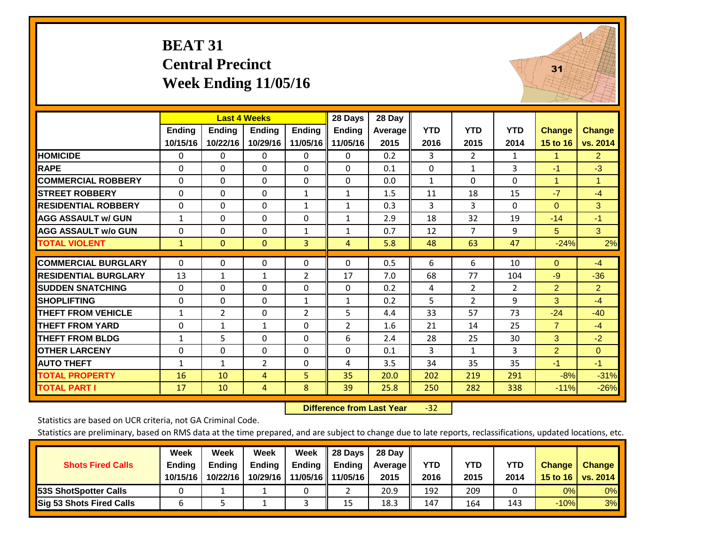#### **BEAT 31 Central Precinct Week Ending 11/05/16**



|                             |                    | <b>Last 4 Weeks</b>       |                           |                           | 28 Days                   | 28 Day          |                    |                    |                    |                           |                           |
|-----------------------------|--------------------|---------------------------|---------------------------|---------------------------|---------------------------|-----------------|--------------------|--------------------|--------------------|---------------------------|---------------------------|
|                             | Ending<br>10/15/16 | <b>Ending</b><br>10/22/16 | <b>Ending</b><br>10/29/16 | <b>Ending</b><br>11/05/16 | <b>Ending</b><br>11/05/16 | Average<br>2015 | <b>YTD</b><br>2016 | <b>YTD</b><br>2015 | <b>YTD</b><br>2014 | <b>Change</b><br>15 to 16 | <b>Change</b><br>vs. 2014 |
| <b>HOMICIDE</b>             | $\Omega$           | 0                         | 0                         | 0                         | $\mathbf{0}$              | 0.2             | 3                  | $\overline{2}$     | 1                  | 1.                        | $\overline{2}$            |
| <b>RAPE</b>                 | $\Omega$           | $\Omega$                  | 0                         | $\Omega$                  | $\Omega$                  | 0.1             | $\Omega$           | 1                  | 3                  | -1                        | $-3$                      |
| <b>COMMERCIAL ROBBERY</b>   | $\mathbf{0}$       | $\mathbf{0}$              | 0                         | $\Omega$                  | $\Omega$                  | 0.0             | $\mathbf{1}$       | $\Omega$           | 0                  | $\mathbf{1}$              | $\mathbf{1}$              |
| <b>STREET ROBBERY</b>       | 0                  | $\Omega$                  | 0                         | $\mathbf{1}$              | $\mathbf{1}$              | 1.5             | 11                 | 18                 | 15                 | $-7$                      | $-4$                      |
| <b>RESIDENTIAL ROBBERY</b>  | $\mathbf{0}$       | $\mathbf{0}$              | 0                         | $\mathbf{1}$              | $\mathbf{1}$              | 0.3             | 3                  | 3                  | 0                  | $\mathbf{0}$              | 3                         |
| <b>AGG ASSAULT w/ GUN</b>   | $\mathbf{1}$       | $\Omega$                  | 0                         | $\Omega$                  | $\mathbf{1}$              | 2.9             | 18                 | 32                 | 19                 | $-14$                     | $-1$                      |
| <b>AGG ASSAULT w/o GUN</b>  | $\mathbf 0$        | $\Omega$                  | 0                         | $\mathbf{1}$              | 1                         | 0.7             | 12                 | $\overline{7}$     | 9                  | 5                         | 3                         |
| <b>TOTAL VIOLENT</b>        | $\mathbf{1}$       | $\mathbf{0}$              | $\mathbf{0}$              | 3                         | $\overline{4}$            | 5.8             | 48                 | 63                 | 47                 | $-24%$                    | 2%                        |
|                             |                    |                           |                           |                           |                           |                 |                    |                    |                    |                           |                           |
| <b>COMMERCIAL BURGLARY</b>  | $\mathbf{0}$       | $\mathbf{0}$              | 0                         | $\Omega$                  | $\Omega$                  | 0.5             | 6                  | 6                  | 10                 | $\Omega$                  | $-4$                      |
| <b>RESIDENTIAL BURGLARY</b> | 13                 | 1                         | 1                         | $\overline{2}$            | 17                        | 7.0             | 68                 | 77                 | 104                | $-9$                      | $-36$                     |
| <b>SUDDEN SNATCHING</b>     | $\mathbf{0}$       | $\Omega$                  | 0                         | $\Omega$                  | $\Omega$                  | 0.2             | 4                  | $\overline{2}$     | $\overline{2}$     | $\overline{2}$            | $\overline{2}$            |
| <b>SHOPLIFTING</b>          | $\mathbf{0}$       | $\Omega$                  | 0                         | 1                         | 1                         | 0.2             | 5                  | $\overline{2}$     | 9                  | 3                         | $-4$                      |
| <b>THEFT FROM VEHICLE</b>   | $\mathbf{1}$       | $\overline{2}$            | 0                         | $\overline{2}$            | 5                         | 4.4             | 33                 | 57                 | 73                 | $-24$                     | $-40$                     |
| <b>THEFT FROM YARD</b>      | $\mathbf{0}$       | $\mathbf{1}$              | $\mathbf{1}$              | $\Omega$                  | 2                         | 1.6             | 21                 | 14                 | 25                 | $\overline{7}$            | $-4$                      |
| <b>THEFT FROM BLDG</b>      | $\mathbf{1}$       | 5                         | 0                         | $\Omega$                  | 6                         | 2.4             | 28                 | 25                 | 30                 | 3                         | $-2$                      |
| <b>OTHER LARCENY</b>        | $\mathbf{0}$       | $\Omega$                  | 0                         | $\Omega$                  | $\Omega$                  | 0.1             | 3                  | $\mathbf{1}$       | 3                  | $\overline{2}$            | $\Omega$                  |
| <b>AUTO THEFT</b>           | $\mathbf{1}$       | 1                         | $\overline{2}$            | $\Omega$                  | 4                         | 3.5             | 34                 | 35                 | 35                 | $-1$                      | $-1$                      |
| <b>TOTAL PROPERTY</b>       | 16                 | 10                        | 4                         | 5                         | 35                        | 20.0            | 202                | 219                | 291                | $-8%$                     | $-31%$                    |
| <b>TOTAL PART I</b>         | 17                 | 10                        | 4                         | 8                         | 39                        | 25.8            | 250                | 282                | 338                | $-11%$                    | $-26%$                    |

 **Difference from Last Year**‐32

Statistics are based on UCR criteria, not GA Criminal Code.

|                                 | Week          | Week          | <b>Week</b>   | Week          | 28 Days             | 28 Dav     |            |      |      |               |                     |
|---------------------------------|---------------|---------------|---------------|---------------|---------------------|------------|------------|------|------|---------------|---------------------|
| <b>Shots Fired Calls</b>        | <b>Ending</b> | <b>Endina</b> | <b>Ending</b> | <b>Ending</b> | Ending              | Average II | <b>YTD</b> | YTD  | YTD  | <b>Change</b> | <b>Change</b>       |
|                                 | 10/15/16      | 10/22/16      | 10/29/16      |               | 11/05/16   11/05/16 | 2015       | 2016       | 2015 | 2014 |               | 15 to 16   vs. 2014 |
| <b>153S ShotSpotter Calls</b>   |               |               |               |               |                     | 20.9       | 192        | 209  |      | 0%            | 0%                  |
| <b>Sig 53 Shots Fired Calls</b> |               |               |               |               | 15                  | 18.3       | 147        | 164  | 143  | $-10%$        | 3%                  |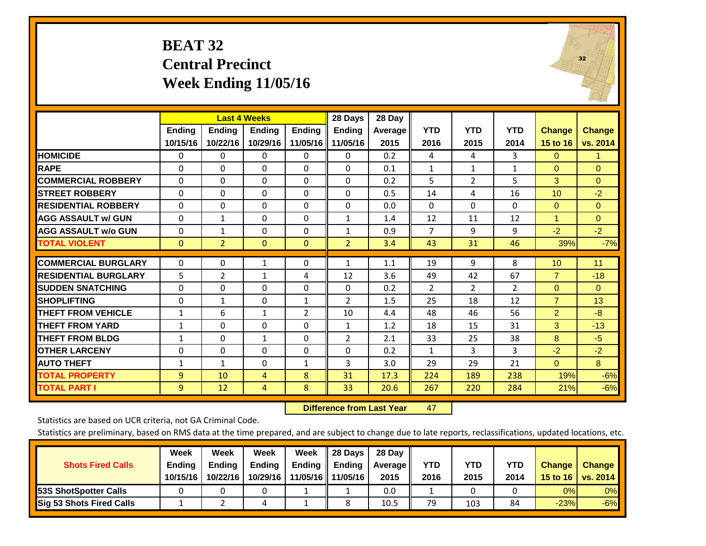#### **BEAT 32 Central Precinct Week Ending 11/05/16**



|                             |              |                | <b>Last 4 Weeks</b> |                | 28 Days        | 28 Day  |                |                |                |                 |                |
|-----------------------------|--------------|----------------|---------------------|----------------|----------------|---------|----------------|----------------|----------------|-----------------|----------------|
|                             | Ending       | <b>Endina</b>  | <b>Endina</b>       | <b>Endina</b>  | <b>Endina</b>  | Average | <b>YTD</b>     | <b>YTD</b>     | <b>YTD</b>     | <b>Change</b>   | <b>Change</b>  |
|                             | 10/15/16     | 10/22/16       | 10/29/16            | 11/05/16       | 11/05/16       | 2015    | 2016           | 2015           | 2014           | 15 to 16        | vs. 2014       |
| <b>HOMICIDE</b>             | $\mathbf{0}$ | 0              | $\Omega$            | 0              | $\Omega$       | 0.2     | 4              | 4              | 3              | $\Omega$        | 1.             |
| <b>RAPE</b>                 | 0            | 0              | $\Omega$            | $\Omega$       | 0              | 0.1     | $\mathbf{1}$   | 1              | $\mathbf{1}$   | $\Omega$        | $\Omega$       |
| <b>COMMERCIAL ROBBERY</b>   | $\Omega$     | $\Omega$       | $\Omega$            | $\Omega$       | $\Omega$       | 0.2     | 5              | $\overline{2}$ | 5              | 3               | $\mathbf{0}$   |
| <b>STREET ROBBERY</b>       | $\Omega$     | $\Omega$       | $\Omega$            | $\Omega$       | $\Omega$       | 0.5     | 14             | 4              | 16             | 10              | $-2$           |
| <b>RESIDENTIAL ROBBERY</b>  | 0            | 0              | $\Omega$            | $\Omega$       | $\Omega$       | 0.0     | $\mathbf{0}$   | $\Omega$       | 0              | $\Omega$        | $\overline{0}$ |
| <b>AGG ASSAULT w/ GUN</b>   | $\Omega$     | $\mathbf{1}$   | $\Omega$            | $\Omega$       | $\mathbf{1}$   | 1.4     | 12             | 11             | 12             | $\overline{1}$  | $\Omega$       |
| <b>AGG ASSAULT w/o GUN</b>  | 0            | 1              | $\Omega$            | $\Omega$       | $\mathbf{1}$   | 0.9     | $\overline{7}$ | 9              | 9              | $-2$            | $-2$           |
| <b>TOTAL VIOLENT</b>        | $\mathbf{0}$ | $\overline{2}$ | $\mathbf{0}$        | $\mathbf{0}$   | $\overline{2}$ | 3.4     | 43             | 31             | 46             | 39%             | $-7%$          |
|                             |              |                |                     |                |                |         |                |                |                |                 |                |
| <b>COMMERCIAL BURGLARY</b>  | $\Omega$     | 0              | $\mathbf{1}$        | $\Omega$       | $\mathbf{1}$   | 1.1     | 19             | 9              | 8              | 10 <sup>°</sup> | 11             |
| <b>RESIDENTIAL BURGLARY</b> | 5            | $\overline{2}$ | 1                   | 4              | 12             | 3.6     | 49             | 42             | 67             | $\overline{7}$  | $-18$          |
| <b>SUDDEN SNATCHING</b>     | 0            | $\Omega$       | $\Omega$            | $\Omega$       | $\Omega$       | 0.2     | $\overline{2}$ | $\overline{2}$ | $\overline{2}$ | $\Omega$        | $\Omega$       |
| <b>SHOPLIFTING</b>          | 0            | 1              | 0                   | 1              | 2              | 1.5     | 25             | 18             | 12             | $\overline{7}$  | 13             |
| <b>THEFT FROM VEHICLE</b>   | 1            | 6              | 1                   | $\overline{2}$ | 10             | 4.4     | 48             | 46             | 56             | $\overline{2}$  | $-8$           |
| <b>THEFT FROM YARD</b>      | $\mathbf{1}$ | 0              | $\Omega$            | $\Omega$       | 1              | 1.2     | 18             | 15             | 31             | 3               | $-13$          |
| <b>THEFT FROM BLDG</b>      | 1            | 0              | 1                   | $\Omega$       | 2              | 2.1     | 33             | 25             | 38             | 8               | $-5$           |
| <b>OTHER LARCENY</b>        | $\mathbf 0$  | 0              | $\Omega$            | $\Omega$       | $\Omega$       | 0.2     | $\mathbf{1}$   | 3              | 3              | $-2$            | $-2$           |
| <b>AUTO THEFT</b>           | $\mathbf{1}$ | 1              | $\Omega$            | $\mathbf{1}$   | 3              | 3.0     | 29             | 29             | 21             | $\Omega$        | 8 <sup>°</sup> |
| <b>TOTAL PROPERTY</b>       | 9            | 10             | 4                   | 8              | 31             | 17.3    | 224            | 189            | 238            | 19%             | $-6%$          |
| <b>TOTAL PART I</b>         | 9            | 12             | 4                   | 8              | 33             | 20.6    | 267            | 220            | 284            | 21%             | $-6%$          |

 **Difference from Last Year**r 47

Statistics are based on UCR criteria, not GA Criminal Code.

|                                 | Week          | Week          | <b>Week</b>   | Week   | 28 Days             | 28 Dav     |            |      |      |               |                     |
|---------------------------------|---------------|---------------|---------------|--------|---------------------|------------|------------|------|------|---------------|---------------------|
| <b>Shots Fired Calls</b>        | <b>Ending</b> | <b>Endina</b> | <b>Ending</b> | Ending | <b>Ending</b>       | Average II | <b>YTD</b> | YTD  | YTD  | <b>Change</b> | <b>Change</b>       |
|                                 | 10/15/16      | 10/22/16      | 10/29/16      |        | 11/05/16   11/05/16 | 2015       | 2016       | 2015 | 2014 |               | 15 to 16   vs. 2014 |
| <b>153S ShotSpotter Calls</b>   |               |               |               |        |                     | 0.0        |            |      |      | 0%            | 0%                  |
| <b>Sig 53 Shots Fired Calls</b> |               |               | 4             |        |                     | 10.5       | 79         | 103  | 84   | $-23%$        | $-6%$               |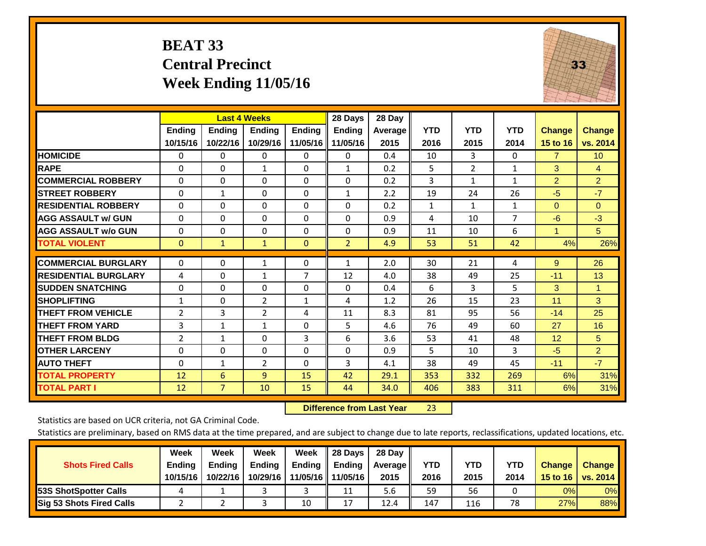### **BEAT 33 Central Precinct Week Ending 11/05/16**



|                             |               |                | <b>Last 4 Weeks</b> |               | 28 Days        | 28 Day  |              |              |                |                |                 |
|-----------------------------|---------------|----------------|---------------------|---------------|----------------|---------|--------------|--------------|----------------|----------------|-----------------|
|                             | <b>Ending</b> | <b>Ending</b>  | <b>Ending</b>       | <b>Endina</b> | <b>Ending</b>  | Average | <b>YTD</b>   | <b>YTD</b>   | <b>YTD</b>     | <b>Change</b>  | <b>Change</b>   |
|                             | 10/15/16      | 10/22/16       | 10/29/16            | 11/05/16      | 11/05/16       | 2015    | 2016         | 2015         | 2014           | 15 to 16       | vs. 2014        |
| <b>HOMICIDE</b>             | 0             | $\Omega$       | 0                   | 0             | $\Omega$       | 0.4     | 10           | 3            | $\Omega$       | $\overline{7}$ | 10 <sup>°</sup> |
| <b>RAPE</b>                 | 0             | $\Omega$       | 1                   | $\Omega$      | $\mathbf{1}$   | 0.2     | 5            | 2            | 1              | 3              | 4               |
| <b>COMMERCIAL ROBBERY</b>   | $\Omega$      | $\Omega$       | $\Omega$            | $\Omega$      | $\Omega$       | 0.2     | 3            | $\mathbf{1}$ | $\mathbf{1}$   | $\overline{2}$ | $\overline{2}$  |
| <b>STREET ROBBERY</b>       | $\Omega$      | $\mathbf{1}$   | $\Omega$            | $\Omega$      | $\mathbf{1}$   | 2.2     | 19           | 24           | 26             | $-5$           | $-7$            |
| <b>RESIDENTIAL ROBBERY</b>  | $\Omega$      | $\Omega$       | $\mathbf{0}$        | $\Omega$      | $\Omega$       | 0.2     | $\mathbf{1}$ | $\mathbf{1}$ | $\mathbf{1}$   | $\Omega$       | $\Omega$        |
| <b>AGG ASSAULT w/ GUN</b>   | $\Omega$      | 0              | $\mathbf{0}$        | $\Omega$      | 0              | 0.9     | 4            | 10           | $\overline{7}$ | $-6$           | $-3$            |
| <b>AGG ASSAULT w/o GUN</b>  | $\Omega$      | $\Omega$       | $\Omega$            | $\Omega$      | $\Omega$       | 0.9     | 11           | 10           | 6              | $\overline{1}$ | 5               |
| <b>TOTAL VIOLENT</b>        | $\mathbf{0}$  | 1              | 1                   | $\mathbf{0}$  | $\overline{2}$ | 4.9     | 53           | 51           | 42             | 4%             | 26%             |
|                             |               |                |                     |               |                |         |              |              |                |                |                 |
| <b>COMMERCIAL BURGLARY</b>  | $\Omega$      | $\Omega$       | $\mathbf{1}$        | 0             | $\mathbf{1}$   | 2.0     | 30           | 21           | 4              | 9              | 26              |
| <b>RESIDENTIAL BURGLARY</b> | 4             | $\Omega$       | 1                   | 7             | 12             | 4.0     | 38           | 49           | 25             | $-11$          | 13              |
| <b>SUDDEN SNATCHING</b>     | $\Omega$      | 0              | $\Omega$            | $\Omega$      | 0              | 0.4     | 6            | 3            | 5              | 3              | 1               |
| <b>SHOPLIFTING</b>          | $\mathbf{1}$  | $\Omega$       | $\overline{2}$      | 1             | 4              | 1.2     | 26           | 15           | 23             | 11             | 3               |
| <b>THEFT FROM VEHICLE</b>   | 2             | 3              | 2                   | 4             | 11             | 8.3     | 81           | 95           | 56             | $-14$          | 25              |
| <b>THEFT FROM YARD</b>      | 3             | 1              | $\mathbf{1}$        | $\Omega$      | 5              | 4.6     | 76           | 49           | 60             | 27             | 16              |
| <b>THEFT FROM BLDG</b>      | 2             | $\mathbf{1}$   | $\Omega$            | 3             | 6              | 3.6     | 53           | 41           | 48             | 12             | 5               |
| <b>OTHER LARCENY</b>        | 0             | $\Omega$       | $\mathbf{0}$        | 0             | 0              | 0.9     | 5            | 10           | 3              | $-5$           | $\overline{2}$  |
| <b>AUTO THEFT</b>           | $\mathbf 0$   | $\mathbf{1}$   | 2                   | 0             | 3              | 4.1     | 38           | 49           | 45             | $-11$          | $-7$            |
| <b>TOTAL PROPERTY</b>       | 12            | 6              | 9                   | 15            | 42             | 29.1    | 353          | 332          | 269            | 6%             | 31%             |
| <b>TOTAL PART I</b>         | 12            | $\overline{7}$ | 10                  | 15            | 44             | 34.0    | 406          | 383          | 311            | 6%             | 31%             |

 **Difference from Last Year**r 23

Statistics are based on UCR criteria, not GA Criminal Code.

|                                 | Week          | Week          | Week          | Week          | II 28 Davs          | 28 Day         |      |      |      |               |               |
|---------------------------------|---------------|---------------|---------------|---------------|---------------------|----------------|------|------|------|---------------|---------------|
| <b>Shots Fired Calls</b>        | <b>Ending</b> | <b>Endina</b> | <b>Ending</b> | <b>Ending</b> | Ending              | <b>Average</b> | YTD  | YTD  | YTD  | <b>Change</b> | <b>Change</b> |
|                                 | 10/15/16      | 10/22/16      | 10/29/16      |               | 11/05/16   11/05/16 | 2015           | 2016 | 2015 | 2014 | 15 to 16      | vs. 2014      |
| <b>153S ShotSpotter Calls</b>   |               |               |               |               | 11                  | 5.6            | 59   | 56   |      | 0%            | $0\%$         |
| <b>Sig 53 Shots Fired Calls</b> |               |               |               | 10            | 17                  | 12.4           | 147  | 116  | 78   | 27%           | 88%           |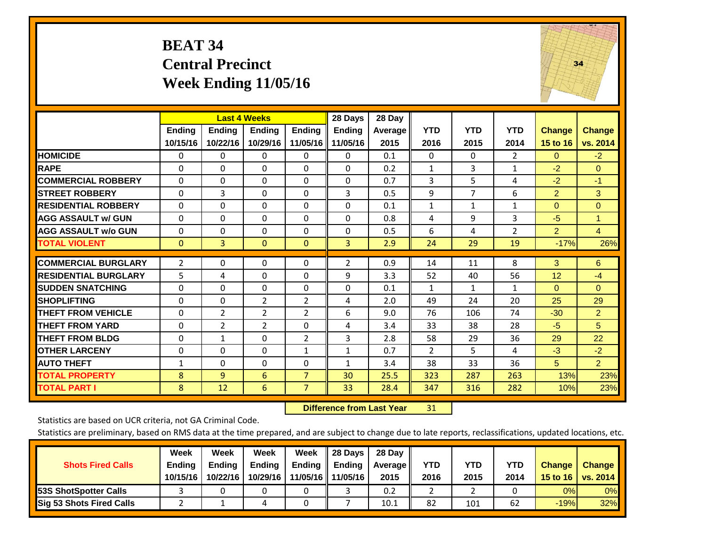#### **BEAT 34 Central Precinct Week Ending 11/05/16**



|                             |               | <b>Last 4 Weeks</b> |               |                | 28 Days        | 28 Day  |              |              |                |                |                |
|-----------------------------|---------------|---------------------|---------------|----------------|----------------|---------|--------------|--------------|----------------|----------------|----------------|
|                             | <b>Ending</b> | <b>Ending</b>       | <b>Ending</b> | <b>Endina</b>  | <b>Ending</b>  | Average | <b>YTD</b>   | <b>YTD</b>   | <b>YTD</b>     | <b>Change</b>  | <b>Change</b>  |
|                             | 10/15/16      | 10/22/16            | 10/29/16      | 11/05/16       | 11/05/16       | 2015    | 2016         | 2015         | 2014           | 15 to 16       | vs. 2014       |
| <b>HOMICIDE</b>             | 0             | 0                   | 0             | $\mathbf 0$    | $\Omega$       | 0.1     | $\Omega$     | $\mathbf{0}$ | 2              | $\mathbf{0}$   | $-2$           |
| <b>RAPE</b>                 | $\Omega$      | $\Omega$            | $\Omega$      | $\Omega$       | $\Omega$       | 0.2     | $\mathbf{1}$ | 3            | $\mathbf{1}$   | $-2$           | $\Omega$       |
| <b>COMMERCIAL ROBBERY</b>   | $\Omega$      | $\Omega$            | 0             | 0              | $\Omega$       | 0.7     | 3            | 5            | 4              | $-2$           | $-1$           |
| <b>STREET ROBBERY</b>       | $\Omega$      | 3                   | $\Omega$      | $\Omega$       | 3              | 0.5     | 9            | 7            | 6              | $\overline{2}$ | 3              |
| <b>RESIDENTIAL ROBBERY</b>  | $\Omega$      | $\Omega$            | $\Omega$      | $\Omega$       | $\Omega$       | 0.1     | $\mathbf{1}$ | $\mathbf{1}$ | 1              | $\Omega$       | $\Omega$       |
| <b>AGG ASSAULT w/ GUN</b>   | $\Omega$      | $\Omega$            | $\Omega$      | 0              | 0              | 0.8     | 4            | 9            | 3              | $-5$           | 1              |
| <b>AGG ASSAULT w/o GUN</b>  | $\Omega$      | $\Omega$            | $\Omega$      | $\Omega$       | $\Omega$       | 0.5     | 6            | 4            | $\overline{2}$ | $\overline{2}$ | $\overline{4}$ |
| <b>TOTAL VIOLENT</b>        | $\mathbf{0}$  | 3                   | $\mathbf{0}$  | $\mathbf{0}$   | 3              | 2.9     | 24           | 29           | 19             | $-17%$         | 26%            |
|                             |               |                     |               |                |                |         |              |              |                |                |                |
| <b>COMMERCIAL BURGLARY</b>  | 2             | $\Omega$            | $\Omega$      | $\Omega$       | $\overline{2}$ | 0.9     | 14           | 11           | 8              | 3              | 6              |
| <b>RESIDENTIAL BURGLARY</b> | 5             | 4                   | $\Omega$      | 0              | 9              | 3.3     | 52           | 40           | 56             | 12             | $-4$           |
| <b>ISUDDEN SNATCHING</b>    | 0             | $\Omega$            | $\Omega$      | $\Omega$       | 0              | 0.1     | $\mathbf{1}$ | $\mathbf{1}$ | $\mathbf{1}$   | $\Omega$       | $\mathbf{0}$   |
| <b>SHOPLIFTING</b>          | $\Omega$      | $\Omega$            | 2             | $\overline{2}$ | 4              | 2.0     | 49           | 24           | 20             | 25             | 29             |
| <b>THEFT FROM VEHICLE</b>   | $\mathbf 0$   | 2                   | 2             | $\overline{2}$ | 6              | 9.0     | 76           | 106          | 74             | $-30$          | $\overline{2}$ |
| <b>THEFT FROM YARD</b>      | $\Omega$      | 2                   | 2             | $\Omega$       | 4              | 3.4     | 33           | 38           | 28             | $-5$           | 5 <sup>5</sup> |
| <b>THEFT FROM BLDG</b>      | 0             | 1                   | $\Omega$      | $\overline{2}$ | 3              | 2.8     | 58           | 29           | 36             | 29             | 22             |
| <b>OTHER LARCENY</b>        | 0             | $\Omega$            | $\Omega$      | $\mathbf{1}$   | $\mathbf{1}$   | 0.7     | 2            | 5.           | 4              | $-3$           | $-2$           |
| <b>AUTO THEFT</b>           | $\mathbf{1}$  | $\Omega$            | $\Omega$      | 0              | $\mathbf{1}$   | 3.4     | 38           | 33           | 36             | 5 <sup>5</sup> | 2 <sup>1</sup> |
| <b>TOTAL PROPERTY</b>       | 8             | 9                   | 6             | $\overline{7}$ | 30             | 25.5    | 323          | 287          | 263            | 13%            | 23%            |
| <b>TOTAL PART I</b>         | 8             | 12                  | 6             | $\overline{7}$ | 33             | 28.4    | 347          | 316          | 282            | 10%            | 23%            |

 **Difference from Last Year**r 31

Statistics are based on UCR criteria, not GA Criminal Code.

| <b>Shots Fired Calls</b>        | Week<br><b>Ending</b><br>10/15/16 | Week<br><b>Endina</b><br>10/22/16 | Week<br>Ending<br>10/29/16 | Week<br>Ending<br>11/05/16 | 28 Days<br><b>Ending</b><br>11/05/16 | 28 Day<br>Average II<br>2015 | YTD<br>2016 | YTD<br>2015 | <b>YTD</b><br>2014 | <b>Change</b><br>15 to $16$ | <b>Change</b><br>vs. 2014 |
|---------------------------------|-----------------------------------|-----------------------------------|----------------------------|----------------------------|--------------------------------------|------------------------------|-------------|-------------|--------------------|-----------------------------|---------------------------|
| <b>153S ShotSpotter Calls</b>   |                                   |                                   |                            |                            |                                      | 0.2                          |             |             |                    | 0%                          | 0%                        |
| <b>Sig 53 Shots Fired Calls</b> |                                   |                                   |                            |                            |                                      | 10.1                         | 82          | 101         | 62                 | $-19%$                      | 32%                       |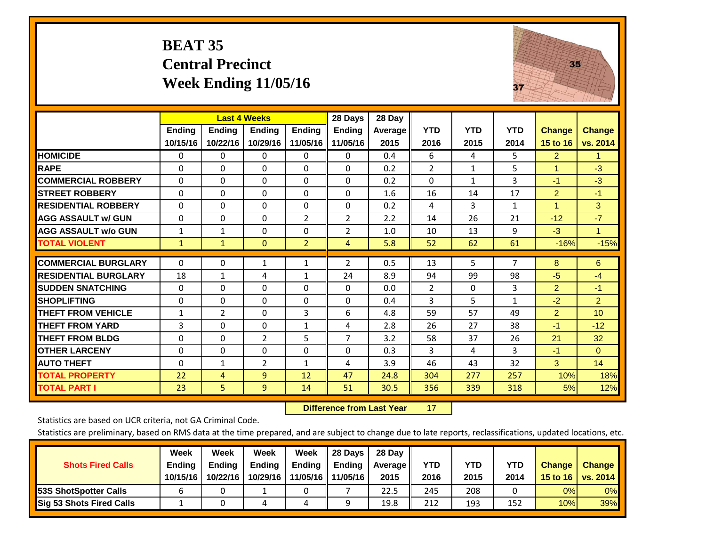### **BEAT 35 Central Precinct Week Ending 11/05/16**



|                             |                | <b>Last 4 Weeks</b> |                |                | 28 Days        | 28 Day  |                |              |              |                      |                |
|-----------------------------|----------------|---------------------|----------------|----------------|----------------|---------|----------------|--------------|--------------|----------------------|----------------|
|                             | <b>Ending</b>  | <b>Ending</b>       | <b>Ending</b>  | <b>Endina</b>  | <b>Ending</b>  | Average | <b>YTD</b>     | <b>YTD</b>   | <b>YTD</b>   | <b>Change</b>        | <b>Change</b>  |
|                             | 10/15/16       | 10/22/16            | 10/29/16       | 11/05/16       | 11/05/16       | 2015    | 2016           | 2015         | 2014         | 15 to 16             | vs. 2014       |
| <b>HOMICIDE</b>             | 0              | $\mathbf{0}$        | $\Omega$       | 0              | $\mathbf{0}$   | 0.4     | 6              | 4            | 5.           | $\overline{2}$       | $\mathbf{1}$   |
| <b>RAPE</b>                 | 0              | $\Omega$            | $\Omega$       | $\Omega$       | $\Omega$       | 0.2     | $\overline{2}$ | 1            | 5            |                      | $-3$           |
| <b>COMMERCIAL ROBBERY</b>   | $\Omega$       | $\Omega$            | $\Omega$       | $\Omega$       | $\Omega$       | 0.2     | $\Omega$       | $\mathbf{1}$ | 3            | $-1$                 | $-3$           |
| <b>STREET ROBBERY</b>       | 0              | $\Omega$            | $\Omega$       | 0              | $\Omega$       | 1.6     | 16             | 14           | 17           | $\overline{2}$       | $-1$           |
| <b>RESIDENTIAL ROBBERY</b>  | $\Omega$       | $\Omega$            | $\Omega$       | $\Omega$       | $\Omega$       | 0.2     | 4              | 3            | $\mathbf{1}$ | $\blacktriangleleft$ | 3              |
| <b>AGG ASSAULT w/ GUN</b>   | $\Omega$       | $\Omega$            | $\Omega$       | $\overline{2}$ | $\overline{2}$ | 2.2     | 14             | 26           | 21           | $-12$                | $-7$           |
| <b>AGG ASSAULT w/o GUN</b>  | 1              | 1                   | $\Omega$       | $\Omega$       | $\overline{2}$ | 1.0     | 10             | 13           | 9            | $-3$                 | $\mathbf{1}$   |
| <b>TOTAL VIOLENT</b>        | $\mathbf{1}$   | $\mathbf{1}$        | $\mathbf{0}$   | $\overline{2}$ | $\overline{4}$ | 5.8     | 52             | 62           | 61           | $-16%$               | $-15%$         |
| <b>COMMERCIAL BURGLARY</b>  | $\Omega$       | 0                   | 1              |                | 2              | 0.5     | 13             | 5            | 7            | 8                    | 6              |
|                             |                |                     |                | 1              |                |         |                |              |              |                      |                |
| <b>RESIDENTIAL BURGLARY</b> | 18             | $\mathbf{1}$        | 4              | 1              | 24             | 8.9     | 94             | 99           | 98           | -5                   | $-4$           |
| <b>ISUDDEN SNATCHING</b>    | $\Omega$       | 0                   | $\mathbf{0}$   | $\mathbf{0}$   | $\Omega$       | 0.0     | $\overline{2}$ | 0            | 3            | 2                    | $-1$           |
| <b>SHOPLIFTING</b>          | $\Omega$       | $\Omega$            | $\Omega$       | $\Omega$       | 0              | 0.4     | 3              | 5            | $\mathbf{1}$ | $-2$                 | $\overline{2}$ |
| <b>THEFT FROM VEHICLE</b>   | $\mathbf{1}$   | $\overline{2}$      | $\mathbf{0}$   | 3              | 6              | 4.8     | 59             | 57           | 49           | $\overline{2}$       | 10             |
| <b>THEFT FROM YARD</b>      | $\overline{3}$ | $\Omega$            | $\Omega$       | $\mathbf{1}$   | 4              | 2.8     | 26             | 27           | 38           | $-1$                 | $-12$          |
| <b>THEFT FROM BLDG</b>      | 0              | $\Omega$            | $\overline{2}$ | 5              | $\overline{7}$ | 3.2     | 58             | 37           | 26           | 21                   | 32             |
| <b>OTHER LARCENY</b>        | 0              | $\Omega$            | $\Omega$       | $\Omega$       | $\Omega$       | 0.3     | 3              | 4            | 3            | $-1$                 | $\Omega$       |
| <b>AUTO THEFT</b>           | $\Omega$       | $\mathbf{1}$        | $\overline{2}$ | $\mathbf{1}$   | 4              | 3.9     | 46             | 43           | 32           | 3                    | 14             |
| <b>TOTAL PROPERTY</b>       | 22             | 4                   | 9              | 12             | 47             | 24.8    | 304            | 277          | 257          | 10%                  | 18%            |
| <b>TOTAL PART I</b>         | 23             | 5                   | 9              | 14             | 51             | 30.5    | 356            | 339          | 318          | 5%                   | 12%            |

 **Difference from Last Year**r 17

Statistics are based on UCR criteria, not GA Criminal Code.

| <b>Shots Fired Calls</b>        | Week<br><b>Ending</b><br>10/15/16 | Week<br><b>Endina</b><br>10/22/16 | <b>Week</b><br>Ending<br>10/29/16 | Week<br>Ending<br>11/05/16 | 28 Days<br><b>Ending</b><br>11/05/16 | 28 Day<br>Average II<br>2015 | YTD<br>2016 | YTD<br>2015 | <b>YTD</b><br>2014 | <b>Change</b><br>15 to 16 | <b>Change</b><br>vs. 2014 |
|---------------------------------|-----------------------------------|-----------------------------------|-----------------------------------|----------------------------|--------------------------------------|------------------------------|-------------|-------------|--------------------|---------------------------|---------------------------|
| <b>153S ShotSpotter Calls</b>   |                                   |                                   |                                   |                            |                                      | 22.5                         | 245         | 208         |                    | 0%                        | 0%                        |
| <b>Sig 53 Shots Fired Calls</b> |                                   |                                   |                                   |                            |                                      | 19.8                         | 212         | 193         | 152                | 10%                       | 39%                       |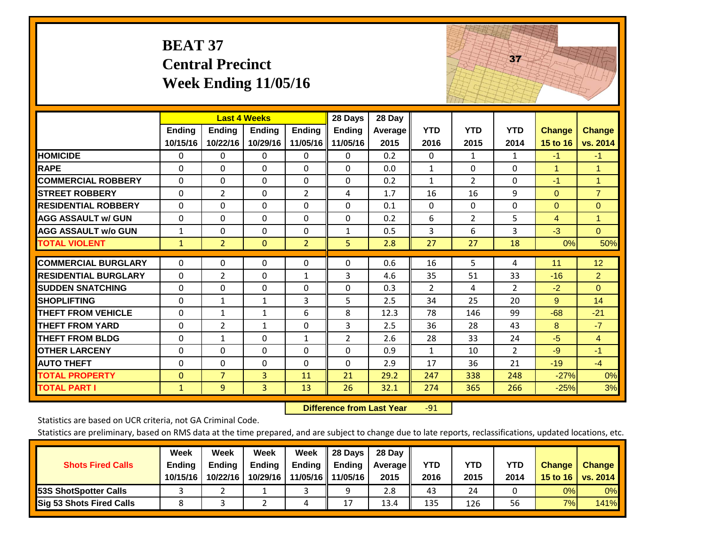|                             | <b>BEAT 37</b>            | <b>Central Precinct</b>                          | <b>Week Ending 11/05/16</b> |                           |                                      |                                  |                    |                    | 37                 |                           |                           |
|-----------------------------|---------------------------|--------------------------------------------------|-----------------------------|---------------------------|--------------------------------------|----------------------------------|--------------------|--------------------|--------------------|---------------------------|---------------------------|
|                             | <b>Ending</b><br>10/15/16 | <b>Last 4 Weeks</b><br><b>Ending</b><br>10/22/16 | <b>Ending</b><br>10/29/16   | <b>Ending</b><br>11/05/16 | 28 Days<br><b>Ending</b><br>11/05/16 | 28 Day<br><b>Average</b><br>2015 | <b>YTD</b><br>2016 | <b>YTD</b><br>2015 | <b>YTD</b><br>2014 | <b>Change</b><br>15 to 16 | <b>Change</b><br>vs. 2014 |
| <b>HOMICIDE</b>             | 0                         | 0                                                | 0                           | 0                         | 0                                    | 0.2                              | 0                  | 1                  | $\mathbf{1}$       | $-1$                      | $-1$                      |
| <b>RAPE</b>                 | $\Omega$                  | $\Omega$                                         | 0                           | $\Omega$                  | $\Omega$                             | 0.0                              | $\mathbf{1}$       | $\Omega$           | $\overline{0}$     | $\mathbf{1}$              | $\mathbf{1}$              |
| <b>COMMERCIAL ROBBERY</b>   | $\Omega$                  | $\Omega$                                         | $\Omega$                    | $\Omega$                  | $\Omega$                             | 0.2                              | $\mathbf{1}$       | $\overline{2}$     | $\Omega$           | $-1$                      | $\mathbf{1}$              |
| <b>STREET ROBBERY</b>       | $\Omega$                  | $\overline{2}$                                   | $\mathbf 0$                 | $\overline{2}$            | 4                                    | 1.7                              | 16                 | 16                 | 9                  | $\Omega$                  | $\overline{7}$            |
| <b>RESIDENTIAL ROBBERY</b>  | $\Omega$                  | $\Omega$                                         | $\mathbf{0}$                | $\Omega$                  | $\Omega$                             | 0.1                              | $\Omega$           | 0                  | $\Omega$           | $\Omega$                  | $\overline{0}$            |
| <b>AGG ASSAULT w/ GUN</b>   | $\Omega$                  | $\Omega$                                         | $\Omega$                    | $\Omega$                  | 0                                    | 0.2                              | 6                  | $\overline{2}$     | 5                  | $\overline{4}$            | $\mathbf{1}$              |
| <b>AGG ASSAULT w/o GUN</b>  | $\mathbf{1}$              | $\Omega$                                         | $\Omega$                    | 0                         | $\mathbf{1}$                         | 0.5                              | 3                  | 6                  | 3                  | $-3$                      | $\overline{0}$            |
| <b>TOTAL VIOLENT</b>        | $\mathbf{1}$              | $\overline{2}$                                   | $\mathbf{0}$                | $\overline{2}$            | 5 <sup>1</sup>                       | 2.8                              | 27                 | 27                 | 18                 | 0%                        | 50%                       |
| <b>COMMERCIAL BURGLARY</b>  | 0                         | $\Omega$                                         | 0                           | 0                         | $\Omega$                             | 0.6                              | 16                 | 5.                 | 4                  | 11                        | 12                        |
| <b>RESIDENTIAL BURGLARY</b> | $\Omega$                  | $\overline{2}$                                   | $\Omega$                    | $\mathbf{1}$              | 3                                    | 4.6                              | 35                 | 51                 | 33                 | $-16$                     | $\overline{2}$            |
| <b>ISUDDEN SNATCHING</b>    | $\Omega$                  | $\Omega$                                         | $\Omega$                    | $\Omega$                  | $\Omega$                             | 0.3                              | $\overline{2}$     | 4                  | $\overline{2}$     | $-2$                      | $\Omega$                  |
| <b>SHOPLIFTING</b>          | 0                         | $\mathbf{1}$                                     | $\mathbf{1}$                | 3                         | 5                                    | 2.5                              | 34                 | 25                 | 20                 | 9                         | 14                        |
| <b>THEFT FROM VEHICLE</b>   | $\Omega$                  | $\mathbf{1}$                                     | 1                           | 6                         | 8                                    | 12.3                             | 78                 | 146                | 99                 | $-68$                     | $-21$                     |
| <b>THEFT FROM YARD</b>      | $\Omega$                  | $\overline{2}$                                   | $\mathbf{1}$                | $\Omega$                  | 3                                    | 2.5                              | 36                 | 28                 | 43                 | 8                         | $-7$                      |
| <b>THEFT FROM BLDG</b>      | $\Omega$                  | $\mathbf{1}$                                     | $\Omega$                    | $\mathbf{1}$              | $\overline{2}$                       | 2.6                              | 28                 | 33                 | 24                 | $-5$                      | $\overline{4}$            |
| <b>OTHER LARCENY</b>        | $\Omega$                  | $\Omega$                                         | $\Omega$                    | $\Omega$                  | $\Omega$                             | 0.9                              | $\mathbf{1}$       | 10                 | $\overline{2}$     | $-9$                      | $-1$                      |
| <b>AUTO THEFT</b>           | $\Omega$                  | $\mathbf 0$                                      | 0                           | $\Omega$                  | 0                                    | 2.9                              | 17                 | 36                 | 21                 | $-19$                     | $-4$                      |
| <b>TOTAL PROPERTY</b>       | $\Omega$                  | $\overline{7}$                                   | $\overline{3}$              | 11                        | 21                                   | 29.2                             | 247                | 338                | 248                | $-27%$                    | 0%                        |
| <b>TOTAL PART I</b>         | $\mathbf{1}$              | 9                                                | $\overline{3}$              | 13                        | 26                                   | 32.1                             | 274                | 365                | 266                | $-25%$                    | 3%                        |

 **Difference from Last Year**r -91 The state of the state of the state of

Statistics are based on UCR criteria, not GA Criminal Code.

| <b>Shots Fired Calls</b>        | Week<br><b>Ending</b><br>10/15/16 | Week<br><b>Endina</b><br>10/22/16 | <b>Week</b><br>Ending<br>10/29/16 | Week<br>Ending<br>11/05/16 | 28 Days<br><b>Ending</b><br>11/05/16 | 28 Day<br>Average II<br>2015 | YTD<br>2016 | YTD<br>2015 | <b>YTD</b><br>2014 | <b>Change</b><br>15 to 16 | <b>Change</b><br>vs. 2014 |
|---------------------------------|-----------------------------------|-----------------------------------|-----------------------------------|----------------------------|--------------------------------------|------------------------------|-------------|-------------|--------------------|---------------------------|---------------------------|
| <b>153S ShotSpotter Calls</b>   |                                   |                                   |                                   |                            | a                                    | 2.8                          | 43          | 24          |                    | 0%                        | 0%                        |
| <b>Sig 53 Shots Fired Calls</b> |                                   |                                   |                                   |                            | 17                                   | 13.4                         | 135         | 126         | 56                 | 7%                        | <b>141%</b>               |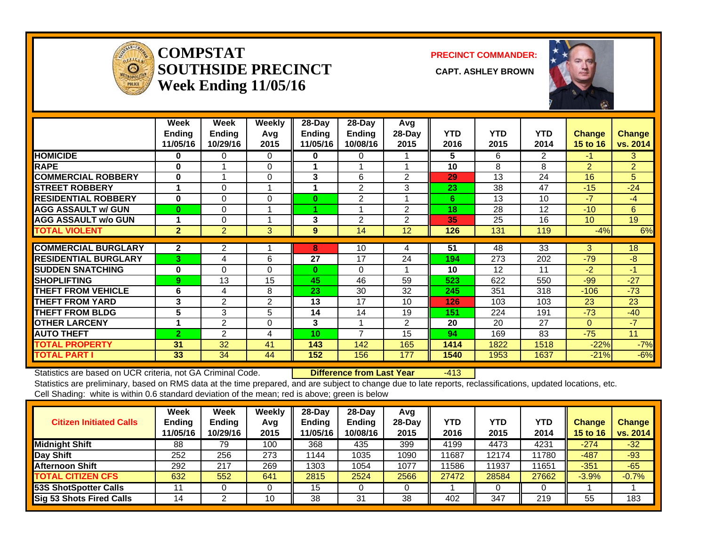

#### **COMPSTATSOUTHSIDE PRECINCT** CAPT. ASHLEY BROWN **Week Ending 11/05/16**

**PRECINCT COMMANDER:**



|                             | Week           | Week           | Weekly   | $28 - Day$ | $28-Day$       | Avg    |            |                   |            |                 |                |
|-----------------------------|----------------|----------------|----------|------------|----------------|--------|------------|-------------------|------------|-----------------|----------------|
|                             | <b>Ending</b>  | <b>Ending</b>  | Avg      | Ending     | <b>Ending</b>  | 28-Day | <b>YTD</b> | <b>YTD</b>        | <b>YTD</b> | <b>Change</b>   | <b>Change</b>  |
|                             | 11/05/16       | 10/29/16       | 2015     | 11/05/16   | 10/08/16       | 2015   | 2016       | 2015              | 2014       | <b>15 to 16</b> | vs. 2014       |
| <b>HOMICIDE</b>             | 0              | 0              | 0        | 0          | 0              |        | 5          | 6.                | 2          | -1.             | 3              |
| <b>RAPE</b>                 | 0              |                | 0        |            |                |        | 10         | 8                 | 8          | $\overline{2}$  | $\overline{2}$ |
| <b>COMMERCIAL ROBBERY</b>   | $\bf{0}$       |                | $\Omega$ | 3          | 6              | 2      | 29         | 13                | 24         | 16              | 5              |
| <b>STREET ROBBERY</b>       |                | $\Omega$       |          | 1          | $\overline{2}$ | 3      | 23         | 38                | 47         | $-15$           | $-24$          |
| <b>RESIDENTIAL ROBBERY</b>  | 0              | $\Omega$       | $\Omega$ | 0          | 2              |        | 6          | 13                | 10         | $-7$            | $-4$           |
| <b>AGG ASSAULT w/ GUN</b>   | $\bf{0}$       | 0              |          |            |                | 2      | 18         | 28                | 12         | $-10$           | 6              |
| <b>AGG ASSAULT w/o GUN</b>  |                | $\Omega$       |          | 3          | 2              | 2      | 35         | 25                | 16         | 10 <sup>°</sup> | 19             |
| <b>TOTAL VIOLENT</b>        | $\mathbf{2}$   | $\overline{2}$ | 3        | 9          | 14             | 12     | 126        | 131               | 119        | $-4%$           | 6%             |
|                             |                |                |          |            |                |        |            |                   |            |                 |                |
| <b>COMMERCIAL BURGLARY</b>  | $\overline{2}$ | 2              |          | 8          | 10             | 4      | 51         | 48                | 33         | 3               | 18             |
| <b>RESIDENTIAL BURGLARY</b> | 3 <sup>1</sup> | 4              | 6        | 27         | 17             | 24     | 194        | 273               | 202        | $-79$           | $-8$           |
| <b>SUDDEN SNATCHING</b>     | $\bf{0}$       | $\Omega$       | $\Omega$ | 0          | $\Omega$       |        | 10         | $12 \overline{ }$ | 11         | $-2$            | $-1$           |
| <b>SHOPLIFTING</b>          | 9              | 13             | 15       | 45         | 46             | 59     | 523        | 622               | 550        | $-99$           | $-27$          |
| <b>THEFT FROM VEHICLE</b>   | 6              | 4              | 8        | 23         | 30             | 32     | 245        | 351               | 318        | $-106$          | $-73$          |
| <b>THEFT FROM YARD</b>      | 3              | $\overline{2}$ | 2        | 13         | 17             | 10     | 126        | 103               | 103        | 23              | 23             |
| <b>THEFT FROM BLDG</b>      | 5              | 3              | 5        | 14         | 14             | 19     | 151        | 224               | 191        | $-73$           | $-40$          |
| <b>OTHER LARCENY</b>        |                | 2              | $\Omega$ | 3          |                | 2      | 20         | 20                | 27         | $\Omega$        | $-7$           |
| <b>AUTO THEFT</b>           | $\overline{2}$ | 2              | 4        | 10         | $\overline{7}$ | 15     | 94         | 169               | 83         | $-75$           | 11             |
| <b>TOTAL PROPERTY</b>       | 31             | 32             | 41       | 143        | 142            | 165    | 1414       | 1822              | 1518       | $-22%$          | $-7%$          |
| <b>TOTAL PART I</b>         | 33             | 34             | 44       | 152        | 156            | 177    | 1540       | 1953              | 1637       | $-21%$          | $-6%$          |

Statistics are based on UCR criteria, not GA Criminal Code. **Difference from Last Year** -413 Statistics are preliminary, based on RMS data at the time prepared, and are subject to change due to late reports, reclassifications, updated locations, etc.

Cell Shading: white is within 0.6 standard deviation of the mean; red is above; green is below

| <b>Citizen Initiated Calls</b> | Week<br><b>Ending</b><br>11/05/16 | <b>Week</b><br>Ending<br>10/29/16 | Weekly<br>Avg<br>2015 | $28$ -Dav<br><b>Ending</b><br>1/05/16 | $28$ -Day<br><b>Ending</b><br>10/08/16 | Avg<br>$28$ -Day<br>2015 | YTD<br>2016 | YTD<br>2015 | YTD<br>2014 | <b>Change</b><br>15 to 16 | <b>Change</b><br>vs. 2014 |
|--------------------------------|-----------------------------------|-----------------------------------|-----------------------|---------------------------------------|----------------------------------------|--------------------------|-------------|-------------|-------------|---------------------------|---------------------------|
| Midnight Shift                 | 88                                | 79                                | 100                   | 368                                   | 435                                    | 399                      | 4199        | 4473        | 4231        | $-274$                    | $-32$                     |
| Day Shift                      | 252                               | 256                               | 273                   | 1144                                  | 1035                                   | 1090                     | 11687       | 12174       | 11780       | $-487$                    | $-93$                     |
| <b>Afternoon Shift</b>         | 292                               | 217                               | 269                   | 1303                                  | 1054                                   | 1077                     | 11586       | 11937       | 11651       | $-351$                    | $-65$                     |
| <b>TOTAL CITIZEN CFS</b>       | 632                               | 552                               | 641                   | 2815                                  | 2524                                   | 2566                     | 27472       | 28584       | 27662       | $-3.9%$                   | $-0.7%$                   |
| <b>53S ShotSpotter Calls</b>   |                                   |                                   |                       | 15                                    |                                        |                          |             |             |             |                           |                           |
| Sig 53 Shots Fired Calls       | 14                                |                                   | 10                    | 38                                    | 31                                     | 38                       | 402         | 347         | 219         | 55                        | 183                       |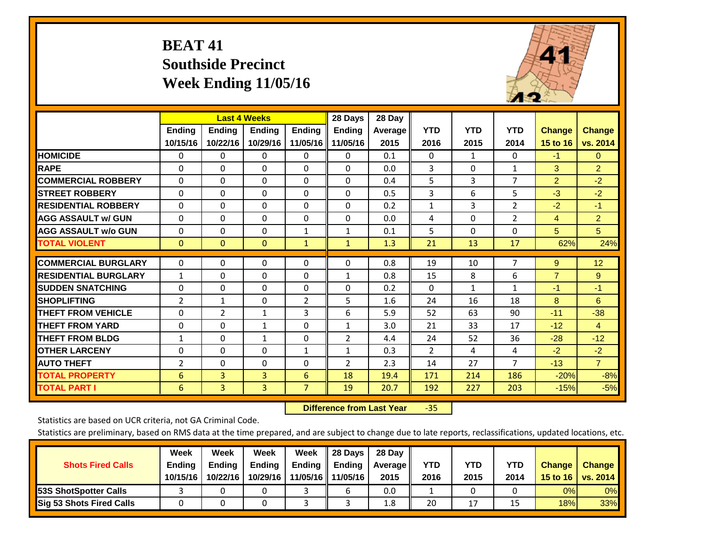# **BEAT 41 Southside Precinct Week Ending 11/05/16**



|                             |                |                | <b>Last 4 Weeks</b> |                | 28 Days        | 28 Day  |              |              |                |                |                 |
|-----------------------------|----------------|----------------|---------------------|----------------|----------------|---------|--------------|--------------|----------------|----------------|-----------------|
|                             | <b>Ending</b>  | <b>Ending</b>  | <b>Endina</b>       | <b>Ending</b>  | <b>Ending</b>  | Average | <b>YTD</b>   | <b>YTD</b>   | <b>YTD</b>     | <b>Change</b>  | Change          |
|                             | 10/15/16       | 10/22/16       | 10/29/16            | 11/05/16       | 11/05/16       | 2015    | 2016         | 2015         | 2014           | 15 to 16       | vs. 2014        |
| <b>HOMICIDE</b>             | $\mathbf{0}$   | 0              | $\Omega$            | 0              | 0              | 0.1     | $\Omega$     | 1            | 0              | $-1$           | $\mathbf{0}$    |
| <b>RAPE</b>                 | 0              | $\Omega$       | $\Omega$            | $\Omega$       | 0              | 0.0     | 3            | $\Omega$     | 1              | 3              | $\overline{2}$  |
| <b>COMMERCIAL ROBBERY</b>   | $\Omega$       | 0              | $\Omega$            | $\mathbf{0}$   | $\Omega$       | 0.4     | 5            | 3            | $\overline{7}$ | $\overline{2}$ | $-2$            |
| <b>STREET ROBBERY</b>       | $\Omega$       | $\Omega$       | $\Omega$            | $\mathbf{0}$   | $\Omega$       | 0.5     | 3            | 6            | 5              | $-3$           | $-2$            |
| <b>RESIDENTIAL ROBBERY</b>  | $\Omega$       | $\Omega$       | $\Omega$            | $\mathbf{0}$   | $\Omega$       | 0.2     | 1            | 3            | $\overline{2}$ | $-2$           | $-1$            |
| <b>AGG ASSAULT w/ GUN</b>   | $\Omega$       | $\Omega$       | $\Omega$            | $\mathbf{0}$   | $\Omega$       | 0.0     | 4            | $\Omega$     | $\overline{2}$ | 4              | $\overline{2}$  |
| <b>AGG ASSAULT w/o GUN</b>  | $\Omega$       | $\Omega$       | $\Omega$            | 1              | $\mathbf{1}$   | 0.1     | 5            | $\Omega$     | $\Omega$       | 5 <sup>5</sup> | 5 <sup>5</sup>  |
| <b>TOTAL VIOLENT</b>        | $\mathbf{0}$   | $\Omega$       | $\mathbf{0}$        | $\mathbf{1}$   | $\mathbf{1}$   | 1.3     | 21           | 13           | 17             | 62%            | 24%             |
|                             |                |                |                     |                |                |         |              |              |                |                |                 |
| <b>COMMERCIAL BURGLARY</b>  | $\Omega$       | $\Omega$       | $\Omega$            | $\mathbf 0$    | $\Omega$       | 0.8     | 19           | 10           | 7              | 9              | 12 <sub>2</sub> |
| <b>RESIDENTIAL BURGLARY</b> | $\mathbf{1}$   | 0              | $\Omega$            | $\Omega$       | $\mathbf{1}$   | 0.8     | 15           | 8            | 6              | $\overline{7}$ | 9               |
| <b>SUDDEN SNATCHING</b>     | 0              | 0              | $\Omega$            | 0              | $\Omega$       | 0.2     | $\mathbf{0}$ | $\mathbf{1}$ | $\mathbf{1}$   | $-1$           | $-1$            |
| <b>SHOPLIFTING</b>          | $\overline{2}$ | $\mathbf{1}$   | $\Omega$            | $\overline{2}$ | 5              | 1.6     | 24           | 16           | 18             | 8              | 6               |
| <b>THEFT FROM VEHICLE</b>   | $\mathbf 0$    | $\overline{2}$ | 1                   | 3              | 6              | 5.9     | 52           | 63           | 90             | $-11$          | $-38$           |
| <b>THEFT FROM YARD</b>      | $\Omega$       | 0              | $\mathbf{1}$        | $\Omega$       | $\mathbf{1}$   | 3.0     | 21           | 33           | 17             | $-12$          | $\overline{4}$  |
| <b>THEFT FROM BLDG</b>      | $\mathbf{1}$   | $\Omega$       | $\mathbf{1}$        | $\Omega$       | $\overline{2}$ | 4.4     | 24           | 52           | 36             | $-28$          | $-12$           |
| <b>OTHER LARCENY</b>        | 0              | 0              | $\Omega$            | $\mathbf{1}$   | $\mathbf{1}$   | 0.3     | 2            | 4            | 4              | $-2$           | $-2$            |
| <b>AUTO THEFT</b>           | $\overline{2}$ | $\Omega$       | $\Omega$            | $\Omega$       | $\overline{2}$ | 2.3     | 14           | 27           | 7              | $-13$          | $\overline{7}$  |
| <b>TOTAL PROPERTY</b>       | 6              | 3              | 3                   | 6              | 18             | 19.4    | 171          | 214          | 186            | $-20%$         | $-8%$           |
| <b>TOTAL PART I</b>         | 6              | 3              | 3                   | $\overline{7}$ | 19             | 20.7    | 192          | 227          | 203            | $-15%$         | $-5%$           |

 **Difference from Last Year**‐35

Statistics are based on UCR criteria, not GA Criminal Code.

| <b>Shots Fired Calls</b>        | Week<br><b>Ending</b><br>10/15/16 | Week<br><b>Endina</b><br>10/22/16 | Week<br>Ending<br>10/29/16 | Week<br>Ending<br>11/05/16 | 28 Days<br><b>Ending</b><br>11/05/16 | 28 Day<br>Average II<br>2015 | YTD<br>2016 | YTD<br>2015 | <b>YTD</b><br>2014 | <b>Change</b><br>15 to 16 $\vert$ | <b>Change</b><br>vs. 2014 |
|---------------------------------|-----------------------------------|-----------------------------------|----------------------------|----------------------------|--------------------------------------|------------------------------|-------------|-------------|--------------------|-----------------------------------|---------------------------|
| <b>153S ShotSpotter Calls</b>   |                                   |                                   |                            |                            |                                      | 0.0                          |             |             |                    | 0%                                | 0%                        |
| <b>Sig 53 Shots Fired Calls</b> |                                   |                                   |                            |                            |                                      | 1.8                          | 20          | 17          |                    | 18%                               | 33%                       |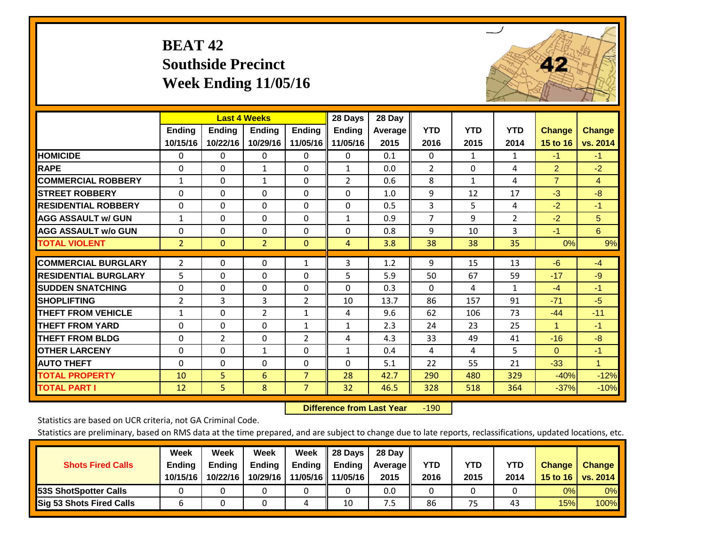# **BEAT 42 Southside Precinct Week Ending 11/05/16**



|                             |                | <b>Last 4 Weeks</b> |                |                | 28 Days        | 28 Day  |                |              |                |                |                |
|-----------------------------|----------------|---------------------|----------------|----------------|----------------|---------|----------------|--------------|----------------|----------------|----------------|
|                             | Ending         | <b>Ending</b>       | <b>Ending</b>  | <b>Ending</b>  | <b>Ending</b>  | Average | <b>YTD</b>     | <b>YTD</b>   | <b>YTD</b>     | <b>Change</b>  | <b>Change</b>  |
|                             | 10/15/16       | 10/22/16            | 10/29/16       | 11/05/16       | 11/05/16       | 2015    | 2016           | 2015         | 2014           | 15 to 16       | vs. 2014       |
| <b>HOMICIDE</b>             | $\Omega$       | $\Omega$            | 0              | $\mathbf{0}$   | $\Omega$       | 0.1     | $\Omega$       | $\mathbf{1}$ | $\mathbf{1}$   | $-1$           | $-1$           |
| <b>RAPE</b>                 | $\Omega$       | $\Omega$            | $\mathbf{1}$   | $\Omega$       | $\mathbf{1}$   | 0.0     | $\overline{2}$ | $\Omega$     | 4              | $\overline{2}$ | $-2$           |
| <b>COMMERCIAL ROBBERY</b>   | $\mathbf{1}$   | $\Omega$            | 1              | $\Omega$       | $\overline{2}$ | 0.6     | 8              | $\mathbf{1}$ | 4              | $\overline{7}$ | $\overline{4}$ |
| <b>ISTREET ROBBERY</b>      | $\Omega$       | $\Omega$            | $\Omega$       | $\Omega$       | $\Omega$       | 1.0     | 9              | 12           | 17             | $-3$           | $-8$           |
| <b>RESIDENTIAL ROBBERY</b>  | 0              | $\Omega$            | $\Omega$       | $\Omega$       | 0              | 0.5     | 3              | 5            | 4              | $-2$           | $-1$           |
| <b>AGG ASSAULT w/ GUN</b>   | $\mathbf{1}$   | $\Omega$            | $\Omega$       | $\Omega$       | $\mathbf{1}$   | 0.9     | $\overline{7}$ | 9            | $\overline{2}$ | $-2$           | 5              |
| <b>AGG ASSAULT w/o GUN</b>  | $\Omega$       | $\Omega$            | $\Omega$       | $\Omega$       | 0              | 0.8     | 9              | 10           | 3              | $-1$           | 6              |
| <b>TOTAL VIOLENT</b>        | $\overline{2}$ | $\overline{0}$      | $\overline{2}$ | $\mathbf{0}$   | 4              | 3.8     | 38             | 38           | 35             | 0%             | 9%             |
| <b>COMMERCIAL BURGLARY</b>  | $\overline{2}$ | 0                   | 0              | $\mathbf{1}$   | 3              | 1.2     | 9              | 15           | 13             | $-6$           | $-4$           |
| <b>RESIDENTIAL BURGLARY</b> | 5              | $\Omega$            | $\Omega$       | 0              | 5              | 5.9     | 50             | 67           | 59             | $-17$          | $-9$           |
| <b>ISUDDEN SNATCHING</b>    | $\Omega$       | $\Omega$            | $\Omega$       | $\Omega$       | $\Omega$       | 0.3     | $\mathbf{0}$   | 4            | $\mathbf{1}$   | $-4$           | $-1$           |
| <b>SHOPLIFTING</b>          | $\overline{2}$ | 3                   | 3              | $\overline{2}$ | 10             | 13.7    | 86             | 157          | 91             | $-71$          | $-5$           |
| <b>THEFT FROM VEHICLE</b>   | $\mathbf{1}$   | $\Omega$            | $\overline{2}$ | 1              | 4              | 9.6     | 62             | 106          | 73             | $-44$          | $-11$          |
| <b>THEFT FROM YARD</b>      | $\Omega$       | $\Omega$            | $\Omega$       | $\mathbf{1}$   | $\mathbf{1}$   | 2.3     | 24             | 23           | 25             | $\mathbf{1}$   | $-1$           |
| <b>THEFT FROM BLDG</b>      | 0              | 2                   | $\Omega$       | $\overline{2}$ | 4              | 4.3     | 33             | 49           | 41             | $-16$          | $-8$           |
| <b>OTHER LARCENY</b>        | $\Omega$       | $\Omega$            | $\mathbf{1}$   | $\Omega$       | $\mathbf{1}$   | 0.4     | 4              | 4            | 5              | $\Omega$       | $-1$           |
| <b>AUTO THEFT</b>           | 0              | 0                   | 0              | 0              | $\Omega$       | 5.1     | 22             | 55           | 21             | $-33$          | $\mathbf{1}$   |
| <b>TOTAL PROPERTY</b>       | 10             | 5                   | 6              | $\overline{7}$ | 28             | 42.7    | 290            | 480          | 329            | $-40%$         | $-12%$         |
| <b>TOTAL PART I</b>         | 12             | 5                   | 8              | $\overline{7}$ | 32             | 46.5    | 328            | 518          | 364            | $-37%$         | $-10%$         |

 **Difference from Last Year**r -190

Statistics are based on UCR criteria, not GA Criminal Code.

| <b>Shots Fired Calls</b>        | Week<br><b>Ending</b><br>10/15/16 | Week<br><b>Endina</b><br>10/22/16 | <b>Week</b><br>Ending<br>10/29/16 | Week<br>Ending<br>11/05/16 | 28 Days<br><b>Ending</b><br>11/05/16 | 28 Day<br>Average II<br>2015 | YTD<br>2016 | YTD<br>2015 | <b>YTD</b><br>2014 | <b>Change</b><br>15 to 16 | <b>Change</b><br>vs. 2014 |
|---------------------------------|-----------------------------------|-----------------------------------|-----------------------------------|----------------------------|--------------------------------------|------------------------------|-------------|-------------|--------------------|---------------------------|---------------------------|
| <b>153S ShotSpotter Calls</b>   |                                   |                                   |                                   |                            |                                      | 0.0                          |             |             |                    | 0%                        | 0%                        |
| <b>Sig 53 Shots Fired Calls</b> |                                   |                                   |                                   | ,                          | 10                                   | ט.                           | 86          | 75          | 43                 | 15%                       | 100%                      |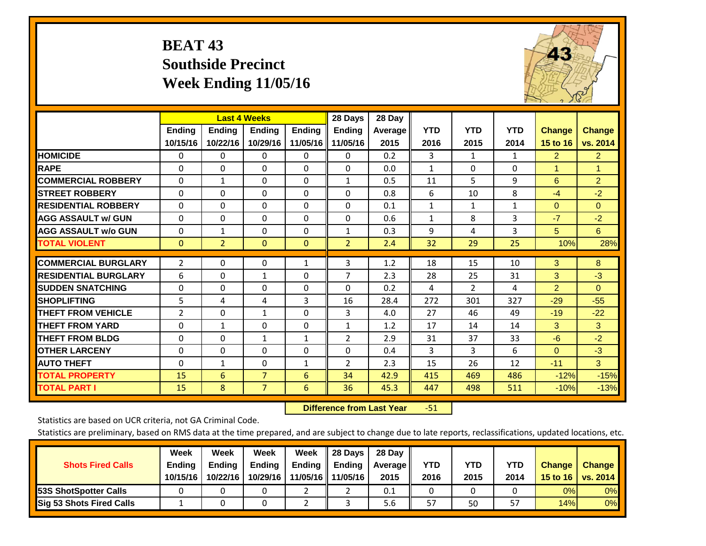# **BEAT 43 Southside Precinct Week Ending 11/05/16**



|                             |                |                | <b>Last 4 Weeks</b> |               | 28 Days        | 28 Day  |              |                |            |                |                |
|-----------------------------|----------------|----------------|---------------------|---------------|----------------|---------|--------------|----------------|------------|----------------|----------------|
|                             | <b>Ending</b>  | <b>Ending</b>  | <b>Ending</b>       | <b>Endina</b> | <b>Ending</b>  | Average | <b>YTD</b>   | <b>YTD</b>     | <b>YTD</b> | <b>Change</b>  | <b>Change</b>  |
|                             | 10/15/16       | 10/22/16       | 10/29/16            | 11/05/16      | 11/05/16       | 2015    | 2016         | 2015           | 2014       | 15 to 16       | vs. 2014       |
| <b>HOMICIDE</b>             | 0              | $\mathbf{0}$   | 0                   | 0             | $\Omega$       | 0.2     | 3            | $\mathbf{1}$   | 1          | $\overline{2}$ | $\overline{2}$ |
| <b>RAPE</b>                 | $\Omega$       | $\Omega$       | $\Omega$            | $\Omega$      | $\Omega$       | 0.0     | 1            | $\Omega$       | $\Omega$   | 4              | 1.             |
| <b>COMMERCIAL ROBBERY</b>   | $\Omega$       | $\mathbf{1}$   | $\Omega$            | 0             | $\mathbf{1}$   | 0.5     | 11           | 5.             | 9          | 6              | 2 <sup>1</sup> |
| <b>STREET ROBBERY</b>       | $\Omega$       | $\Omega$       | $\Omega$            | $\Omega$      | $\Omega$       | 0.8     | 6            | 10             | 8          | $-4$           | $-2$           |
| <b>RESIDENTIAL ROBBERY</b>  | $\Omega$       | $\Omega$       | $\Omega$            | $\Omega$      | $\Omega$       | 0.1     | $\mathbf{1}$ | 1              | 1          | $\Omega$       | $\Omega$       |
| <b>AGG ASSAULT w/ GUN</b>   | $\Omega$       | $\Omega$       | $\Omega$            | 0             | 0              | 0.6     | $\mathbf{1}$ | 8              | 3          | $-7$           | $-2$           |
| <b>AGG ASSAULT w/o GUN</b>  | $\Omega$       | $\mathbf{1}$   | $\Omega$            | 0             | $\mathbf{1}$   | 0.3     | 9            | 4              | 3          | 5              | 6              |
| <b>TOTAL VIOLENT</b>        | $\mathbf{0}$   | $\overline{2}$ | $\mathbf{0}$        | $\mathbf{0}$  | $\overline{2}$ | 2.4     | 32           | 29             | 25         | 10%            | 28%            |
|                             |                |                |                     |               |                |         |              |                |            |                |                |
| <b>COMMERCIAL BURGLARY</b>  | $\overline{2}$ | $\Omega$       | $\Omega$            | $\mathbf{1}$  | 3              | 1.2     | 18           | 15             | 10         | 3              | 8              |
| <b>RESIDENTIAL BURGLARY</b> | 6              | $\Omega$       | 1                   | 0             | 7              | 2.3     | 28           | 25             | 31         | 3              | $-3$           |
| <b>SUDDEN SNATCHING</b>     | $\Omega$       | 0              | $\Omega$            | $\Omega$      | 0              | 0.2     | 4            | $\overline{2}$ | 4          | $\overline{2}$ | $\Omega$       |
| <b>SHOPLIFTING</b>          | 5              | 4              | 4                   | 3             | 16             | 28.4    | 272          | 301            | 327        | $-29$          | $-55$          |
| <b>THEFT FROM VEHICLE</b>   | 2              | $\Omega$       | $\mathbf{1}$        | $\Omega$      | 3              | 4.0     | 27           | 46             | 49         | $-19$          | $-22$          |
| <b>THEFT FROM YARD</b>      | $\Omega$       | $\mathbf{1}$   | $\Omega$            | $\Omega$      | $\mathbf{1}$   | 1.2     | 17           | 14             | 14         | 3              | 3              |
| <b>THEFT FROM BLDG</b>      | 0              | $\Omega$       | 1                   | 1             | 2              | 2.9     | 31           | 37             | 33         | $-6$           | $-2$           |
| <b>OTHER LARCENY</b>        | 0              | $\Omega$       | $\Omega$            | 0             | 0              | 0.4     | 3            | 3              | 6          | $\Omega$       | $-3$           |
| <b>AUTO THEFT</b>           | $\mathbf 0$    | $\mathbf{1}$   | 0                   | $\mathbf{1}$  | 2              | 2.3     | 15           | 26             | 12         | $-11$          | 3              |
| <b>TOTAL PROPERTY</b>       | 15             | 6              | $\overline{7}$      | 6             | 34             | 42.9    | 415          | 469            | 486        | $-12%$         | $-15%$         |
| <b>TOTAL PART I</b>         | 15             | 8              | $\overline{7}$      | 6             | 36             | 45.3    | 447          | 498            | 511        | $-10%$         | $-13%$         |

 **Difference from Last Year**r -51

Statistics are based on UCR criteria, not GA Criminal Code.

| <b>Shots Fired Calls</b>        | Week<br><b>Ending</b><br>10/15/16 | Week<br><b>Endina</b><br>10/22/16 | Week<br>Ending<br>10/29/16 | Week<br>Ending<br>11/05/16 | 28 Days<br><b>Ending</b><br>11/05/16 | 28 Day<br>Average II<br>2015 | YTD<br>2016 | YTD<br>2015 | <b>YTD</b><br>2014 | <b>Change</b><br>15 to 16 $\vert$ | <b>Change</b><br>vs. 2014 |
|---------------------------------|-----------------------------------|-----------------------------------|----------------------------|----------------------------|--------------------------------------|------------------------------|-------------|-------------|--------------------|-----------------------------------|---------------------------|
| <b>153S ShotSpotter Calls</b>   |                                   |                                   |                            |                            |                                      | 0.1                          |             |             |                    | 0%                                | 0%                        |
| <b>Sig 53 Shots Fired Calls</b> |                                   |                                   |                            |                            |                                      | 5.6                          | 57          | 50          | 57                 | 14%                               | 0%                        |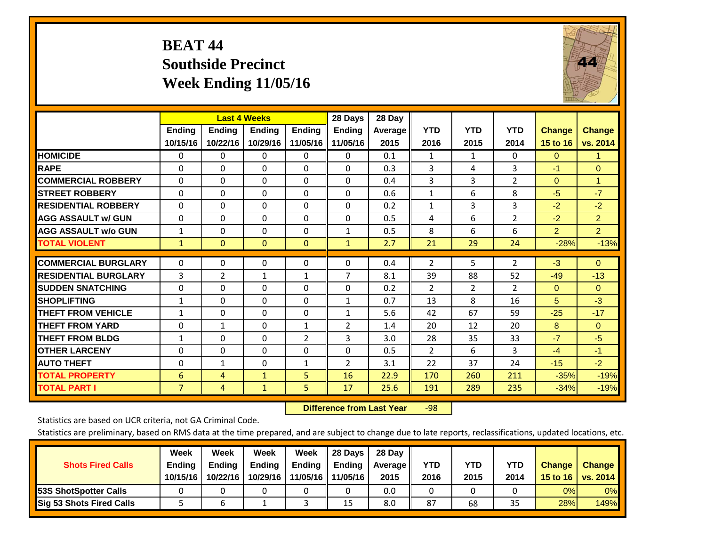# **BEAT 44 Southside Precinct Week Ending 11/05/16**



|                             |                | <b>Last 4 Weeks</b> |               |                | 28 Days        | 28 Day  |                |                |                |                |                |
|-----------------------------|----------------|---------------------|---------------|----------------|----------------|---------|----------------|----------------|----------------|----------------|----------------|
|                             | <b>Ending</b>  | <b>Ending</b>       | <b>Endina</b> | <b>Ending</b>  | <b>Ending</b>  | Average | <b>YTD</b>     | <b>YTD</b>     | <b>YTD</b>     | <b>Change</b>  | <b>Change</b>  |
|                             | 10/15/16       | 10/22/16            | 10/29/16      | 11/05/16       | 11/05/16       | 2015    | 2016           | 2015           | 2014           | 15 to 16       | vs. 2014       |
| <b>HOMICIDE</b>             | 0              | 0                   | $\Omega$      | $\Omega$       | 0              | 0.1     | 1              | 1              | 0              | $\Omega$       | 1.             |
| <b>RAPE</b>                 | 0              | $\Omega$            | $\Omega$      | $\Omega$       | $\Omega$       | 0.3     | 3              | 4              | 3              | $-1$           | $\Omega$       |
| <b>COMMERCIAL ROBBERY</b>   | $\Omega$       | $\Omega$            | $\Omega$      | $\mathbf{0}$   | 0              | 0.4     | 3              | 3              | $\overline{2}$ | $\mathbf{0}$   | $\mathbf{1}$   |
| <b>ISTREET ROBBERY</b>      | $\Omega$       | $\Omega$            | $\Omega$      | $\Omega$       | $\Omega$       | 0.6     | $\mathbf{1}$   | 6              | 8              | $-5$           | $-7$           |
| <b>RESIDENTIAL ROBBERY</b>  | $\Omega$       | $\Omega$            | $\Omega$      | $\Omega$       | $\Omega$       | 0.2     | $\mathbf{1}$   | 3              | 3              | $-2$           | $-2$           |
| <b>AGG ASSAULT w/ GUN</b>   | $\Omega$       | 0                   | $\Omega$      | $\mathbf{0}$   | $\Omega$       | 0.5     | 4              | 6              | $\overline{2}$ | $-2$           | $\overline{2}$ |
| <b>AGG ASSAULT w/o GUN</b>  | $\mathbf{1}$   | 0                   | $\Omega$      | $\Omega$       | $\mathbf{1}$   | 0.5     | 8              | 6              | 6              | $\overline{2}$ | $\overline{2}$ |
| <b>TOTAL VIOLENT</b>        | $\mathbf{1}$   | $\Omega$            | $\mathbf{0}$  | $\mathbf{0}$   | $\mathbf{1}$   | 2.7     | 21             | 29             | 24             | $-28%$         | $-13%$         |
|                             |                |                     |               |                |                |         |                |                |                |                |                |
| <b>COMMERCIAL BURGLARY</b>  | $\Omega$       | $\Omega$            | $\Omega$      | 0              | $\Omega$       | 0.4     | $\overline{2}$ | 5              | $\overline{2}$ | $-3$           | $\Omega$       |
| <b>RESIDENTIAL BURGLARY</b> | 3              | 2                   | $\mathbf{1}$  | $\mathbf{1}$   | 7              | 8.1     | 39             | 88             | 52             | $-49$          | $-13$          |
| <b>SUDDEN SNATCHING</b>     | 0              | 0                   | $\mathbf{0}$  | $\Omega$       | 0              | 0.2     | $\overline{2}$ | $\overline{2}$ | $\overline{2}$ | $\mathbf{0}$   | $\Omega$       |
| <b>SHOPLIFTING</b>          | $\mathbf{1}$   | $\Omega$            | $\mathbf{0}$  | $\Omega$       | $\mathbf{1}$   | 0.7     | 13             | 8              | 16             | 5              | $-3$           |
| <b>THEFT FROM VEHICLE</b>   | $\mathbf{1}$   | $\Omega$            | $\Omega$      | $\mathbf{0}$   | $\mathbf{1}$   | 5.6     | 42             | 67             | 59             | $-25$          | $-17$          |
| <b>THEFT FROM YARD</b>      | 0              | $\mathbf{1}$        | $\Omega$      | 1              | $\overline{2}$ | 1.4     | 20             | 12             | 20             | 8              | $\Omega$       |
| <b>THEFT FROM BLDG</b>      | $\mathbf{1}$   | $\Omega$            | $\Omega$      | $\overline{2}$ | 3              | 3.0     | 28             | 35             | 33             | $-7$           | $-5$           |
| <b>OTHER LARCENY</b>        | 0              | $\Omega$            | $\mathbf{0}$  | $\Omega$       | $\Omega$       | 0.5     | 2              | 6              | 3              | $-4$           | $-1$           |
| <b>AUTO THEFT</b>           | $\mathbf 0$    | $\mathbf{1}$        | 0             | 1              | $\overline{2}$ | 3.1     | 22             | 37             | 24             | $-15$          | $-2$           |
| <b>TOTAL PROPERTY</b>       | 6              | 4                   | $\mathbf{1}$  | 5              | 16             | 22.9    | 170            | 260            | 211            | $-35%$         | $-19%$         |
| <b>TOTAL PART I</b>         | $\overline{7}$ | 4                   | $\mathbf{1}$  | 5.             | 17             | 25.6    | 191            | 289            | 235            | $-34%$         | $-19%$         |

 **Difference from Last Year**r -98

Statistics are based on UCR criteria, not GA Criminal Code.

| <b>Shots Fired Calls</b>        | Week<br><b>Ending</b><br>10/15/16 | Week<br>Ending<br>10/22/16 | Week<br><b>Ending</b><br>10/29/16 | Week<br>Ending | Il 28 Davs<br>Ending<br>11/05/16   11/05/16 | 28 Day<br>Average   <br>2015 | YTD<br>2016 | YTD<br>2015 | <b>YTD</b><br>2014 | <b>Change</b><br>15 to 16 | <b>Change</b><br>vs. 2014 |
|---------------------------------|-----------------------------------|----------------------------|-----------------------------------|----------------|---------------------------------------------|------------------------------|-------------|-------------|--------------------|---------------------------|---------------------------|
| <b>53S ShotSpotter Calls</b>    |                                   |                            |                                   |                |                                             | 0.0                          |             |             |                    | 0%                        | 0%                        |
| <b>Sig 53 Shots Fired Calls</b> |                                   |                            |                                   |                | 15                                          | 8.0                          | 87          | 68          | 35                 | 28%                       | 149%                      |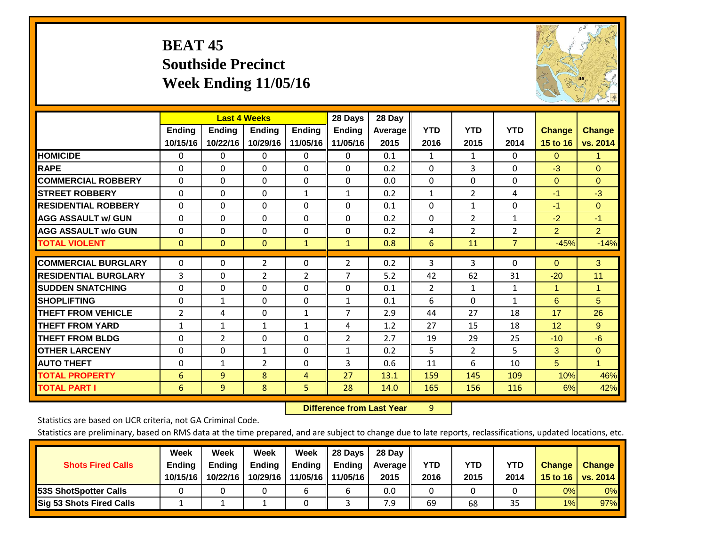# **BEAT 45 Southside Precinct Week Ending 11/05/16**



|                             |                | <b>Last 4 Weeks</b> |                |               | 28 Days        | 28 Day  |              |                |                |                |                |
|-----------------------------|----------------|---------------------|----------------|---------------|----------------|---------|--------------|----------------|----------------|----------------|----------------|
|                             | <b>Ending</b>  | Ending              | <b>Endina</b>  | <b>Ending</b> | <b>Ending</b>  | Average | <b>YTD</b>   | <b>YTD</b>     | <b>YTD</b>     | <b>Change</b>  | <b>Change</b>  |
|                             | 10/15/16       | 10/22/16            | 10/29/16       | 11/05/16      | 11/05/16       | 2015    | 2016         | 2015           | 2014           | 15 to 16       | vs. 2014       |
| <b>HOMICIDE</b>             | 0              | 0                   | $\Omega$       | $\mathbf{0}$  | 0              | 0.1     | 1            | $\mathbf{1}$   | 0              | $\Omega$       | 1.             |
| <b>RAPE</b>                 | $\Omega$       | 0                   | $\mathbf{0}$   | $\Omega$      | 0              | 0.2     | $\Omega$     | 3              | 0              | $-3$           | $\mathbf{0}$   |
| <b>COMMERCIAL ROBBERY</b>   | $\Omega$       | $\Omega$            | $\Omega$       | $\Omega$      | $\Omega$       | 0.0     | $\mathbf{0}$ | 0              | $\Omega$       | $\Omega$       | $\mathbf{0}$   |
| <b>ISTREET ROBBERY</b>      | $\Omega$       | $\Omega$            | $\Omega$       | $\mathbf{1}$  | $\mathbf{1}$   | 0.2     | $\mathbf{1}$ | $\overline{2}$ | 4              | $-1$           | $-3$           |
| <b>RESIDENTIAL ROBBERY</b>  | $\Omega$       | $\Omega$            | $\Omega$       | $\Omega$      | $\Omega$       | 0.1     | $\mathbf{0}$ | 1              | $\Omega$       | $-1$           | $\Omega$       |
| <b>AGG ASSAULT w/ GUN</b>   | $\Omega$       | 0                   | $\mathbf{0}$   | $\Omega$      | 0              | 0.2     | $\mathbf{0}$ | $\overline{2}$ | $\mathbf{1}$   | $-2$           | $-1$           |
| <b>AGG ASSAULT w/o GUN</b>  | $\Omega$       | $\Omega$            | $\Omega$       | $\Omega$      | $\Omega$       | 0.2     | 4            | $\overline{2}$ | $\overline{2}$ | $\overline{2}$ | 2 <sup>1</sup> |
| <b>TOTAL VIOLENT</b>        | $\mathbf{0}$   | $\mathbf{0}$        | $\mathbf{0}$   | $\mathbf{1}$  | $\mathbf{1}$   | 0.8     | 6            | 11             | $\overline{7}$ | $-45%$         | $-14%$         |
|                             |                |                     |                |               |                |         |              |                |                |                |                |
| <b>COMMERCIAL BURGLARY</b>  | $\Omega$       | 0                   | $\overline{2}$ | $\Omega$      | $\overline{2}$ | 0.2     | 3            | 3              | 0              | $\Omega$       | 3              |
| <b>RESIDENTIAL BURGLARY</b> | 3              | 0                   | $\overline{2}$ | 2             | 7              | 5.2     | 42           | 62             | 31             | $-20$          | 11             |
| <b>ISUDDEN SNATCHING</b>    | $\Omega$       | 0                   | $\Omega$       | $\Omega$      | $\Omega$       | 0.1     | 2            | $\mathbf{1}$   | $\mathbf{1}$   | 1              | 1              |
| <b>SHOPLIFTING</b>          | 0              | 1                   | $\Omega$       | 0             | $\mathbf{1}$   | 0.1     | 6            | $\Omega$       | $\mathbf{1}$   | 6              | 5 <sup>5</sup> |
| <b>THEFT FROM VEHICLE</b>   | $\overline{2}$ | 4                   | $\mathbf{0}$   | $\mathbf{1}$  | $\overline{7}$ | 2.9     | 44           | 27             | 18             | 17             | 26             |
| <b>THEFT FROM YARD</b>      | 1              | 1                   | $\mathbf{1}$   | $\mathbf{1}$  | 4              | 1.2     | 27           | 15             | 18             | 12             | 9              |
| <b>THEFT FROM BLDG</b>      | $\Omega$       | $\overline{2}$      | $\mathbf{0}$   | 0             | $\overline{2}$ | 2.7     | 19           | 29             | 25             | $-10$          | $-6$           |
| <b>OTHER LARCENY</b>        | $\Omega$       | $\Omega$            | $\mathbf{1}$   | $\Omega$      | $\mathbf{1}$   | 0.2     | 5            | 2              | 5              | 3              | $\Omega$       |
| <b>AUTO THEFT</b>           | $\Omega$       | $\mathbf{1}$        | $\overline{2}$ | $\Omega$      | 3              | 0.6     | 11           | 6              | 10             | 5              | $\mathbf{1}$   |
| <b>TOTAL PROPERTY</b>       | 6              | 9                   | 8              | 4             | 27             | 13.1    | 159          | 145            | 109            | 10%            | 46%            |
| <b>TOTAL PART I</b>         | 6              | 9                   | 8              | 5             | 28             | 14.0    | 165          | 156            | 116            | 6%             | 42%            |

 **Difference from Last Year**r 9

Statistics are based on UCR criteria, not GA Criminal Code.

| <b>Shots Fired Calls</b>        | Week<br><b>Ending</b><br>10/15/16 | Week<br><b>Endina</b><br>10/22/16 | Week<br>Ending<br>10/29/16 | Week<br>Ending<br>11/05/16 | 28 Days<br><b>Ending</b><br>11/05/16 | 28 Day<br>Average II<br>2015 | YTD<br>2016 | YTD<br>2015 | <b>YTD</b><br>2014 | <b>Change</b><br>15 to 16 $\vert$ | <b>Change</b><br>vs. 2014 |
|---------------------------------|-----------------------------------|-----------------------------------|----------------------------|----------------------------|--------------------------------------|------------------------------|-------------|-------------|--------------------|-----------------------------------|---------------------------|
| <b>153S ShotSpotter Calls</b>   |                                   |                                   |                            |                            |                                      | 0.0                          |             |             |                    | 0%                                | 0%                        |
| <b>Sig 53 Shots Fired Calls</b> |                                   |                                   |                            |                            |                                      | 7.9                          | 69          | 68          | 35                 | 1%                                | 97%                       |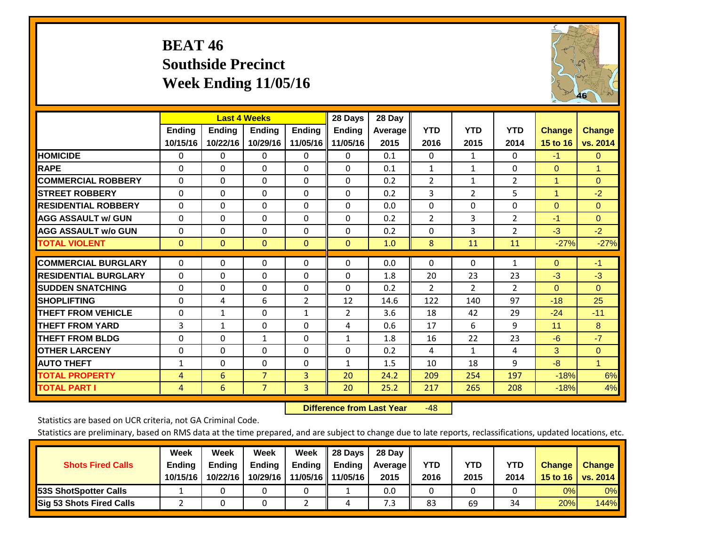# **BEAT 46 Southside Precinct Week Ending 11/05/16**



|                             |               | <b>Last 4 Weeks</b> |                |                | 28 Days       | 28 Day  |                |                |                |                |               |
|-----------------------------|---------------|---------------------|----------------|----------------|---------------|---------|----------------|----------------|----------------|----------------|---------------|
|                             | <b>Ending</b> | <b>Ending</b>       | Ending         | <b>Ending</b>  | <b>Endina</b> | Average | <b>YTD</b>     | <b>YTD</b>     | <b>YTD</b>     | <b>Change</b>  | <b>Change</b> |
|                             | 10/15/16      | 10/22/16            | 10/29/16       | 11/05/16       | 11/05/16      | 2015    | 2016           | 2015           | 2014           | 15 to 16       | vs. 2014      |
| <b>HOMICIDE</b>             | 0             | 0                   | $\Omega$       | 0              | 0             | 0.1     | 0              | 1              | 0              | $-1$           | $\mathbf{0}$  |
| <b>RAPE</b>                 | $\Omega$      | 0                   | $\Omega$       | $\Omega$       | $\Omega$      | 0.1     | $\mathbf{1}$   | 1              | 0              | $\mathbf{0}$   | $\mathbf{1}$  |
| <b>COMMERCIAL ROBBERY</b>   | $\Omega$      | $\Omega$            | $\Omega$       | $\Omega$       | $\Omega$      | 0.2     | $\overline{2}$ | $\mathbf{1}$   | $\overline{2}$ | 1              | $\mathbf{0}$  |
| <b>ISTREET ROBBERY</b>      | $\Omega$      | $\Omega$            | $\Omega$       | $\Omega$       | $\Omega$      | 0.2     | 3              | $\overline{2}$ | 5              | $\overline{1}$ | $-2$          |
| <b>RESIDENTIAL ROBBERY</b>  | 0             | 0                   | $\Omega$       | $\mathbf{0}$   | $\Omega$      | 0.0     | $\Omega$       | $\Omega$       | 0              | $\Omega$       | $\mathbf{0}$  |
| <b>AGG ASSAULT w/ GUN</b>   | 0             | 0                   | $\Omega$       | $\Omega$       | 0             | 0.2     | 2              | 3              | $\overline{2}$ | $-1$           | $\Omega$      |
| <b>AGG ASSAULT w/o GUN</b>  | $\Omega$      | 0                   | $\Omega$       | $\mathbf{0}$   | $\Omega$      | 0.2     | $\Omega$       | 3              | $\overline{2}$ | $-3$           | $-2$          |
| <b>TOTAL VIOLENT</b>        | $\Omega$      | $\Omega$            | $\mathbf{0}$   | $\mathbf{0}$   | $\mathbf{0}$  | 1.0     | 8              | 11             | 11             | $-27%$         | $-27%$        |
|                             |               |                     |                |                |               |         |                |                |                |                |               |
| <b>ICOMMERCIAL BURGLARY</b> | 0             | $\Omega$            | 0              | 0              | $\Omega$      | 0.0     | 0              | $\mathbf{0}$   | 1              | $\mathbf{0}$   | $-1$          |
| <b>RESIDENTIAL BURGLARY</b> | $\Omega$      | 0                   | $\mathbf{0}$   | $\mathbf{0}$   | $\Omega$      | 1.8     | 20             | 23             | 23             | -3             | $-3$          |
| <b>ISUDDEN SNATCHING</b>    | 0             | 0                   | $\mathbf{0}$   | 0              | $\Omega$      | 0.2     | $\overline{2}$ | $\overline{2}$ | 2              | $\Omega$       | $\Omega$      |
| <b>SHOPLIFTING</b>          | $\Omega$      | 4                   | 6              | $\overline{2}$ | 12            | 14.6    | 122            | 140            | 97             | $-18$          | 25            |
| <b>THEFT FROM VEHICLE</b>   | $\Omega$      | 1                   | $\Omega$       | $\mathbf{1}$   | 2             | 3.6     | 18             | 42             | 29             | $-24$          | $-11$         |
| <b>THEFT FROM YARD</b>      | 3             | 1                   | $\Omega$       | $\mathbf{0}$   | 4             | 0.6     | 17             | 6              | 9              | 11             | 8             |
| <b>THEFT FROM BLDG</b>      | 0             | 0                   | $\mathbf{1}$   | $\mathbf{0}$   | $\mathbf{1}$  | 1.8     | 16             | 22             | 23             | -6             | $-7$          |
| <b>OTHER LARCENY</b>        | 0             | 0                   | $\mathbf{0}$   | $\Omega$       | $\Omega$      | 0.2     | 4              | 1              | 4              | 3              | $\Omega$      |
| <b>AUTO THEFT</b>           | 1             | $\Omega$            | $\Omega$       | $\Omega$       | $\mathbf{1}$  | 1.5     | 10             | 18             | 9              | -8             | $\mathbf{1}$  |
| <b>TOTAL PROPERTY</b>       | 4             | 6                   | $\overline{7}$ | $\overline{3}$ | 20            | 24.2    | 209            | 254            | 197            | $-18%$         | 6%            |
| <b>TOTAL PART I</b>         | 4             | 6                   | $\overline{7}$ | 3              | 20            | 25.2    | 217            | 265            | 208            | $-18%$         | 4%            |

 **Difference from Last Year**r -48

Statistics are based on UCR criteria, not GA Criminal Code.

| <b>Shots Fired Calls</b>        | Week<br><b>Ending</b><br>10/15/16 | Week<br><b>Endina</b><br>10/22/16 | <b>Week</b><br>Ending<br>10/29/16 | Week<br>Ending<br>11/05/16 | 28 Days<br><b>Ending</b><br>11/05/16 | 28 Day<br>Average II<br>2015 | YTD<br>2016 | YTD<br>2015 | <b>YTD</b><br>2014 | <b>Change</b><br>15 to $16$ | <b>Change</b><br>vs. 2014 |
|---------------------------------|-----------------------------------|-----------------------------------|-----------------------------------|----------------------------|--------------------------------------|------------------------------|-------------|-------------|--------------------|-----------------------------|---------------------------|
| <b>153S ShotSpotter Calls</b>   |                                   |                                   |                                   |                            |                                      | 0.0                          |             |             |                    | 0%                          | 0%                        |
| <b>Sig 53 Shots Fired Calls</b> |                                   |                                   |                                   |                            |                                      | 7.3                          | 83          | 69          | 34                 | 20%                         | 144%                      |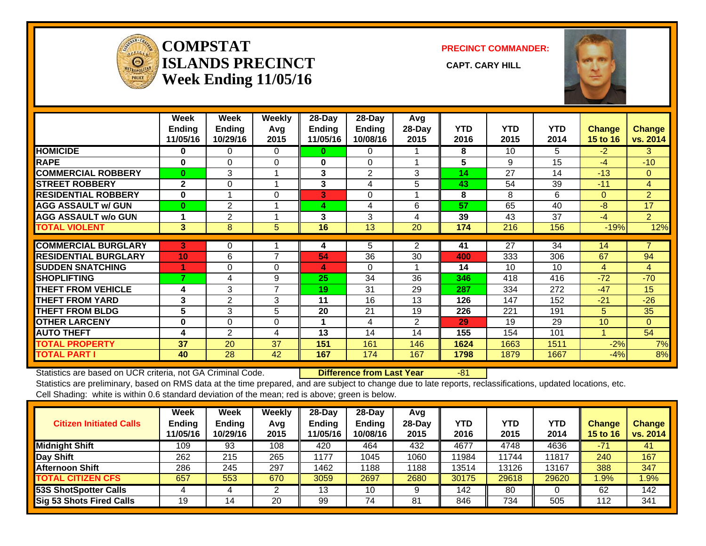

#### **COMPSTATISLANDS PRECINCT** CAPT. CARY HILL **Week Ending 11/05/16**

**PRECINCT COMMANDER:**



|                             | Week<br>Ending<br>11/05/16 | Week<br><b>Ending</b><br>10/29/16 | <b>Weekly</b><br>Avq<br>2015 | 28-Day<br>Ending<br>11/05/16 | 28-Day<br>Ending<br>10/08/16 | Avg<br>28-Day<br>2015 | <b>YTD</b><br>2016 | <b>YTD</b><br>2015 | <b>YTD</b><br>2014 | <b>Change</b><br>15 to 16 | Change<br>vs. 2014 |
|-----------------------------|----------------------------|-----------------------------------|------------------------------|------------------------------|------------------------------|-----------------------|--------------------|--------------------|--------------------|---------------------------|--------------------|
| <b>HOMICIDE</b>             | 0                          | 0                                 | 0                            | 0                            | 0                            |                       | 8                  | 10                 | 5.                 | $-2$                      | 3                  |
| <b>RAPE</b>                 | $\bf{0}$                   | $\Omega$                          | $\Omega$                     | $\mathbf{0}$                 | $\Omega$                     |                       | 5                  | 9                  | 15                 | $-4$                      | $-10$              |
| <b>COMMERCIAL ROBBERY</b>   | $\mathbf{0}$               | 3                                 |                              | 3                            | 2                            | 3                     | 14                 | 27                 | 14                 | $-13$                     | $\Omega$           |
| <b>STREET ROBBERY</b>       | $\mathbf{2}$               | 0                                 |                              | 3                            | 4                            | 5                     | 43                 | 54                 | 39                 | $-11$                     | 4                  |
| <b>RESIDENTIAL ROBBERY</b>  | $\bf{0}$                   |                                   | $\Omega$                     | 3                            | $\Omega$                     |                       | 8                  | 8                  | 6                  | $\Omega$                  | $\overline{2}$     |
| <b>AGG ASSAULT w/ GUN</b>   | $\mathbf{0}$               | 2                                 |                              | 4                            | 4                            | 6                     | 57                 | 65                 | 40                 | $-8$                      | 17                 |
| <b>AGG ASSAULT w/o GUN</b>  |                            | $\overline{2}$                    |                              | 3                            | 3                            | 4                     | 39                 | 43                 | 37                 | $-4$                      | $\overline{2}$     |
| <b>TOTAL VIOLENT</b>        | 3                          | 8                                 | 5                            | 16                           | 13                           | 20                    | 174                | 216                | 156                | $-19%$                    | 12%                |
| <b>COMMERCIAL BURGLARY</b>  | 3                          | 0                                 |                              | 4                            | 5                            | $\overline{2}$        | 41                 | 27                 | 34                 | 14                        | 7                  |
| <b>RESIDENTIAL BURGLARY</b> | 10                         | 6                                 | 7                            | 54                           | 36                           | 30                    | 400                | 333                | 306                | 67                        | 94                 |
| <b>SUDDEN SNATCHING</b>     | 1                          | $\Omega$                          | $\Omega$                     | 4                            | $\Omega$                     |                       | 14                 | 10                 | 10                 | $\overline{4}$            | 4                  |
| <b>SHOPLIFTING</b>          | 7                          | 4                                 | 9                            | 25                           | 34                           | 36                    | 346                | 418                | 416                | $-72$                     | $-70$              |
| <b>THEFT FROM VEHICLE</b>   | 4                          | 3                                 | 7                            | 19                           | 31                           | 29                    | 287                | 334                | 272                | $-47$                     | 15                 |
| <b>THEFT FROM YARD</b>      | 3                          | 2                                 | 3                            | 11                           | 16                           | 13                    | 126                | 147                | 152                | $-21$                     | $-26$              |
| <b>THEFT FROM BLDG</b>      | 5                          | 3                                 | 5                            | 20                           | 21                           | 19                    | 226                | 221                | 191                | 5.                        | 35                 |
| <b>OTHER LARCENY</b>        | $\bf{0}$                   | $\Omega$                          | $\Omega$                     | 1                            | 4                            | $\overline{2}$        | 29                 | 19                 | 29                 | 10                        | $\Omega$           |
| <b>AUTO THEFT</b>           | 4                          | $\overline{2}$                    | 4                            | 13                           | 14                           | 14                    | 155                | 154                | 101                |                           | 54                 |
| <b>TOTAL PROPERTY</b>       | 37                         | 20                                | 37                           | 151                          | 161                          | 146                   | 1624               | 1663               | 1511               | $-2%$                     | 7%                 |
| <b>TOTAL PART I</b>         | 40                         | 28                                | 42                           | 167                          | 174                          | 167                   | 1798               | 1879               | 1667               | $-4%$                     | 8%                 |

Statistics are based on UCR criteria, not GA Criminal Code. **Difference from Last Year** -81 Statistics are preliminary, based on RMS data at the time prepared, and are subject to change due to late reports, reclassifications, updated locations, etc. Cell Shading: white is within 0.6 standard deviation of the mean; red is above; green is below.

| <b>Citizen Initiated Calls</b> | Week<br><b>Ending</b><br>11/05/16 | Week<br><b>Ending</b><br>10/29/16 | Weekly<br>Avg<br>2015 | $28$ -Day<br><b>Ending</b><br>1/05/16 | $28-Dav$<br><b>Ending</b><br>10/08/16 | Avg<br>$28$ -Day<br>2015 | YTD<br>2016 | <b>YTD</b><br>2015 | <b>YTD</b><br>2014 | Change<br><b>15 to 16</b> | Change<br>vs. 2014 |
|--------------------------------|-----------------------------------|-----------------------------------|-----------------------|---------------------------------------|---------------------------------------|--------------------------|-------------|--------------------|--------------------|---------------------------|--------------------|
| Midnight Shift                 | 109                               | 93                                | 108                   | 420                                   | 464                                   | 432                      | 4677        | 4748               | 4636               | $-71$                     | 41                 |
| Day Shift                      | 262                               | 215                               | 265                   | 1177                                  | 1045                                  | 1060                     | 11984       | 11744              | 11817              | 240                       | 167                |
| <b>Afternoon Shift</b>         | 286                               | 245                               | 297                   | 1462                                  | '188                                  | 1188                     | 13514       | 13126              | 13167              | 388                       | 347                |
| <b>TOTAL CITIZEN CFS</b>       | 657                               | 553                               | 670                   | 3059                                  | 2697                                  | 2680                     | 30175       | 29618              | 29620              | $.9\%$                    | 1.9%               |
| <b>53S ShotSpotter Calls</b>   |                                   |                                   |                       | 13                                    | 10                                    |                          | 142         | 80                 |                    | 62                        | 142                |
| Sig 53 Shots Fired Calls       | 19                                | 14                                | 20                    | 99                                    | 74                                    | 81                       | 846         | 734                | 505                | 112                       | 341                |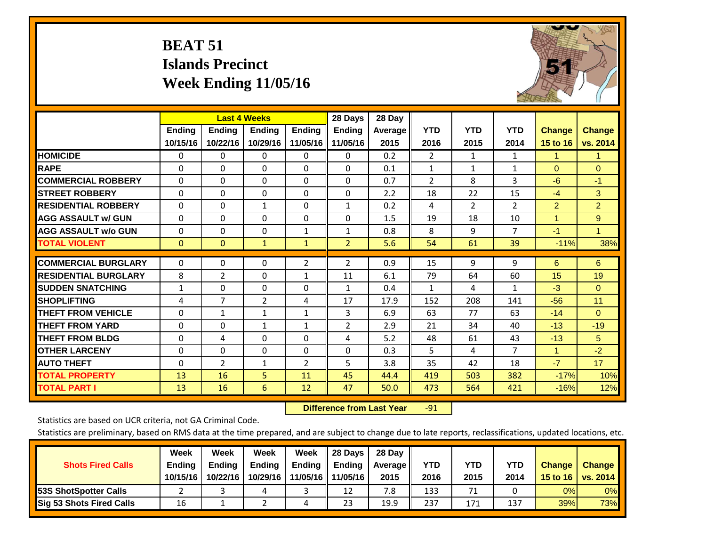# **BEAT 51 Islands Precinct Week Ending 11/05/16**



|                             |               | <b>Last 4 Weeks</b> |                |                | 28 Days        | 28 Day         |                |            |                |                |                |
|-----------------------------|---------------|---------------------|----------------|----------------|----------------|----------------|----------------|------------|----------------|----------------|----------------|
|                             | <b>Ending</b> | <b>Ending</b>       | <b>Endina</b>  | <b>Ending</b>  | <b>Ending</b>  | <b>Average</b> | <b>YTD</b>     | <b>YTD</b> | <b>YTD</b>     | <b>Change</b>  | <b>Change</b>  |
|                             | 10/15/16      | 10/22/16            | 10/29/16       | 11/05/16       | 11/05/16       | 2015           | 2016           | 2015       | 2014           | 15 to 16       | vs. 2014       |
| <b>HOMICIDE</b>             | 0             | 0                   | $\Omega$       | $\Omega$       | 0              | 0.2            | $\overline{2}$ | 1          | 1              | 1              | 1.             |
| <b>RAPE</b>                 | 0             | $\Omega$            | $\Omega$       | $\Omega$       | $\Omega$       | 0.1            | 1              | 1          | $\mathbf{1}$   | $\Omega$       | $\Omega$       |
| <b>COMMERCIAL ROBBERY</b>   | $\Omega$      | $\Omega$            | $\Omega$       | $\mathbf{0}$   | 0              | 0.7            | $\overline{2}$ | 8          | 3              | $-6$           | $-1$           |
| <b>ISTREET ROBBERY</b>      | $\Omega$      | $\Omega$            | $\Omega$       | $\Omega$       | $\Omega$       | 2.2            | 18             | 22         | 15             | $-4$           | 3              |
| <b>RESIDENTIAL ROBBERY</b>  | $\Omega$      | $\Omega$            | 1              | $\Omega$       | $\mathbf{1}$   | 0.2            | 4              | 2          | $\overline{2}$ | $\overline{2}$ | $\overline{2}$ |
| <b>AGG ASSAULT w/ GUN</b>   | $\Omega$      | 0                   | $\Omega$       | $\mathbf{0}$   | $\Omega$       | 1.5            | 19             | 18         | 10             | 1              | 9              |
| <b>AGG ASSAULT w/o GUN</b>  | $\Omega$      | 0                   | $\Omega$       | 1              | $\mathbf{1}$   | 0.8            | 8              | 9          | $\overline{7}$ | $-1$           | $\mathbf{1}$   |
| <b>TOTAL VIOLENT</b>        | $\mathbf{0}$  | $\Omega$            | $\mathbf{1}$   | $\mathbf{1}$   | $\overline{2}$ | 5.6            | 54             | 61         | 39             | $-11%$         | 38%            |
|                             |               |                     |                |                |                |                |                |            |                |                |                |
| <b>COMMERCIAL BURGLARY</b>  | $\Omega$      | $\Omega$            | $\Omega$       | $\overline{2}$ | $\overline{2}$ | 0.9            | 15             | 9          | 9              | 6              | 6              |
| <b>RESIDENTIAL BURGLARY</b> | 8             | 2                   | $\mathbf{0}$   | $\mathbf{1}$   | 11             | 6.1            | 79             | 64         | 60             | 15             | 19             |
| <b>SUDDEN SNATCHING</b>     | $\mathbf{1}$  | 0                   | $\mathbf{0}$   | $\Omega$       | $\mathbf{1}$   | 0.4            | $\mathbf{1}$   | 4          | 1              | $-3$           | $\Omega$       |
| <b>SHOPLIFTING</b>          | 4             | $\overline{7}$      | $\overline{2}$ | 4              | 17             | 17.9           | 152            | 208        | 141            | $-56$          | 11             |
| <b>THEFT FROM VEHICLE</b>   | $\Omega$      | 1                   | $\mathbf{1}$   | 1              | 3              | 6.9            | 63             | 77         | 63             | $-14$          | $\Omega$       |
| <b>THEFT FROM YARD</b>      | 0             | $\Omega$            | 1              | 1              | $\overline{2}$ | 2.9            | 21             | 34         | 40             | $-13$          | $-19$          |
| <b>THEFT FROM BLDG</b>      | $\Omega$      | 4                   | $\Omega$       | $\Omega$       | 4              | 5.2            | 48             | 61         | 43             | $-13$          | 5              |
| <b>OTHER LARCENY</b>        | $\mathbf{0}$  | 0                   | $\Omega$       | $\Omega$       | $\Omega$       | 0.3            | 5              | 4          | $\overline{7}$ | $\mathbf{1}$   | $-2$           |
| <b>AUTO THEFT</b>           | $\mathbf 0$   | $\overline{2}$      | $\mathbf{1}$   | $\overline{2}$ | 5              | 3.8            | 35             | 42         | 18             | $-7$           | 17             |
| <b>TOTAL PROPERTY</b>       | 13            | 16                  | 5              | 11             | 45             | 44.4           | 419            | 503        | 382            | $-17%$         | 10%            |
| <b>TOTAL PART I</b>         | 13            | 16                  | 6              | 12             | 47             | 50.0           | 473            | 564        | 421            | $-16%$         | 12%            |

 **Difference from Last Year**r -91

Statistics are based on UCR criteria, not GA Criminal Code.

|                                 | Week          | Week          | <b>Week</b> | Week     | 28 Days       | 28 Day     |      |      |            |               |                 |
|---------------------------------|---------------|---------------|-------------|----------|---------------|------------|------|------|------------|---------------|-----------------|
| <b>Shots Fired Calls</b>        | <b>Ending</b> | <b>Endina</b> | Ending      | Ending   | <b>Ending</b> | Average II | YTD  | YTD  | <b>YTD</b> | <b>Change</b> | <b>Change</b>   |
|                                 | 10/15/16      | 10/22/16      | 10/29/16    | 11/05/16 | 11/05/16      | 2015       | 2016 | 2015 | 2014       | 15 to 16      | <b>VS. 2014</b> |
| <b>153S ShotSpotter Calls</b>   |               |               |             |          | 12            | 7.8        | 133  | 71   |            | 0%            | 0%              |
| <b>Sig 53 Shots Fired Calls</b> | 16            |               |             | ப        | 23            | 19.9       | 237  | 171  | 137        | 39%           | 73%             |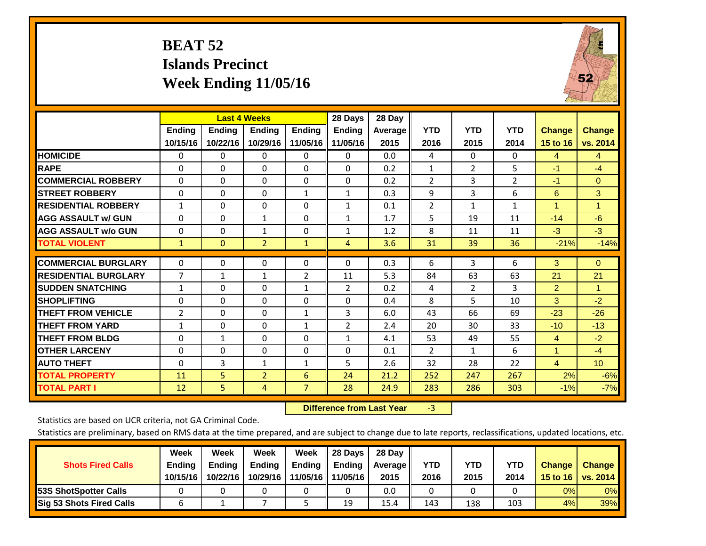# **BEAT 52 Islands Precinct Week Ending 11/05/16**



|                             |                    |                           | <b>Last 4 Weeks</b>       |                           | 28 Days                   | 28 Day          |                    |                    |                    |                                  |                           |
|-----------------------------|--------------------|---------------------------|---------------------------|---------------------------|---------------------------|-----------------|--------------------|--------------------|--------------------|----------------------------------|---------------------------|
|                             | Ending<br>10/15/16 | <b>Ending</b><br>10/22/16 | <b>Endina</b><br>10/29/16 | <b>Ending</b><br>11/05/16 | <b>Endina</b><br>11/05/16 | Average<br>2015 | <b>YTD</b><br>2016 | <b>YTD</b><br>2015 | <b>YTD</b><br>2014 | <b>Change</b><br><b>15 to 16</b> | <b>Change</b><br>vs. 2014 |
| <b>HOMICIDE</b>             | 0                  | 0                         | 0                         | 0                         | 0                         | 0.0             | 4                  | $\Omega$           | 0                  | 4                                | $\overline{4}$            |
| <b>RAPE</b>                 | 0                  | 0                         | $\Omega$                  | $\Omega$                  | $\Omega$                  | 0.2             | 1                  | $\overline{2}$     | 5                  | $-1$                             | $-4$                      |
| <b>COMMERCIAL ROBBERY</b>   | $\Omega$           | 0                         | $\Omega$                  | $\Omega$                  | $\Omega$                  | 0.2             | $\overline{2}$     | 3                  | $\overline{2}$     | $-1$                             | $\Omega$                  |
| <b>STREET ROBBERY</b>       | $\Omega$           | $\Omega$                  | $\Omega$                  | $\mathbf{1}$              | $\mathbf{1}$              | 0.3             | 9                  | $\overline{3}$     | 6                  | 6                                | 3                         |
| <b>RESIDENTIAL ROBBERY</b>  | $\mathbf{1}$       | 0                         | $\Omega$                  | $\Omega$                  | $\mathbf{1}$              | 0.1             | $\overline{2}$     | $\mathbf{1}$       | $\mathbf{1}$       | 4                                | 1                         |
| <b>AGG ASSAULT w/ GUN</b>   | $\Omega$           | 0                         | $\mathbf{1}$              | $\mathbf{0}$              | $\mathbf{1}$              | 1.7             | 5                  | 19                 | 11                 | $-14$                            | $-6$                      |
| <b>AGG ASSAULT w/o GUN</b>  | $\Omega$           | 0                         | 1                         | $\Omega$                  | 1                         | 1.2             | 8                  | 11                 | 11                 | $-3$                             | $-3$                      |
| <b>TOTAL VIOLENT</b>        | $\mathbf{1}$       | $\overline{0}$            | $\overline{2}$            | $\mathbf{1}$              | $\overline{4}$            | 3.6             | 31                 | 39                 | 36                 | $-21%$                           | $-14%$                    |
| <b>COMMERCIAL BURGLARY</b>  | $\Omega$           | $\Omega$                  | 0                         | $\mathbf{0}$              | $\Omega$                  | 0.3             | 6                  | 3                  | 6                  | 3                                | $\Omega$                  |
| <b>RESIDENTIAL BURGLARY</b> | 7                  | 1                         | 1                         | 2                         | 11                        | 5.3             | 84                 | 63                 | 63                 | 21                               | 21                        |
| <b>SUDDEN SNATCHING</b>     | $\mathbf{1}$       | 0                         | $\Omega$                  | 1                         | $\overline{2}$            | 0.2             | 4                  | $\overline{2}$     | 3                  | $\overline{2}$                   | 1                         |
| <b>SHOPLIFTING</b>          | $\Omega$           | $\Omega$                  | $\Omega$                  | 0                         | $\Omega$                  | 0.4             | 8                  | 5                  | 10                 | 3                                | $-2$                      |
| <b>THEFT FROM VEHICLE</b>   | 2                  | 0                         | $\Omega$                  | $\mathbf{1}$              | 3                         | 6.0             | 43                 | 66                 | 69                 | $-23$                            | $-26$                     |
| <b>THEFT FROM YARD</b>      | $\mathbf{1}$       | $\Omega$                  | $\Omega$                  | $\mathbf{1}$              | $\overline{2}$            | 2.4             | 20                 | 30                 | 33                 | $-10$                            | $-13$                     |
| <b>THEFT FROM BLDG</b>      | $\Omega$           | 1                         | $\Omega$                  | $\Omega$                  | 1                         | 4.1             | 53                 | 49                 | 55                 | 4                                | $-2$                      |
| <b>OTHER LARCENY</b>        | 0                  | 0                         | 0                         | $\Omega$                  | $\Omega$                  | 0.1             | 2                  | 1                  | 6                  | 1                                | $-4$                      |
| <b>AUTO THEFT</b>           | 0                  | 3                         | 1                         | 1                         | 5                         | 2.6             | 32                 | 28                 | 22                 | $\overline{4}$                   | 10                        |
| <b>TOTAL PROPERTY</b>       | 11                 | 5                         | $\overline{2}$            | 6                         | 24                        | 21.2            | 252                | 247                | 267                | 2%                               | $-6%$                     |
| <b>TOTAL PART I</b>         | 12                 | 5.                        | 4                         | $\overline{7}$            | 28                        | 24.9            | 283                | 286                | 303                | $-1%$                            | $-7%$                     |

 **Difference from Last Year**r -3

Statistics are based on UCR criteria, not GA Criminal Code.

| <b>Shots Fired Calls</b>        | Week<br><b>Ending</b><br>10/15/16 | Week<br><b>Endina</b><br>10/22/16 | <b>Week</b><br>Ending<br>10/29/16 | Week<br>Ending<br>11/05/16 | 28 Days<br><b>Ending</b><br>11/05/16 | 28 Day<br>Average II<br>2015 | YTD<br>2016 | YTD<br>2015 | <b>YTD</b><br>2014 | <b>Change</b><br>15 to 16 | <b>Change</b><br>vs. 2014 |
|---------------------------------|-----------------------------------|-----------------------------------|-----------------------------------|----------------------------|--------------------------------------|------------------------------|-------------|-------------|--------------------|---------------------------|---------------------------|
| <b>153S ShotSpotter Calls</b>   |                                   |                                   |                                   |                            |                                      | 0.0                          |             |             |                    | 0%                        | 0%                        |
| <b>Sig 53 Shots Fired Calls</b> |                                   |                                   |                                   |                            | 19                                   | 15.4                         | 143         | 138         | 103                | 4%                        | 39%                       |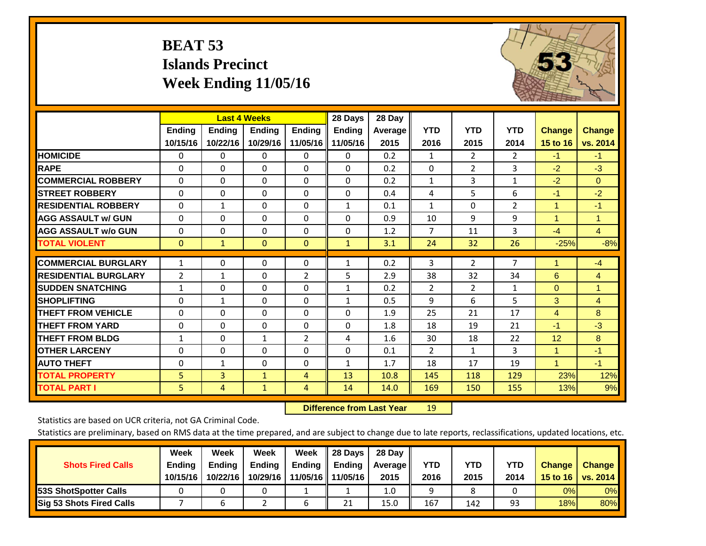# **BEAT 53 Islands Precinct Week Ending 11/05/16**



|                             |                | <b>Last 4 Weeks</b> |                |                | 28 Days       | 28 Day  |                |                |                |               |                |
|-----------------------------|----------------|---------------------|----------------|----------------|---------------|---------|----------------|----------------|----------------|---------------|----------------|
|                             | <b>Ending</b>  | <b>Ending</b>       | <b>Ending</b>  | <b>Endina</b>  | <b>Ending</b> | Average | <b>YTD</b>     | <b>YTD</b>     | <b>YTD</b>     | <b>Change</b> | <b>Change</b>  |
|                             | 10/15/16       | 10/22/16            | 10/29/16       | 11/05/16       | $\  11/05/16$ | 2015    | 2016           | 2015           | 2014           | 15 to 16      | vs. 2014       |
| <b>HOMICIDE</b>             | 0              | 0                   | 0              | 0              | 0             | 0.2     | 1              | $\overline{2}$ | 2              | $-1$          | $-1$           |
| <b>RAPE</b>                 | $\Omega$       | $\Omega$            | $\Omega$       | $\Omega$       | $\Omega$      | 0.2     | $\Omega$       | $\overline{2}$ | 3              | $-2$          | $-3$           |
| <b>COMMERCIAL ROBBERY</b>   | $\Omega$       | $\Omega$            | $\Omega$       | $\Omega$       | $\Omega$      | 0.2     | 1              | 3              | $\mathbf{1}$   | $-2$          | $\Omega$       |
| <b>STREET ROBBERY</b>       | $\Omega$       | $\Omega$            | $\Omega$       | $\Omega$       | $\Omega$      | 0.4     | 4              | 5              | 6              | $-1$          | $-2$           |
| <b>RESIDENTIAL ROBBERY</b>  | $\mathbf 0$    | $\mathbf{1}$        | $\Omega$       | 0              | 1             | 0.1     | $\mathbf{1}$   | $\Omega$       | $\overline{2}$ | $\mathbf{1}$  | $-1$           |
| <b>AGG ASSAULT w/ GUN</b>   | $\Omega$       | $\Omega$            | $\Omega$       | $\Omega$       | $\Omega$      | 0.9     | 10             | 9              | 9              | 1             | 1              |
| <b>AGG ASSAULT w/o GUN</b>  | $\Omega$       | $\Omega$            | $\Omega$       | 0              | $\Omega$      | 1.2     | $\overline{7}$ | 11             | 3              | $-4$          | $\overline{4}$ |
| <b>TOTAL VIOLENT</b>        | $\mathbf{0}$   | $\mathbf{1}$        | $\overline{0}$ | $\overline{0}$ | $\mathbf{1}$  | 3.1     | 24             | 32             | 26             | $-25%$        | $-8%$          |
|                             |                |                     |                |                |               |         |                |                |                |               |                |
| <b>COMMERCIAL BURGLARY</b>  | $\mathbf{1}$   | $\Omega$            | $\Omega$       | 0              | $\mathbf{1}$  | 0.2     | 3              | $\overline{2}$ | 7              | 1             | $-4$           |
| <b>RESIDENTIAL BURGLARY</b> | $\overline{2}$ | 1                   | $\Omega$       | $\overline{2}$ | 5             | 2.9     | 38             | 32             | 34             | 6             | $\overline{4}$ |
| <b>SUDDEN SNATCHING</b>     | $\mathbf{1}$   | $\Omega$            | $\mathbf{0}$   | $\Omega$       | $\mathbf{1}$  | 0.2     | 2              | $\overline{2}$ | $\mathbf{1}$   | $\Omega$      | 1              |
| <b>SHOPLIFTING</b>          | $\Omega$       | $\mathbf{1}$        | $\Omega$       | 0              | $\mathbf{1}$  | 0.5     | 9              | 6              | 5              | 3             | $\overline{4}$ |
| <b>THEFT FROM VEHICLE</b>   | $\mathbf 0$    | $\Omega$            | $\Omega$       | 0              | $\Omega$      | 1.9     | 25             | 21             | 17             | 4             | 8              |
| <b>THEFT FROM YARD</b>      | $\Omega$       | $\Omega$            | $\Omega$       | $\Omega$       | $\Omega$      | 1.8     | 18             | 19             | 21             | $-1$          | $-3$           |
| <b>THEFT FROM BLDG</b>      | $\mathbf{1}$   | $\Omega$            | $\mathbf{1}$   | $\overline{2}$ | 4             | 1.6     | 30             | 18             | 22             | 12            | 8              |
| <b>OTHER LARCENY</b>        | $\Omega$       | $\Omega$            | $\Omega$       | $\Omega$       | $\Omega$      | 0.1     | $\overline{2}$ | $\mathbf{1}$   | 3              | 1             | $-1$           |
| <b>AUTO THEFT</b>           | 0              | $\mathbf{1}$        | $\Omega$       | $\Omega$       | $\mathbf{1}$  | 1.7     | 18             | 17             | 19             | $\mathbf{1}$  | $-1$           |
| <b>TOTAL PROPERTY</b>       | 5              | $\overline{3}$      | $\mathbf{1}$   | 4              | 13            | 10.8    | 145            | 118            | 129            | 23%           | 12%            |
| <b>TOTAL PART I</b>         | 5              | 4                   | $\mathbf{1}$   | 4              | 14            | 14.0    | 169            | 150            | 155            | 13%           | 9%             |

 **Difference from Last Year**r 19

Statistics are based on UCR criteria, not GA Criminal Code.

| <b>Shots Fired Calls</b>        | Week<br><b>Ending</b><br>10/15/16 | Week<br>Ending<br>10/22/16 | Week<br><b>Ending</b><br>10/29/16 | Week<br>Ending | Il 28 Davs<br>$\blacksquare$ Ending<br>11/05/16   11/05/16 | 28 Day<br>Average   <br>2015 | YTD<br>2016 | YTD<br>2015 | <b>YTD</b><br>2014 | <b>Change</b><br>15 to 16 | <b>Change</b><br>vs. 2014 |
|---------------------------------|-----------------------------------|----------------------------|-----------------------------------|----------------|------------------------------------------------------------|------------------------------|-------------|-------------|--------------------|---------------------------|---------------------------|
| <b>53S ShotSpotter Calls</b>    |                                   |                            |                                   |                |                                                            | 1.0                          |             |             |                    | 0%                        | 0%                        |
| <b>Sig 53 Shots Fired Calls</b> |                                   |                            |                                   |                | 21                                                         | 15.0                         | 167         | 142         | 93                 | 18%                       | 80%                       |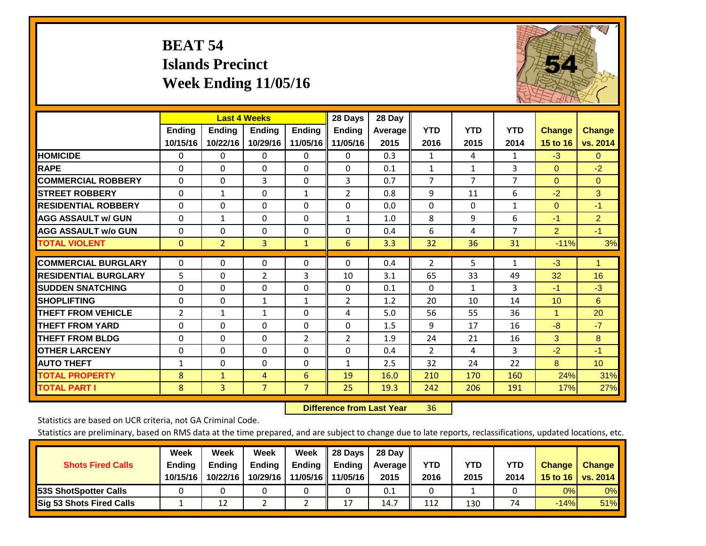# **BEAT 54 Islands Precinct Week Ending 11/05/16**



|                             |              |                | <b>Last 4 Weeks</b> |                | 28 Days           | 28 Day         |                |                |                |                |                 |
|-----------------------------|--------------|----------------|---------------------|----------------|-------------------|----------------|----------------|----------------|----------------|----------------|-----------------|
|                             | Ending       | <b>Ending</b>  | <b>Endina</b>       | <b>Ending</b>  | <b>Ending</b>     | <b>Average</b> | <b>YTD</b>     | <b>YTD</b>     | <b>YTD</b>     | <b>Change</b>  | <b>Change</b>   |
|                             | 10/15/16     | 10/22/16       | 10/29/16            |                | 11/05/16 11/05/16 | 2015           | 2016           | 2015           | 2014           | 15 to 16       | vs. 2014        |
| <b>HOMICIDE</b>             | 0            | 0              | 0                   | $\Omega$       | 0                 | 0.3            | $\mathbf{1}$   | 4              | 1              | $-3$           | $\mathbf{0}$    |
| <b>RAPE</b>                 | $\Omega$     | 0              | $\Omega$            | $\Omega$       | $\Omega$          | 0.1            | 1              | 1              | 3              | $\Omega$       | $-2$            |
| <b>COMMERCIAL ROBBERY</b>   | $\Omega$     | 0              | 3                   | $\Omega$       | 3                 | 0.7            | 7              | $\overline{7}$ | $\overline{7}$ | $\Omega$       | $\Omega$        |
| <b>STREET ROBBERY</b>       | 0            | $\mathbf{1}$   | 0                   | $\mathbf{1}$   | $\overline{2}$    | 0.8            | 9              | 11             | 6              | $-2$           | 3               |
| <b>RESIDENTIAL ROBBERY</b>  | $\Omega$     | 0              | $\mathbf 0$         | $\Omega$       | $\Omega$          | 0.0            | $\mathbf{0}$   | 0              | 1              | $\Omega$       | $-1$            |
| <b>AGG ASSAULT w/ GUN</b>   | $\Omega$     | 1              | 0                   | $\Omega$       | $\mathbf{1}$      | 1.0            | 8              | 9              | 6              | $-1$           | $\overline{2}$  |
| <b>AGG ASSAULT w/o GUN</b>  | $\Omega$     | 0              | $\mathbf{0}$        | $\Omega$       | $\Omega$          | 0.4            | 6              | 4              | 7              | $\overline{2}$ | $-1$            |
| <b>TOTAL VIOLENT</b>        | $\mathbf{0}$ | $\overline{2}$ | $\overline{3}$      | $\mathbf{1}$   | 6                 | 3.3            | 32             | 36             | 31             | $-11%$         | 3%              |
| <b>COMMERCIAL BURGLARY</b>  | 0            | 0              | $\mathbf 0$         | 0              | $\Omega$          | 0.4            | $\overline{2}$ | 5              | 1              | $-3$           | 1               |
|                             |              |                |                     |                |                   |                |                |                |                |                |                 |
| <b>RESIDENTIAL BURGLARY</b> | 5            | 0              | $\overline{2}$      | 3              | 10                | 3.1            | 65             | 33             | 49             | 32             | 16              |
| <b>SUDDEN SNATCHING</b>     | $\Omega$     | 0              | $\Omega$            | $\Omega$       | $\Omega$          | 0.1            | $\Omega$       | $\mathbf{1}$   | 3              | $-1$           | $-3$            |
| <b>SHOPLIFTING</b>          | $\Omega$     | $\Omega$       | 1                   | $\mathbf{1}$   | $\overline{2}$    | 1.2            | 20             | 10             | 14             | 10             | 6               |
| <b>THEFT FROM VEHICLE</b>   | 2            | $\mathbf{1}$   | $\mathbf{1}$        | $\Omega$       | 4                 | 5.0            | 56             | 55             | 36             | $\mathbf{1}$   | 20              |
| <b>THEFT FROM YARD</b>      | 0            | $\Omega$       | $\mathbf{0}$        | $\Omega$       | $\Omega$          | 1.5            | 9              | 17             | 16             | $-8$           | $-7$            |
| <b>THEFT FROM BLDG</b>      | $\Omega$     | 0              | $\Omega$            | $\overline{2}$ | $\overline{2}$    | 1.9            | 24             | 21             | 16             | 3              | 8               |
| <b>OTHER LARCENY</b>        | $\Omega$     | 0              | $\mathbf{0}$        | $\Omega$       | $\Omega$          | 0.4            | $\overline{2}$ | 4              | 3              | $-2$           | $-1$            |
| <b>AUTO THEFT</b>           | $\mathbf{1}$ | $\Omega$       | 0                   | $\Omega$       | $\mathbf{1}$      | 2.5            | 32             | 24             | 22             | 8              | 10 <sup>°</sup> |
| <b>TOTAL PROPERTY</b>       | 8            | $\mathbf{1}$   | 4                   | 6              | 19                | 16.0           | 210            | 170            | 160            | 24%            | 31%             |
| <b>TOTAL PART I</b>         | 8            | $\overline{3}$ | $\overline{7}$      | $\overline{7}$ | 25                | 19.3           | 242            | 206            | 191            | 17%            | 27%             |

 **Difference from Last Year**r 36

Statistics are based on UCR criteria, not GA Criminal Code.

| <b>Shots Fired Calls</b>        | Week<br><b>Ending</b><br>10/15/16 | Week<br><b>Endina</b><br>10/22/16 | <b>Week</b><br>Ending<br>10/29/16 | Week<br>Ending<br>11/05/16 | 28 Days<br><b>Ending</b><br>11/05/16 | 28 Day<br>Average II<br>2015 | YTD<br>2016 | YTD<br>2015 | <b>YTD</b><br>2014 | <b>Change</b><br>15 to 16 | <b>Change</b><br>vs. 2014 |
|---------------------------------|-----------------------------------|-----------------------------------|-----------------------------------|----------------------------|--------------------------------------|------------------------------|-------------|-------------|--------------------|---------------------------|---------------------------|
| <b>153S ShotSpotter Calls</b>   |                                   |                                   |                                   |                            |                                      | 0.1                          |             |             |                    | 0%                        | 0%                        |
| <b>Sig 53 Shots Fired Calls</b> |                                   | 12                                |                                   |                            | 17                                   | 14.7                         | 112         | 130         | 74                 | $-14%$                    | 51%                       |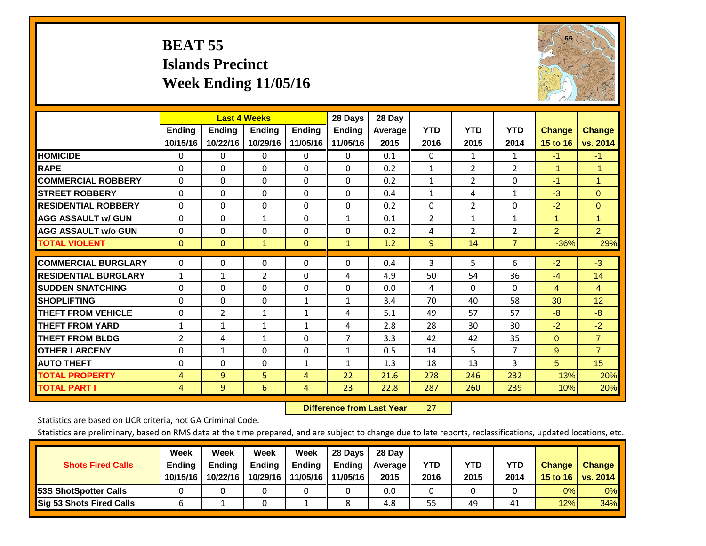# **BEAT 55 Islands Precinct Week Ending 11/05/16**



|                             | <b>Last 4 Weeks</b> |                |               |               | 28 Days       | 28 Day  |                |                |                |                |                |
|-----------------------------|---------------------|----------------|---------------|---------------|---------------|---------|----------------|----------------|----------------|----------------|----------------|
|                             | <b>Ending</b>       | <b>Ending</b>  | <b>Ending</b> | <b>Ending</b> | <b>Ending</b> | Average | <b>YTD</b>     | <b>YTD</b>     | <b>YTD</b>     | <b>Change</b>  | <b>Change</b>  |
|                             | 10/15/16            | 10/22/16       | 10/29/16      | 11/05/16      | 11/05/16      | 2015    | 2016           | 2015           | 2014           | 15 to 16       | vs. 2014       |
| <b>HOMICIDE</b>             | 0                   | 0              | $\Omega$      | $\Omega$      | $\mathbf{0}$  | 0.1     | $\mathbf{0}$   | 1              | 1              | $-1$           | $-1$           |
| <b>RAPE</b>                 | $\Omega$            | 0              | $\mathbf{0}$  | $\mathbf{0}$  | $\Omega$      | 0.2     | $\mathbf{1}$   | 2              | 2              | $-1$           | $-1$           |
| <b>COMMERCIAL ROBBERY</b>   | $\Omega$            | 0              | $\mathbf{0}$  | $\Omega$      | $\Omega$      | 0.2     | $\mathbf{1}$   | 2              | 0              | $-1$           | $\overline{1}$ |
| <b>ISTREET ROBBERY</b>      | $\Omega$            | $\Omega$       | $\Omega$      | $\mathbf 0$   | $\Omega$      | 0.4     | $\mathbf{1}$   | 4              | $\mathbf{1}$   | $-3$           | $\overline{0}$ |
| <b>RESIDENTIAL ROBBERY</b>  | $\Omega$            | 0              | 0             | 0             | $\Omega$      | 0.2     | $\Omega$       | 2              | 0              | $-2$           | $\overline{0}$ |
| <b>AGG ASSAULT w/ GUN</b>   | $\Omega$            | 0              | $\mathbf{1}$  | $\mathbf{0}$  | $\mathbf{1}$  | 0.1     | $\overline{2}$ | 1              | $\mathbf{1}$   | 1              | 1              |
| <b>AGG ASSAULT w/o GUN</b>  | 0                   | 0              | $\mathbf 0$   | 0             | $\Omega$      | 0.2     | 4              | $\overline{2}$ | 2              | $\overline{2}$ | 2 <sup>1</sup> |
| <b>TOTAL VIOLENT</b>        | $\Omega$            | $\Omega$       | $\mathbf{1}$  | $\mathbf{0}$  | $\mathbf{1}$  | 1.2     | 9              | 14             | $\overline{7}$ | $-36%$         | 29%            |
|                             |                     |                |               |               |               |         |                |                |                |                |                |
| <b>COMMERCIAL BURGLARY</b>  | $\Omega$            | 0              | 0             | 0             | 0             | 0.4     | 3              | 5              | 6              | $-2$           | $-3$           |
| <b>RESIDENTIAL BURGLARY</b> | $\mathbf{1}$        | 1              | 2             | $\mathbf{0}$  | 4             | 4.9     | 50             | 54             | 36             | $-4$           | 14             |
| <b>ISUDDEN SNATCHING</b>    | $\Omega$            | $\Omega$       | $\Omega$      | $\mathbf{0}$  | $\Omega$      | 0.0     | 4              | $\Omega$       | $\Omega$       | 4              | $\overline{4}$ |
| <b>SHOPLIFTING</b>          | $\Omega$            | $\Omega$       | $\Omega$      | 1             | 1             | 3.4     | 70             | 40             | 58             | 30             | 12             |
| <b>THEFT FROM VEHICLE</b>   | $\Omega$            | $\overline{2}$ | $\mathbf{1}$  | $\mathbf{1}$  | 4             | 5.1     | 49             | 57             | 57             | -8             | $-8$           |
| <b>THEFT FROM YARD</b>      | 1                   | $\mathbf{1}$   | $\mathbf{1}$  | 1             | 4             | 2.8     | 28             | 30             | 30             | $-2$           | $-2$           |
| <b>THEFT FROM BLDG</b>      | 2                   | 4              | $\mathbf{1}$  | $\mathbf{0}$  | 7             | 3.3     | 42             | 42             | 35             | $\Omega$       | $\overline{7}$ |
| <b>OTHER LARCENY</b>        | $\Omega$            | $\mathbf{1}$   | $\Omega$      | $\Omega$      | $\mathbf{1}$  | 0.5     | 14             | 5              | $\overline{7}$ | 9              | $\overline{7}$ |
| <b>AUTO THEFT</b>           | 0                   | $\Omega$       | $\Omega$      | 1             | $\mathbf{1}$  | 1.3     | 18             | 13             | 3              | 5              | 15             |
| <b>TOTAL PROPERTY</b>       | 4                   | 9              | 5             | 4             | 22            | 21.6    | 278            | 246            | 232            | 13%            | 20%            |
| <b>TOTAL PART I</b>         | 4                   | $\overline{9}$ | 6             | 4             | 23            | 22.8    | 287            | 260            | 239            | 10%            | 20%            |

 **Difference from Last Year**r 27

Statistics are based on UCR criteria, not GA Criminal Code.

| <b>Shots Fired Calls</b>        | Week<br><b>Ending</b><br>10/15/16 | Week<br><b>Endina</b><br>10/22/16 | Week<br>Ending<br>10/29/16 | Week<br>Ending<br>11/05/16 | 28 Days<br><b>Ending</b><br>11/05/16 | 28 Day<br>Average II<br>2015 | YTD<br>2016 | YTD<br>2015 | <b>YTD</b><br>2014 | <b>Change</b><br>15 to 16 | <b>Change</b><br>vs. 2014 |
|---------------------------------|-----------------------------------|-----------------------------------|----------------------------|----------------------------|--------------------------------------|------------------------------|-------------|-------------|--------------------|---------------------------|---------------------------|
| <b>153S ShotSpotter Calls</b>   |                                   |                                   |                            |                            |                                      | 0.0                          |             |             |                    | 0%                        | 0%                        |
| <b>Sig 53 Shots Fired Calls</b> |                                   |                                   |                            |                            |                                      | 4.8                          | 55          | 49          | 41                 | 12%                       | 34%                       |